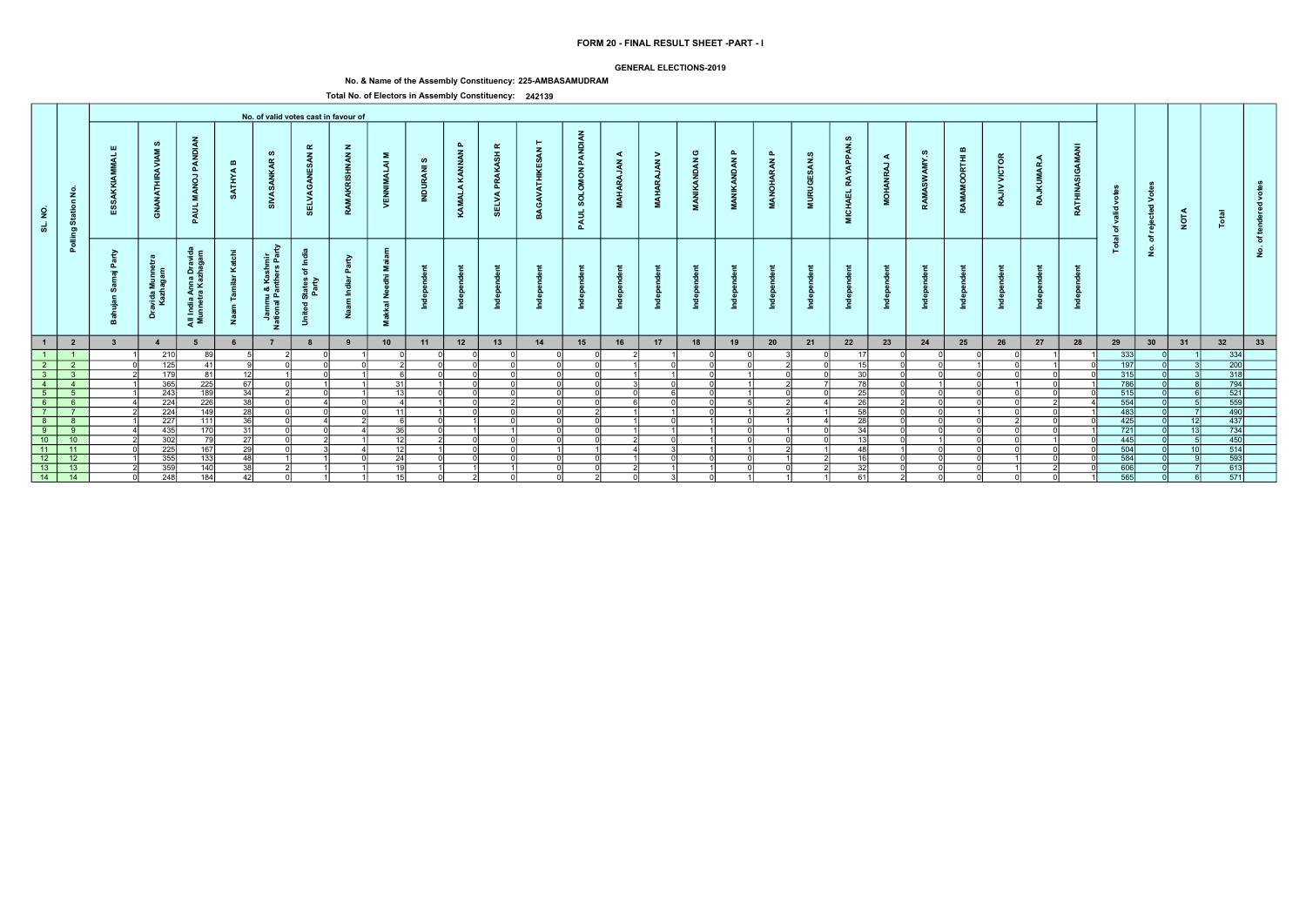|                                      |                                                                                                       |                         |                                     |                                      |                               |                                           |                                           | No. of valid votes cast in favour of              |                                         |                      |                                  |                               |                              |                                                         |                                     |                     |                        |                                   |                                  |                    |                                                  |                           |                             |                  |                               |                 |                          |                                     |                         |       |                  |         |  |
|--------------------------------------|-------------------------------------------------------------------------------------------------------|-------------------------|-------------------------------------|--------------------------------------|-------------------------------|-------------------------------------------|-------------------------------------------|---------------------------------------------------|-----------------------------------------|----------------------|----------------------------------|-------------------------------|------------------------------|---------------------------------------------------------|-------------------------------------|---------------------|------------------------|-----------------------------------|----------------------------------|--------------------|--------------------------------------------------|---------------------------|-----------------------------|------------------|-------------------------------|-----------------|--------------------------|-------------------------------------|-------------------------|-------|------------------|---------|--|
| $\overline{2}$<br>ಹ                  | <u>ي</u><br>້<br>$\mathbf{z}$                                                                         | -111                    | ທ<br><b>MANAR</b><br>GNANATHI       | PANDIAN<br><b>MANOJ</b><br>PAUL      | $\mathbf{m}$<br><b>SATHYA</b> | ဖာ<br><b>SIVASANKAR</b>                   | $\alpha$<br>z<br>-11<br>C<br><b>SELVA</b> | $\mathbf{z}$<br>$\mathbf{z}$<br>AKR<br><b>RAM</b> | $\Sigma$<br>$\overline{a}$<br><b>NB</b> | ဖာ<br>$\bar{z}$<br>8 | $\mathbf{a}$<br>KANNAN<br>KAMALA | $\alpha$<br>工<br><b>SELVA</b> | $\overline{\mathbf{z}}$<br>m | <b>PANDIAN</b><br>$\tilde{6}$<br>$\circ$<br>soL<br>PAUL | $\triangleleft$<br>$\boldsymbol{z}$ | ><br>$\overline{z}$ | ပ<br><b>MANIKANDAN</b> | $\mathbf{a}$<br><b>MANIKANDAN</b> | $\mathbf{a}$<br><b>MANOHARAN</b> | <b>MURUGESAN.S</b> | <b>ഗ</b><br><b>RAYAPPAN</b><br><b>CHAEL</b><br>Ξ | ◀<br>RAJ<br><b>MOHANI</b> | ဖာ<br>SWAMY.<br><b>RAMA</b> | മ<br>RAMAMOORTHI | <b>VICTOR</b><br><b>RAJIV</b> | <b>RAJKUMAR</b> | -z<br><b>ATHINA</b><br>≃ | ేం<br>valid<br>ঁঁ<br>$\overline{a}$ | d Vo<br>eje             | NOTA  | <u>. 2</u>       | Æ       |  |
|                                      | $\overline{2}$                                                                                        | ≥<br>൶<br>$=$           | $\frac{1}{2}$<br>avida<br>Kazh<br>å | ، ۃ<br>Anna<br>ra Kaz<br>alin<br>Mun | ⊻<br>₹Ž.                      | Ξñ<br>∵ ⊻<br>nmu &<br>1al Pan<br>-53<br>z | ≲ ≋<br>Ö.                                 | О.<br>z                                           | Ž<br><b>Makkal</b>                      |                      |                                  |                               |                              |                                                         |                                     |                     |                        | ÷                                 | ÷,                               |                    |                                                  |                           |                             |                  |                               |                 |                          | 혼                                   | ৳<br>$\dot{\mathbf{z}}$ |       |                  | ৽<br>-2 |  |
| $\mathbf{1}$                         | $\overline{\mathbf{2}}$                                                                               | $\overline{\mathbf{3}}$ | $\overline{4}$                      | 5                                    |                               |                                           |                                           | 9                                                 | 10                                      | 11                   | 12                               | 13                            | 14                           | 15                                                      | 16                                  | 17                  | 18                     | 19                                | 20                               | 21                 | 22                                               | 23                        | 24                          | 25               | 26                            | 27              | 28                       | 29                                  | 30                      | 31    | 32               | 33      |  |
| $\vert$ 1 $\vert$                    | $\blacksquare$ 1                                                                                      |                         | 210                                 | 89                                   |                               |                                           | $\cap$                                    |                                                   |                                         |                      |                                  |                               |                              |                                                         |                                     |                     |                        |                                   |                                  |                    |                                                  |                           |                             |                  |                               |                 |                          | 333                                 |                         |       | 334              |         |  |
| $\overline{\phantom{0}2\phantom{0}}$ | $\overline{2}$                                                                                        |                         | $\overline{125}$                    | 41                                   |                               |                                           | ി                                         |                                                   |                                         |                      | $\sim$                           |                               |                              |                                                         |                                     |                     |                        |                                   |                                  |                    | 4E                                               | $\Omega$                  | ∩l                          |                  |                               |                 |                          | 197                                 |                         |       | $\overline{200}$ |         |  |
| $\overline{\textbf{3}}$              | $\overline{\phantom{a}}$ 3                                                                            |                         | $\overline{179}$                    | 81                                   | -12                           |                                           |                                           | ΩI                                                |                                         |                      |                                  |                               |                              |                                                         |                                     |                     |                        |                                   |                                  |                    | 30 <sup>1</sup>                                  | $\Omega$                  | n                           |                  |                               |                 |                          | 315                                 |                         |       | 318              |         |  |
| $\sim$ 4                             | $\overline{4}$                                                                                        |                         | 365                                 | 225                                  | 67                            |                                           |                                           |                                                   | 31                                      |                      |                                  |                               |                              |                                                         |                                     |                     |                        |                                   |                                  |                    | 78I                                              | $\Omega$                  |                             |                  |                               |                 |                          | 786                                 |                         |       | 794              |         |  |
|                                      |                                                                                                       |                         | 243                                 | 189                                  | 34                            |                                           |                                           | $\cap$                                            | 13                                      |                      |                                  |                               |                              |                                                         |                                     |                     |                        |                                   |                                  |                    | 251                                              |                           | nl                          |                  |                               |                 |                          | 515                                 |                         |       | 521              |         |  |
|                                      | $\begin{array}{c cc}\n5 & 5 \\ \hline\n6 & 6 \\ \hline\n7 & 7\n\end{array}$                           |                         | $\overline{224}$                    | $\overline{226}$                     | 38 <sup>1</sup>               |                                           | $\Lambda$                                 |                                                   |                                         |                      |                                  |                               |                              |                                                         |                                     |                     |                        |                                   |                                  |                    | 26                                               |                           | $\cap$                      |                  |                               |                 |                          | 554                                 |                         |       | 559              |         |  |
|                                      |                                                                                                       |                         | 224                                 | 149                                  | $\overline{28}$               |                                           |                                           |                                                   | -111                                    |                      |                                  |                               |                              |                                                         |                                     |                     |                        |                                   |                                  |                    | 58                                               |                           |                             |                  |                               |                 |                          | 483                                 |                         |       | 490              |         |  |
|                                      | $\begin{array}{c c}\n\cdot & \cdot \\ \hline\n8 & 8 \\ \hline\n9 & 9 \\ \hline\n10 & 10\n\end{array}$ |                         | $\overline{227}$                    | 111                                  | $\overline{36}$               |                                           |                                           |                                                   |                                         |                      |                                  |                               |                              |                                                         |                                     |                     |                        |                                   |                                  |                    | $\overline{28}$                                  |                           |                             |                  |                               |                 |                          | 425                                 |                         | 12    | 437              |         |  |
|                                      |                                                                                                       |                         | 435                                 | $\overline{170}$                     | $\overline{31}$               |                                           | $\cap$                                    |                                                   | 36                                      |                      |                                  |                               |                              |                                                         |                                     |                     |                        |                                   |                                  |                    | $\overline{34}$                                  |                           |                             |                  |                               |                 |                          | 721                                 |                         | $-13$ | 734              |         |  |
|                                      |                                                                                                       |                         | $\frac{1}{302}$                     | $\overline{79}$                      | 27                            |                                           |                                           |                                                   | - 12 I                                  |                      |                                  |                               |                              |                                                         |                                     |                     |                        |                                   |                                  |                    | 13                                               |                           |                             |                  |                               |                 |                          | 445                                 |                         |       | 450              |         |  |
|                                      | $\boxed{11}$ $\boxed{11}$                                                                             |                         | 225                                 | 167                                  | 29                            |                                           |                                           |                                                   | 12                                      |                      |                                  |                               |                              |                                                         |                                     |                     |                        |                                   |                                  |                    | 48                                               |                           | nl                          |                  |                               |                 |                          | 504                                 |                         | 10    | 514              |         |  |
|                                      | $12$ 12                                                                                               |                         | 355                                 | $\overline{133}$                     | $\Delta$ <sub>R</sub>         |                                           |                                           |                                                   | $\overline{24}$                         |                      |                                  |                               |                              |                                                         |                                     |                     |                        |                                   |                                  |                    |                                                  |                           |                             |                  |                               |                 |                          | 584                                 |                         |       | $\overline{593}$ |         |  |
| $\overline{13}$                      | $-13$                                                                                                 |                         | 359                                 | 140                                  | 38                            |                                           |                                           |                                                   | $\overline{10}$                         |                      |                                  |                               |                              |                                                         |                                     |                     |                        |                                   |                                  |                    | 32 <sub>1</sub>                                  |                           |                             |                  |                               |                 |                          | 606                                 |                         |       | 613              |         |  |
| $\overline{14}$                      | $\overline{14}$                                                                                       |                         | $\overline{248}$                    | 184                                  | 42                            |                                           |                                           |                                                   | 15                                      |                      |                                  |                               |                              |                                                         |                                     |                     |                        |                                   |                                  |                    | 61                                               |                           | nl                          |                  |                               |                 |                          | 565                                 |                         |       | $\overline{571}$ |         |  |

### GENERAL ELECTIONS-2019

# No. & Name of the Assembly Constituency: 225-AMBASAMUDRAM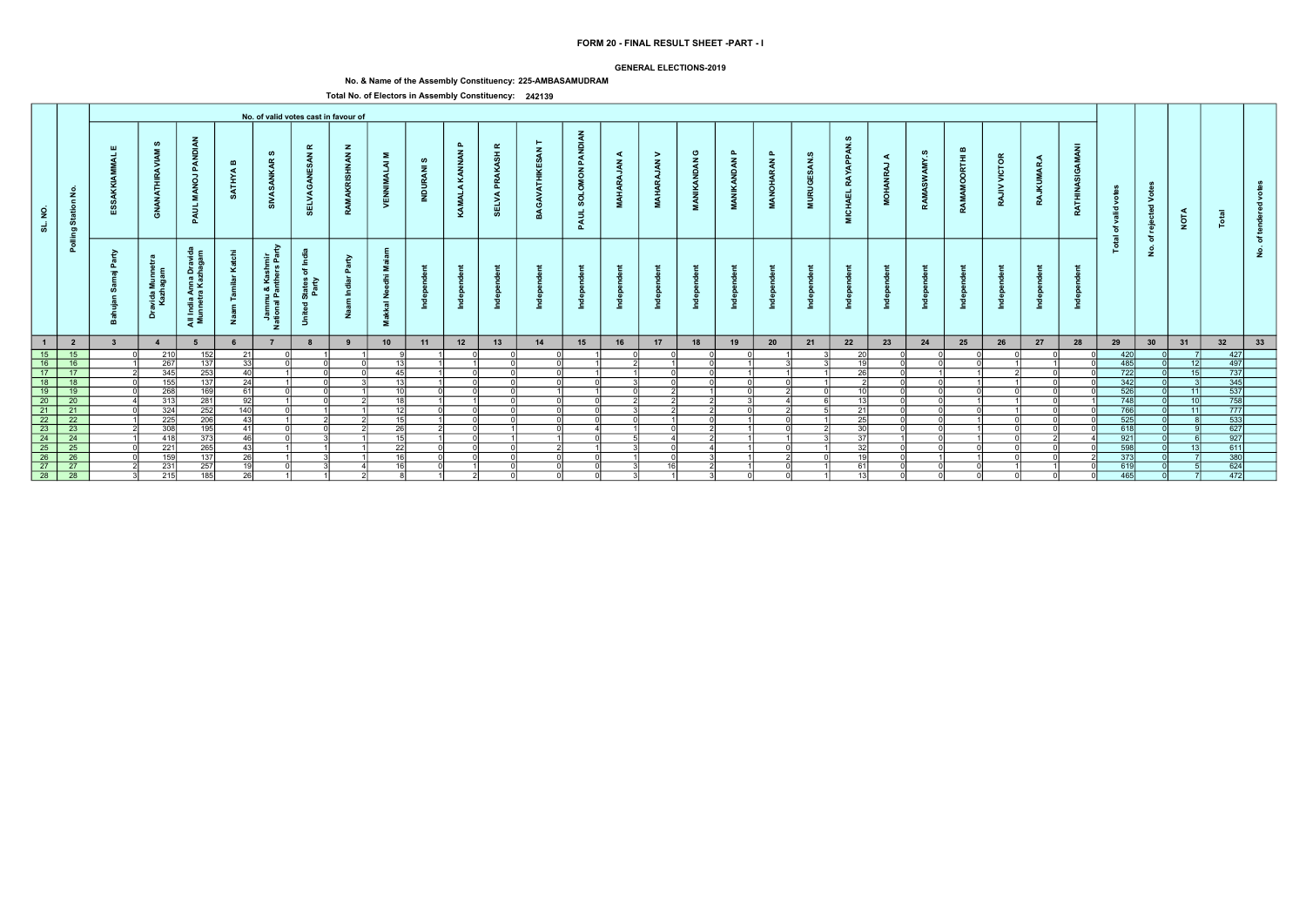### GENERAL ELECTIONS-2019

# No. & Name of the Assembly Constituency: 225-AMBASAMUDRAM

|                                                                                           |                               |                         |                                           |                                                                     |                       |                                                   |                                                                                                      | No. of valid votes cast in favour of |                                 |                               |                               |                                                  |        |                                   |                                        |                                    |                             |                              |                              |                         |                                                       |                                                                          |                               |                             |                          |                    |                 |                          |                                         |                 |                                                                                                           |              |  |
|-------------------------------------------------------------------------------------------|-------------------------------|-------------------------|-------------------------------------------|---------------------------------------------------------------------|-----------------------|---------------------------------------------------|------------------------------------------------------------------------------------------------------|--------------------------------------|---------------------------------|-------------------------------|-------------------------------|--------------------------------------------------|--------|-----------------------------------|----------------------------------------|------------------------------------|-----------------------------|------------------------------|------------------------------|-------------------------|-------------------------------------------------------|--------------------------------------------------------------------------|-------------------------------|-----------------------------|--------------------------|--------------------|-----------------|--------------------------|-----------------------------------------|-----------------|-----------------------------------------------------------------------------------------------------------|--------------|--|
| $\overline{2}$<br>್ಯ                                                                      | £<br>$\epsilon$<br>Star<br>ರಾ | ய                       | ဖာ<br>$\tilde{\mathbf{z}}$<br>푽<br>È<br>ේ | PANDI<br>$\vec{g}$<br>PAUL                                          | $\mathbf{m}$<br>ATHYA | ဖာ<br>$\alpha$<br>್                               | ≃<br>$\mathbf{z}$<br>- ဟ<br>豐<br><b>SELVA</b>                                                        | $\mathbf{z}$<br>$\tilde{\xi}$        | Σ<br>ৰ<br><b>NEW</b>            | ဖ<br>$\overline{z}$<br>ă<br>E | $\mathbf{a}$<br>KAMALA KANNAN | $\pmb{\alpha}$<br><b>PRAKASH</b><br><b>SELVA</b> |        | <b>PANDIAN</b><br>SOLOMON<br>PAUL | ≺<br>$\tilde{\epsilon}$<br><b>MAHA</b> | $\geq$<br>$\tilde{A}$<br><b>DR</b> | ပ<br><b>IKANDAN</b><br>MANI | മ<br><b>AN</b><br><b>NAN</b> | $\mathbf{r}$<br>RAN<br>ANOHA | ဖာ<br><b>URUGI</b><br>ā | Ø<br><b>APPAN</b><br><b>RAY</b><br><b>CHAEL</b><br>Ξ. | $\blacktriangleleft$<br>$\overline{\phantom{a}}$<br>ΡÃ<br>$\vec{5}$<br>ž | ဖာ<br>AMY.<br>SW <sub>3</sub> | മ<br>RTHI<br>ō<br>Š<br>RAMA | <b>VICTOR</b><br>><br>RA | ◀<br>MAR<br>Ī<br>R | GAMANI<br>RATHI | o<br>ಾ<br>ঁত<br>$\equiv$ | $\geq$<br>$\overline{\mathbf{c}}$<br>ဗ္ | <b>NOTA</b>     |                                                                                                           |              |  |
|                                                                                           | Pollin                        | $\geq$<br>௳<br>$\equiv$ | $\epsilon$<br>avida Mu<br>Kazhaga<br>ă    | $\epsilon$<br>୍ବ ପ୍<br>ıdia Anna Dr.<br>Inetra Kazha<br>Ξ.<br>ੁੜ ≅ੋ | ⊻<br>Ž                | ₽<br>들 훈<br>- 동 있<br>ımu & Ka:<br>ıal Panth∽<br>z | - 독<br>$\overleftarrow{\mathrm{o}}$<br>States<br>Party<br>$\overline{\phantom{a}}$<br>$\overline{5}$ | $\epsilon$<br><b>p</b>               | ż<br>$\overline{a}$<br>∽<br>- 2 |                               |                               |                                                  |        |                                   |                                        |                                    |                             |                              |                              |                         |                                                       |                                                                          |                               |                             |                          |                    |                 | <u>is</u>                | ঁচ<br>$\dot{\mathbf{z}}$                |                 |                                                                                                           | $\circ$<br>٤ |  |
| $\blacksquare$                                                                            | $\overline{\mathbf{2}}$       |                         | $\overline{4}$                            |                                                                     |                       |                                                   |                                                                                                      |                                      | 10                              | 11                            | 12                            | 13                                               | 14     | 15                                | 16                                     | 17                                 | 18                          | 19                           | 20                           | 21                      | 22                                                    | 23                                                                       | 24                            | 25                          | 26                       | 27                 | 28              | 29                       | 30                                      | 31              | 32                                                                                                        | 33           |  |
| 15                                                                                        | $-15$                         |                         | 210                                       | 152                                                                 | -21                   |                                                   |                                                                                                      |                                      |                                 |                               |                               |                                                  |        |                                   |                                        |                                    |                             |                              |                              |                         | 20                                                    |                                                                          |                               |                             |                          |                    |                 | 420                      |                                         |                 | 427                                                                                                       |              |  |
| $\frac{18}{16}$                                                                           | 16                            |                         | 267                                       | 137                                                                 | -331                  |                                                   |                                                                                                      |                                      | 13 <sup>1</sup>                 |                               |                               |                                                  |        |                                   |                                        |                                    | $\cap$                      |                              |                              |                         | $\overline{16}$                                       |                                                                          |                               |                             |                          |                    |                 | 485                      |                                         | 12              | 497                                                                                                       |              |  |
| $\overline{17}$                                                                           | $-17$                         |                         | 345                                       | 253                                                                 | -401                  |                                                   |                                                                                                      |                                      | 45                              |                               |                               |                                                  |        |                                   |                                        |                                    | U                           |                              |                              |                         | 26                                                    |                                                                          |                               |                             |                          |                    |                 | 722                      |                                         | 15 <sup>1</sup> | $\begin{array}{r} \hline 737 \\ 737 \\ 345 \\ \hline 537 \\ 758 \\ \hline 777 \\ \hline \end{array}$      |              |  |
| $\begin{array}{ c c }\n\hline\n18 \\ \hline\n19 \\ \hline\n20 \\ \hline\n21\n\end{array}$ | 18                            |                         | 155                                       | 137                                                                 | 24                    |                                                   |                                                                                                      |                                      | 13 <sup>1</sup>                 |                               |                               |                                                  |        |                                   |                                        | $\Omega$                           | $\Omega$                    | ΩI                           |                              |                         |                                                       |                                                                          |                               |                             |                          |                    |                 | 342                      |                                         |                 |                                                                                                           |              |  |
|                                                                                           | $\frac{19}{20}$               |                         | 268                                       | 169                                                                 | 61                    |                                                   |                                                                                                      |                                      | 10 <sup>1</sup>                 |                               |                               |                                                  |        |                                   |                                        |                                    |                             |                              |                              |                         | 10                                                    |                                                                          |                               |                             |                          |                    |                 | 526                      |                                         | 11              |                                                                                                           |              |  |
|                                                                                           |                               |                         | 313                                       | 281                                                                 | -92                   |                                                   |                                                                                                      |                                      | 18I                             |                               |                               |                                                  |        |                                   |                                        |                                    |                             |                              |                              |                         | 13                                                    |                                                                          |                               |                             |                          |                    |                 | 748                      |                                         | 10 <sup>1</sup> |                                                                                                           |              |  |
|                                                                                           | $\overline{21}$               |                         | 324                                       | 252                                                                 | 140                   |                                                   |                                                                                                      |                                      | 12                              |                               |                               |                                                  |        |                                   |                                        |                                    |                             |                              |                              |                         | 21                                                    |                                                                          |                               |                             |                          |                    |                 | 766                      |                                         | 11              |                                                                                                           |              |  |
| 22                                                                                        | 22                            |                         | 225                                       | 206                                                                 | -431                  |                                                   |                                                                                                      |                                      | 15                              |                               | $\cap$                        |                                                  |        |                                   | $\Omega$                               |                                    | $\cap$                      |                              |                              |                         | 25                                                    |                                                                          |                               |                             |                          |                    |                 | 525                      |                                         |                 | $\overline{533}$                                                                                          |              |  |
| $\begin{array}{r} 23 \\ 24 \\ 25 \\ 26 \\ 27 \end{array}$                                 | $\overline{23}$               |                         | 308                                       | 195                                                                 | 41                    |                                                   |                                                                                                      |                                      | 26                              |                               | $\cap$                        |                                                  | $\sim$ | $\overline{A}$                    |                                        | $\cap$                             |                             |                              | $\cap$                       |                         | $\overline{30}$                                       |                                                                          |                               |                             |                          |                    |                 | 618                      |                                         |                 | 627                                                                                                       |              |  |
|                                                                                           | $\overline{24}$               |                         | 418                                       | 373                                                                 | 46                    |                                                   |                                                                                                      |                                      | 15 <sup>1</sup>                 |                               | ി                             |                                                  |        |                                   |                                        | $\Lambda$                          |                             |                              |                              |                         | -371                                                  |                                                                          |                               |                             |                          |                    |                 | 921                      |                                         |                 | $\begin{array}{r}\n 11 \\  \hline\n 927 \\  \hline\n 611 \\  \hline\n 380 \\  \hline\n 624\n \end{array}$ |              |  |
|                                                                                           | $\overline{25}$               |                         | $\overline{221}$                          | $\overline{265}$                                                    | -431                  |                                                   |                                                                                                      |                                      | 22                              |                               |                               |                                                  |        |                                   |                                        | $\cap$                             | $\Delta$                    |                              |                              |                         | 32                                                    |                                                                          |                               |                             |                          |                    |                 | 598                      |                                         | 13 <sup>1</sup> |                                                                                                           |              |  |
|                                                                                           | $\overline{26}$               |                         | 159                                       | 137                                                                 | 26                    |                                                   |                                                                                                      |                                      | 16                              |                               |                               |                                                  |        |                                   |                                        |                                    |                             |                              |                              |                         |                                                       |                                                                          |                               |                             |                          |                    |                 | 373                      |                                         |                 |                                                                                                           |              |  |
|                                                                                           | $\overline{27}$               |                         | 231                                       | 257                                                                 | 10                    |                                                   |                                                                                                      |                                      | 16I                             |                               |                               |                                                  |        |                                   |                                        | 16I                                |                             |                              |                              |                         | 61                                                    |                                                                          |                               |                             |                          |                    |                 | 619                      |                                         |                 |                                                                                                           |              |  |
| $\overline{28}$                                                                           | $\overline{28}$               |                         | 215                                       | 185                                                                 | <b>26</b>             |                                                   |                                                                                                      |                                      |                                 |                               |                               |                                                  |        | $\Omega$                          |                                        |                                    | વ                           | ΩI                           |                              |                         | 13 <sup>1</sup>                                       |                                                                          |                               |                             |                          |                    |                 | 465                      |                                         |                 | 472                                                                                                       |              |  |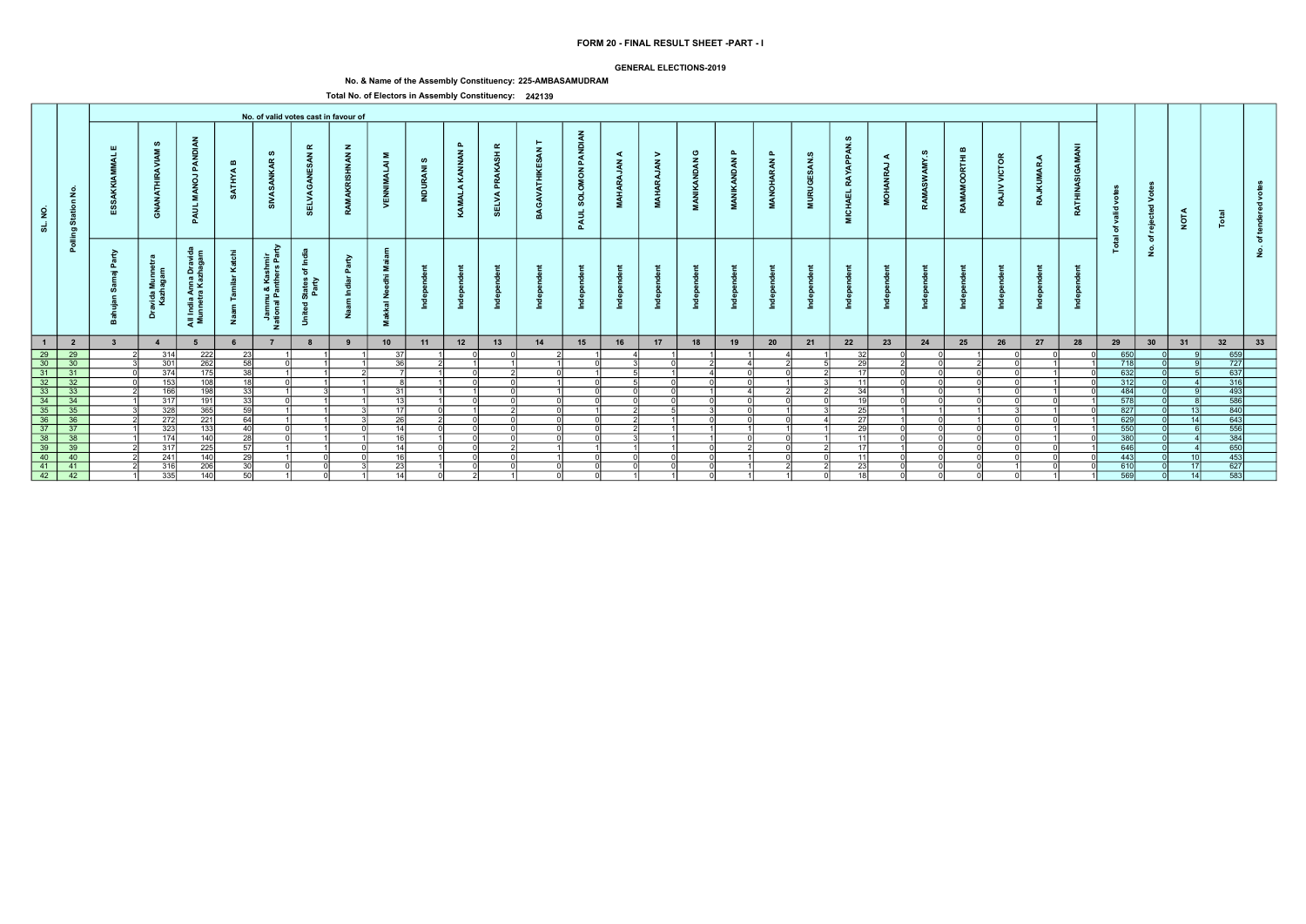### GENERAL ELECTIONS-2019

# No. & Name of the Assembly Constituency: 225-AMBASAMUDRAM

| <b>PANDIAN</b><br>Ø<br>ဖာ<br>$\mathbf{a}$<br>$\alpha$<br><b>APPAN</b><br>GAMANI<br>≃<br>$\mathbf{z}$<br>ய<br>$\mathbf{z}$<br>PANDI<br>മ<br>KAMALA KANNAN<br>ပ<br><b>PRAKASH</b><br>മ<br>ဖာ<br>$\mathbf{a}$<br>AMY.S<br>$\mathbf{z}$<br><b>NAN</b><br>$\geq$<br>ဖာ<br>Σ<br>≺<br><b>VICTOR</b><br>ORTHI<br>$\blacktriangleleft$<br>◀<br><b>AN</b><br>ဖ<br><b>IKANDAN</b><br>$\alpha$<br>RAN<br>$\tilde{A}$<br>$\tilde{\mathbf{z}}$<br>$\tilde{\mathbf{z}}$<br>$\mathbf{m}$<br>ৰ<br>$\overline{\phantom{a}}$<br>MAR.<br>- ဟ<br>$\overline{z}$<br>SOLOMON<br>ΡÃ<br>ATHYA<br>쁮<br><b>RAY</b><br>$\vec{g}$<br>SW <sub>3</sub><br><b>MAHARA</b><br><b>DR</b><br>ANOHA<br>$\tilde{a}$<br>Ę<br><b>URUGI</b><br>ă<br>푽<br>><br>$\vec{5}$<br>£<br><b>ICHAEL</b><br><b>SELVA</b><br><b>SELVA</b><br>RAMA<br><b>NEW</b><br><b>MANI</b><br><b>NAN</b><br>E<br>RATHI<br>R<br>$\vec{z}$<br>ಂ<br>$\geq$<br>RA<br>$\epsilon$<br>ž<br>್<br>Ē<br>PAUL<br>$\overline{\mathbf{c}}$<br>ಾ<br>ේ<br>$\overline{2}$<br><b>NOTA</b><br>PAUL<br>Star<br>Ξ.<br>್ಯ<br>Ť<br>ঁত<br>ರಾ<br>$\overline{a}$<br>ঁচ<br>Pollir<br>$\circ$<br><u>is</u><br>$\dot{\mathbf{z}}$<br>₽<br>٤<br>$\epsilon$<br>≥<br>들 호<br>$\epsilon$<br>- 독<br>୍ବ ପ୍<br>௳<br><u> 중 없</u><br>$\epsilon$<br>⊻<br>$\overleftarrow{\mathrm{o}}$<br>ndia Anna Dr.<br>Inetra Kazha<br><b>p</b><br>- 127<br>ımu & Kas<br>ıal Panth∽<br>States<br>Party<br>avida Mul<br>Kazhaga<br>ż<br>$\overline{a}$<br>$\overline{\phantom{a}}$<br>∽<br>Ξ.<br>ă<br>$\overline{5}$<br>ੁੜ ≅ੋ<br>Ž<br>- 2<br>z<br>33<br>12<br>13<br>22<br>28<br>29<br>30<br>31<br>32<br>$\blacksquare$<br>$\overline{\mathbf{2}}$<br>10<br>11<br>14<br>15<br>16<br>17<br>18<br>19<br>20<br>21<br>23<br>24<br>25<br>26<br>27<br>$\overline{4}$<br>5<br>$\begin{array}{ c c }\n\hline\n29 \\ \hline\n30 \\ \hline\n31\n\end{array}$<br>659<br>$\overline{29}$<br>222<br>650<br>314<br>-23<br>32<br>-37<br>$\boxed{727}$<br>$\overline{30}$<br>301<br>718<br>262<br>$\overline{36}$<br>$\overline{29}$<br>-58 l<br>$\cap$<br>$\begin{array}{ c c }\n\hline\n637 \\ \hline\n316\n\end{array}$<br>$\overline{31}$<br>374<br>632<br>175<br>-38 l<br>17<br>n<br>$\frac{32}{32}$<br>$\frac{32}{33}$<br>$\frac{33}{34}$<br>$\frac{34}{35}$<br>$\frac{35}{36}$<br>$\frac{35}{36}$<br>312<br>153<br>108<br>اء1<br>11<br>ΩI<br>$\Omega$<br>$\Omega$<br>$\begin{array}{r}\n 101 \\  \hline\n 493 \\  \hline\n 586 \\  840 \\  \hline\n 643\n \end{array}$<br>166<br>198<br>484<br>- 31  <br>-34 l<br>-331<br>$\cap$<br>$\overline{578}$<br>317<br>191<br>-331<br>13 <sup>1</sup><br>$\overline{10}$<br>328<br>827<br>365<br>FQ<br>$\overline{25}$<br>13 <sup>1</sup><br><b>17</b><br>272<br>221<br>26<br>629<br>27<br>$\overline{14}$<br>64<br>$\Omega$<br>$\cap$<br>ΩI<br>556<br>$\begin{array}{r} 37 \\ 38 \\ 39 \\ 40 \end{array}$<br>37<br>323<br>133<br>29<br>550<br>40<br>14<br>$\cap$<br>$\cap$<br>$\mathcal{D}$<br>$\cap$<br>$\Omega$<br>$\begin{array}{r}\n 384 \\  \hline\n 650 \\  \hline\n 453\n \end{array}$<br>$\frac{38}{39}$<br>174<br>140<br>380<br>16 <sup>1</sup><br>-28 l<br>11<br>ΩI<br>ി<br>$\overline{225}$<br>317<br>646<br>14<br>-57 l<br>17<br>ωı<br>40<br>29<br>16<br>241<br>443<br>140<br>10 <sup>1</sup><br>11<br>$\frac{16}{41}$<br>627<br>$-41$<br>610<br>316<br>23 <sup>1</sup><br>23<br>206<br>่ 3U∣<br>17<br>583<br>$\overline{42}$<br>569<br>50<br>14<br>14<br>18<br>$\Omega$<br>ΩI |                 |     |     |  | No. of valid votes cast in favour of |  |  |  |  |  |  |  |  |  |  |  |  |  |
|-----------------------------------------------------------------------------------------------------------------------------------------------------------------------------------------------------------------------------------------------------------------------------------------------------------------------------------------------------------------------------------------------------------------------------------------------------------------------------------------------------------------------------------------------------------------------------------------------------------------------------------------------------------------------------------------------------------------------------------------------------------------------------------------------------------------------------------------------------------------------------------------------------------------------------------------------------------------------------------------------------------------------------------------------------------------------------------------------------------------------------------------------------------------------------------------------------------------------------------------------------------------------------------------------------------------------------------------------------------------------------------------------------------------------------------------------------------------------------------------------------------------------------------------------------------------------------------------------------------------------------------------------------------------------------------------------------------------------------------------------------------------------------------------------------------------------------------------------------------------------------------------------------------------------------------------------------------------------------------------------------------------------------------------------------------------------------------------------------------------------------------------------------------------------------------------------------------------------------------------------------------------------------------------------------------------------------------------------------------------------------------------------------------------------------------------------------------------------------------------------------------------------------------------------------------------------------------------------------------------------------------------------------------------------------------------------------------------------------------------------------------------------------------------------------------------------------------------------------------------------------------------------------------------------------------------------------------------------------------------------------------------------------------------------------------------------------------------------------------------------------------------------------------------------------------------------------------------------------------------------------------------------------------------------------------------------------------------------------------------------------------------------------|-----------------|-----|-----|--|--------------------------------------|--|--|--|--|--|--|--|--|--|--|--|--|--|
|                                                                                                                                                                                                                                                                                                                                                                                                                                                                                                                                                                                                                                                                                                                                                                                                                                                                                                                                                                                                                                                                                                                                                                                                                                                                                                                                                                                                                                                                                                                                                                                                                                                                                                                                                                                                                                                                                                                                                                                                                                                                                                                                                                                                                                                                                                                                                                                                                                                                                                                                                                                                                                                                                                                                                                                                                                                                                                                                                                                                                                                                                                                                                                                                                                                                                                                                                                                                     |                 |     |     |  |                                      |  |  |  |  |  |  |  |  |  |  |  |  |  |
|                                                                                                                                                                                                                                                                                                                                                                                                                                                                                                                                                                                                                                                                                                                                                                                                                                                                                                                                                                                                                                                                                                                                                                                                                                                                                                                                                                                                                                                                                                                                                                                                                                                                                                                                                                                                                                                                                                                                                                                                                                                                                                                                                                                                                                                                                                                                                                                                                                                                                                                                                                                                                                                                                                                                                                                                                                                                                                                                                                                                                                                                                                                                                                                                                                                                                                                                                                                                     |                 |     |     |  |                                      |  |  |  |  |  |  |  |  |  |  |  |  |  |
|                                                                                                                                                                                                                                                                                                                                                                                                                                                                                                                                                                                                                                                                                                                                                                                                                                                                                                                                                                                                                                                                                                                                                                                                                                                                                                                                                                                                                                                                                                                                                                                                                                                                                                                                                                                                                                                                                                                                                                                                                                                                                                                                                                                                                                                                                                                                                                                                                                                                                                                                                                                                                                                                                                                                                                                                                                                                                                                                                                                                                                                                                                                                                                                                                                                                                                                                                                                                     |                 |     |     |  |                                      |  |  |  |  |  |  |  |  |  |  |  |  |  |
|                                                                                                                                                                                                                                                                                                                                                                                                                                                                                                                                                                                                                                                                                                                                                                                                                                                                                                                                                                                                                                                                                                                                                                                                                                                                                                                                                                                                                                                                                                                                                                                                                                                                                                                                                                                                                                                                                                                                                                                                                                                                                                                                                                                                                                                                                                                                                                                                                                                                                                                                                                                                                                                                                                                                                                                                                                                                                                                                                                                                                                                                                                                                                                                                                                                                                                                                                                                                     |                 |     |     |  |                                      |  |  |  |  |  |  |  |  |  |  |  |  |  |
|                                                                                                                                                                                                                                                                                                                                                                                                                                                                                                                                                                                                                                                                                                                                                                                                                                                                                                                                                                                                                                                                                                                                                                                                                                                                                                                                                                                                                                                                                                                                                                                                                                                                                                                                                                                                                                                                                                                                                                                                                                                                                                                                                                                                                                                                                                                                                                                                                                                                                                                                                                                                                                                                                                                                                                                                                                                                                                                                                                                                                                                                                                                                                                                                                                                                                                                                                                                                     |                 |     |     |  |                                      |  |  |  |  |  |  |  |  |  |  |  |  |  |
|                                                                                                                                                                                                                                                                                                                                                                                                                                                                                                                                                                                                                                                                                                                                                                                                                                                                                                                                                                                                                                                                                                                                                                                                                                                                                                                                                                                                                                                                                                                                                                                                                                                                                                                                                                                                                                                                                                                                                                                                                                                                                                                                                                                                                                                                                                                                                                                                                                                                                                                                                                                                                                                                                                                                                                                                                                                                                                                                                                                                                                                                                                                                                                                                                                                                                                                                                                                                     |                 |     |     |  |                                      |  |  |  |  |  |  |  |  |  |  |  |  |  |
|                                                                                                                                                                                                                                                                                                                                                                                                                                                                                                                                                                                                                                                                                                                                                                                                                                                                                                                                                                                                                                                                                                                                                                                                                                                                                                                                                                                                                                                                                                                                                                                                                                                                                                                                                                                                                                                                                                                                                                                                                                                                                                                                                                                                                                                                                                                                                                                                                                                                                                                                                                                                                                                                                                                                                                                                                                                                                                                                                                                                                                                                                                                                                                                                                                                                                                                                                                                                     |                 |     |     |  |                                      |  |  |  |  |  |  |  |  |  |  |  |  |  |
|                                                                                                                                                                                                                                                                                                                                                                                                                                                                                                                                                                                                                                                                                                                                                                                                                                                                                                                                                                                                                                                                                                                                                                                                                                                                                                                                                                                                                                                                                                                                                                                                                                                                                                                                                                                                                                                                                                                                                                                                                                                                                                                                                                                                                                                                                                                                                                                                                                                                                                                                                                                                                                                                                                                                                                                                                                                                                                                                                                                                                                                                                                                                                                                                                                                                                                                                                                                                     |                 |     |     |  |                                      |  |  |  |  |  |  |  |  |  |  |  |  |  |
|                                                                                                                                                                                                                                                                                                                                                                                                                                                                                                                                                                                                                                                                                                                                                                                                                                                                                                                                                                                                                                                                                                                                                                                                                                                                                                                                                                                                                                                                                                                                                                                                                                                                                                                                                                                                                                                                                                                                                                                                                                                                                                                                                                                                                                                                                                                                                                                                                                                                                                                                                                                                                                                                                                                                                                                                                                                                                                                                                                                                                                                                                                                                                                                                                                                                                                                                                                                                     |                 |     |     |  |                                      |  |  |  |  |  |  |  |  |  |  |  |  |  |
|                                                                                                                                                                                                                                                                                                                                                                                                                                                                                                                                                                                                                                                                                                                                                                                                                                                                                                                                                                                                                                                                                                                                                                                                                                                                                                                                                                                                                                                                                                                                                                                                                                                                                                                                                                                                                                                                                                                                                                                                                                                                                                                                                                                                                                                                                                                                                                                                                                                                                                                                                                                                                                                                                                                                                                                                                                                                                                                                                                                                                                                                                                                                                                                                                                                                                                                                                                                                     |                 |     |     |  |                                      |  |  |  |  |  |  |  |  |  |  |  |  |  |
|                                                                                                                                                                                                                                                                                                                                                                                                                                                                                                                                                                                                                                                                                                                                                                                                                                                                                                                                                                                                                                                                                                                                                                                                                                                                                                                                                                                                                                                                                                                                                                                                                                                                                                                                                                                                                                                                                                                                                                                                                                                                                                                                                                                                                                                                                                                                                                                                                                                                                                                                                                                                                                                                                                                                                                                                                                                                                                                                                                                                                                                                                                                                                                                                                                                                                                                                                                                                     |                 |     |     |  |                                      |  |  |  |  |  |  |  |  |  |  |  |  |  |
|                                                                                                                                                                                                                                                                                                                                                                                                                                                                                                                                                                                                                                                                                                                                                                                                                                                                                                                                                                                                                                                                                                                                                                                                                                                                                                                                                                                                                                                                                                                                                                                                                                                                                                                                                                                                                                                                                                                                                                                                                                                                                                                                                                                                                                                                                                                                                                                                                                                                                                                                                                                                                                                                                                                                                                                                                                                                                                                                                                                                                                                                                                                                                                                                                                                                                                                                                                                                     |                 |     |     |  |                                      |  |  |  |  |  |  |  |  |  |  |  |  |  |
|                                                                                                                                                                                                                                                                                                                                                                                                                                                                                                                                                                                                                                                                                                                                                                                                                                                                                                                                                                                                                                                                                                                                                                                                                                                                                                                                                                                                                                                                                                                                                                                                                                                                                                                                                                                                                                                                                                                                                                                                                                                                                                                                                                                                                                                                                                                                                                                                                                                                                                                                                                                                                                                                                                                                                                                                                                                                                                                                                                                                                                                                                                                                                                                                                                                                                                                                                                                                     |                 |     |     |  |                                      |  |  |  |  |  |  |  |  |  |  |  |  |  |
|                                                                                                                                                                                                                                                                                                                                                                                                                                                                                                                                                                                                                                                                                                                                                                                                                                                                                                                                                                                                                                                                                                                                                                                                                                                                                                                                                                                                                                                                                                                                                                                                                                                                                                                                                                                                                                                                                                                                                                                                                                                                                                                                                                                                                                                                                                                                                                                                                                                                                                                                                                                                                                                                                                                                                                                                                                                                                                                                                                                                                                                                                                                                                                                                                                                                                                                                                                                                     |                 |     |     |  |                                      |  |  |  |  |  |  |  |  |  |  |  |  |  |
|                                                                                                                                                                                                                                                                                                                                                                                                                                                                                                                                                                                                                                                                                                                                                                                                                                                                                                                                                                                                                                                                                                                                                                                                                                                                                                                                                                                                                                                                                                                                                                                                                                                                                                                                                                                                                                                                                                                                                                                                                                                                                                                                                                                                                                                                                                                                                                                                                                                                                                                                                                                                                                                                                                                                                                                                                                                                                                                                                                                                                                                                                                                                                                                                                                                                                                                                                                                                     |                 |     |     |  |                                      |  |  |  |  |  |  |  |  |  |  |  |  |  |
|                                                                                                                                                                                                                                                                                                                                                                                                                                                                                                                                                                                                                                                                                                                                                                                                                                                                                                                                                                                                                                                                                                                                                                                                                                                                                                                                                                                                                                                                                                                                                                                                                                                                                                                                                                                                                                                                                                                                                                                                                                                                                                                                                                                                                                                                                                                                                                                                                                                                                                                                                                                                                                                                                                                                                                                                                                                                                                                                                                                                                                                                                                                                                                                                                                                                                                                                                                                                     |                 |     |     |  |                                      |  |  |  |  |  |  |  |  |  |  |  |  |  |
|                                                                                                                                                                                                                                                                                                                                                                                                                                                                                                                                                                                                                                                                                                                                                                                                                                                                                                                                                                                                                                                                                                                                                                                                                                                                                                                                                                                                                                                                                                                                                                                                                                                                                                                                                                                                                                                                                                                                                                                                                                                                                                                                                                                                                                                                                                                                                                                                                                                                                                                                                                                                                                                                                                                                                                                                                                                                                                                                                                                                                                                                                                                                                                                                                                                                                                                                                                                                     | $\overline{42}$ | 335 | 140 |  |                                      |  |  |  |  |  |  |  |  |  |  |  |  |  |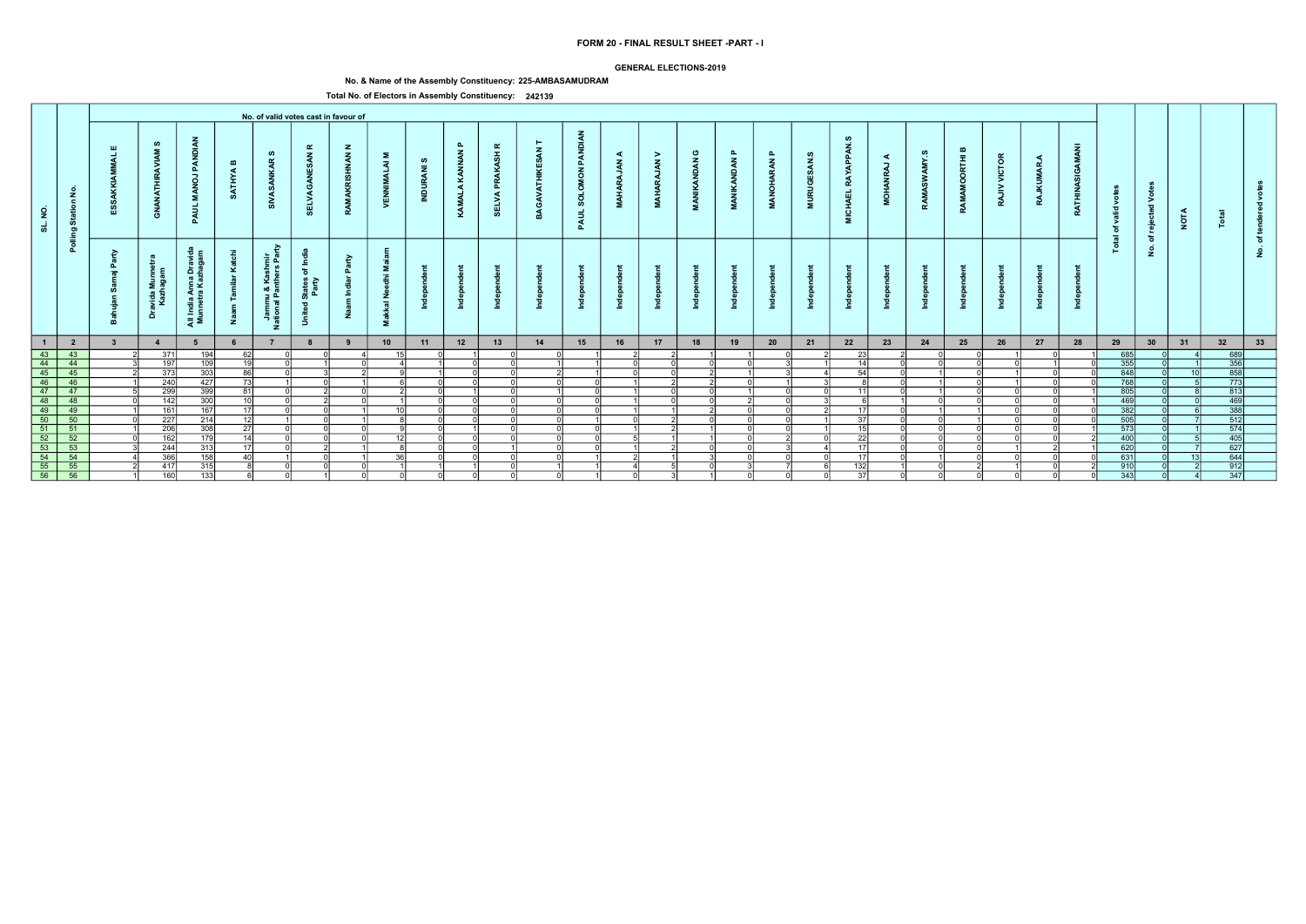### GENERAL ELECTIONS-2019

# No. & Name of the Assembly Constituency: 225-AMBASAMUDRAM

|                                                               |                                                                                                                 |               |                                         |                                                           |                       |                                                       |                                                                                        | No. of valid votes cast in favour of |                                           |                             |                               |                                             |    |                                           |                                  |                                  |                            |                                        |                                              |                                         |                                    |                                   |                               |                                                      |                         |                      |                                 |                                    |                                                 |                 |                                                                |    |  |
|---------------------------------------------------------------|-----------------------------------------------------------------------------------------------------------------|---------------|-----------------------------------------|-----------------------------------------------------------|-----------------------|-------------------------------------------------------|----------------------------------------------------------------------------------------|--------------------------------------|-------------------------------------------|-----------------------------|-------------------------------|---------------------------------------------|----|-------------------------------------------|----------------------------------|----------------------------------|----------------------------|----------------------------------------|----------------------------------------------|-----------------------------------------|------------------------------------|-----------------------------------|-------------------------------|------------------------------------------------------|-------------------------|----------------------|---------------------------------|------------------------------------|-------------------------------------------------|-----------------|----------------------------------------------------------------|----|--|
| $\overline{2}$<br>್ಯ                                          | £<br>sta<br>$\mathbf{a}$                                                                                        | ய             | ဖာ<br>ANATHIRAVI<br><u>දි</u>           | PANDI<br>$\vec{g}$<br>- 2<br>इ<br>മ                       | $\mathbf{m}$<br>ATHYA | ဖာ<br>$\alpha$<br>ž                                   | $\alpha$<br>$\mathbf{z}$<br>్య<br>3<br>₩,                                              | $\mathbf{z}$<br><b>HNAN</b>          | Σ<br>$\overline{a}$                       | ဖာ<br>$\bar{z}$<br>- 3<br>Ξ | $\mathbf{a}$<br>KAMALA KANNAN | $\alpha$<br>ASH<br>¥<br>œ<br>௳<br>ELVA<br>ທ |    | <b>MON PANDIAN</b><br><b>SOLO</b><br>PAUL | ⋖<br><b>ARAJAN</b><br><b>HAM</b> | $\geq$<br>$\zeta$<br><b>MAHA</b> | ပ<br><b>KANDAN</b><br>MANI | $\mathbf{r}$<br><b>NAON</b><br>MANIKAN | $\mathbf{r}$<br><b>ARAN</b><br><b>MANOH.</b> | ဖာ<br>ESAN.<br><b>RUGI</b><br>$\vec{z}$ | ഗ<br>ADDA<br>RAY<br>ū<br>СHA<br>Σ. | $\prec$<br><u>т</u><br><b>MOH</b> | °≾<br>SW <sub>3</sub><br>RAMA | മ<br>$\overline{\mathbf{r}}$<br>ō<br>$\circ$<br>RAMA | īδ<br>š<br>$\geq$<br>RA | <b>JKUMAR</b><br>RÁ, | Ā<br>GAM<br>g<br><b>RATHINA</b> | ğ<br>valid<br>ঁত<br>$\overline{a}$ | $\circ$<br>⋗<br>$\overline{\mathbf{c}}$<br>reje | <b>NOTA</b>     |                                                                |    |  |
|                                                               | $\overline{5}$                                                                                                  | r.<br>മ<br>-- | $\epsilon$<br>avida Mur<br>Kazhaga<br>å | Anna Dr<br>ra Kazha<br>- 음호<br>대한민국<br>대한민국<br>-<br>ੁੜ ≅ੋ | Ž                     | ⋧<br>들 호<br>Jammu & Kashrr<br>ational Panthers F<br>z | .⊆<br>$\overleftarrow{\mathrm{o}}$<br>States<br>Party<br>$\overline{\mathbf{a}}$<br>-5 | $\geq$<br>௨<br>Ž                     | ≅<br>Ē<br>Ž<br>$\overline{a}$<br>∽<br>- 2 |                             |                               |                                             |    |                                           |                                  |                                  |                            |                                        |                                              |                                         |                                    |                                   |                               |                                                      |                         |                      |                                 |                                    | ঁচ<br>$\dot{z}$                                 |                 |                                                                | £  |  |
| $\blacksquare$                                                | $\overline{\mathbf{2}}$                                                                                         |               | $\overline{4}$                          |                                                           |                       |                                                       |                                                                                        |                                      | 10                                        | 11                          | 12                            | 13                                          | 14 | 15                                        | 16                               | 17                               | 18                         | 19                                     | 20                                           | 21                                      | 22                                 | 23                                | 24                            | 25                                                   | 26                      | 27                   | 28                              | 29                                 | 30                                              | 31              | 32                                                             | 33 |  |
| $\begin{array}{ c c }\n\hline\n43 \\ \hline\n44\n\end{array}$ | $-43$                                                                                                           |               | 371                                     | 194                                                       | 62                    |                                                       |                                                                                        |                                      | 15 <sup>1</sup>                           |                             |                               |                                             |    |                                           |                                  |                                  |                            |                                        |                                              |                                         | 23                                 |                                   |                               |                                                      |                         |                      |                                 | 685                                |                                                 |                 | 689<br>356<br>858<br>773                                       |    |  |
|                                                               | 44                                                                                                              |               | 197                                     | 109                                                       | - 1 Q I               |                                                       |                                                                                        |                                      |                                           |                             |                               |                                             |    |                                           |                                  |                                  |                            |                                        |                                              |                                         | 14                                 |                                   |                               |                                                      |                         |                      |                                 | 355                                |                                                 |                 |                                                                |    |  |
| $\frac{45}{46}$                                               | 45                                                                                                              |               | 373                                     | 303                                                       | 86 l                  |                                                       |                                                                                        |                                      |                                           |                             |                               |                                             |    |                                           |                                  | U                                |                            |                                        |                                              |                                         | 54                                 |                                   |                               |                                                      |                         |                      |                                 | 848                                |                                                 |                 |                                                                |    |  |
|                                                               | 46                                                                                                              |               | 240                                     | 427                                                       | <b>73</b>             |                                                       |                                                                                        |                                      |                                           |                             |                               |                                             |    |                                           |                                  |                                  |                            | ΩI                                     |                                              |                                         |                                    |                                   |                               |                                                      |                         |                      |                                 | 768                                |                                                 |                 |                                                                |    |  |
| $\boxed{47}$                                                  | $-47$                                                                                                           |               | 299                                     | 399                                                       | -81                   |                                                       |                                                                                        |                                      |                                           |                             |                               |                                             |    |                                           |                                  | $\Omega$                         | $\cap$                     |                                        |                                              |                                         | $-11$                              |                                   |                               |                                                      |                         |                      |                                 | 805                                |                                                 |                 | $\begin{array}{r} \hline 813 \\ 469 \\ 388 \\ 512 \end{array}$ |    |  |
| $\frac{48}{49}$                                               | $-48$                                                                                                           |               | 142                                     | 300                                                       | 10 I                  |                                                       |                                                                                        |                                      | 10 <sup>1</sup>                           |                             |                               |                                             |    |                                           |                                  |                                  |                            |                                        |                                              |                                         |                                    |                                   |                               |                                                      |                         |                      |                                 | $-469$<br>$\frac{1}{382}$          |                                                 |                 |                                                                |    |  |
|                                                               | $-49$                                                                                                           |               | 161                                     | 167                                                       | - 171                 |                                                       |                                                                                        |                                      |                                           |                             |                               |                                             |    |                                           |                                  |                                  |                            | ∩                                      |                                              |                                         | 17                                 |                                   |                               |                                                      |                         |                      |                                 |                                    |                                                 |                 |                                                                |    |  |
| 50                                                            | 50                                                                                                              |               | 227                                     | 214                                                       | 12 <sup>1</sup>       |                                                       |                                                                                        |                                      | $\sim$                                    |                             |                               |                                             |    |                                           |                                  |                                  |                            |                                        |                                              |                                         | $\overline{37}$                    |                                   |                               |                                                      |                         |                      |                                 | 505                                |                                                 |                 |                                                                |    |  |
| $\boxed{51}$                                                  | $-51$                                                                                                           |               | 206                                     | 308                                                       | 27                    |                                                       |                                                                                        |                                      |                                           |                             |                               | ി                                           |    | $\cap$                                    |                                  | $\mathcal{D}$                    |                            | ΩI                                     | ΩI                                           |                                         | 15                                 |                                   |                               |                                                      |                         |                      |                                 | 573                                |                                                 |                 | 574                                                            |    |  |
|                                                               |                                                                                                                 |               | 162                                     | 179                                                       | 14                    |                                                       |                                                                                        |                                      | 12                                        |                             |                               |                                             |    |                                           |                                  |                                  |                            | ΩI                                     |                                              |                                         | -221                               |                                   |                               |                                                      |                         |                      |                                 | 400                                |                                                 |                 | $\frac{405}{627}$                                              |    |  |
|                                                               |                                                                                                                 |               | 244                                     | 313                                                       | - 17 I                |                                                       |                                                                                        |                                      |                                           |                             |                               |                                             |    | ി                                         |                                  |                                  | ΩI                         | ΩI                                     |                                              |                                         | -17                                |                                   |                               |                                                      |                         |                      |                                 | 620                                |                                                 |                 |                                                                |    |  |
|                                                               | $\frac{52}{52}$ $\frac{52}{53}$ $\frac{53}{54}$ $\frac{53}{55}$ $\frac{55}{56}$ $\frac{55}{56}$ $\frac{55}{56}$ |               | 366                                     | 158                                                       | 40                    |                                                       |                                                                                        |                                      | 36 <sup>1</sup>                           |                             |                               |                                             |    |                                           |                                  |                                  |                            |                                        |                                              |                                         | 17                                 |                                   |                               |                                                      |                         |                      |                                 | 631                                |                                                 | 13 <sup>1</sup> | $\frac{644}{912}$                                              |    |  |
|                                                               |                                                                                                                 |               | 417                                     | 315                                                       |                       |                                                       |                                                                                        |                                      |                                           |                             |                               |                                             |    |                                           |                                  |                                  |                            |                                        |                                              |                                         | 132                                |                                   |                               |                                                      |                         |                      |                                 | $\overline{910}$                   |                                                 |                 |                                                                |    |  |
|                                                               |                                                                                                                 |               | 160                                     | 133                                                       |                       |                                                       |                                                                                        |                                      |                                           |                             |                               |                                             |    |                                           | n                                |                                  |                            | ΩI                                     |                                              |                                         | 37                                 |                                   |                               |                                                      |                         |                      |                                 | $\overline{343}$                   |                                                 |                 | $\overline{347}$                                               |    |  |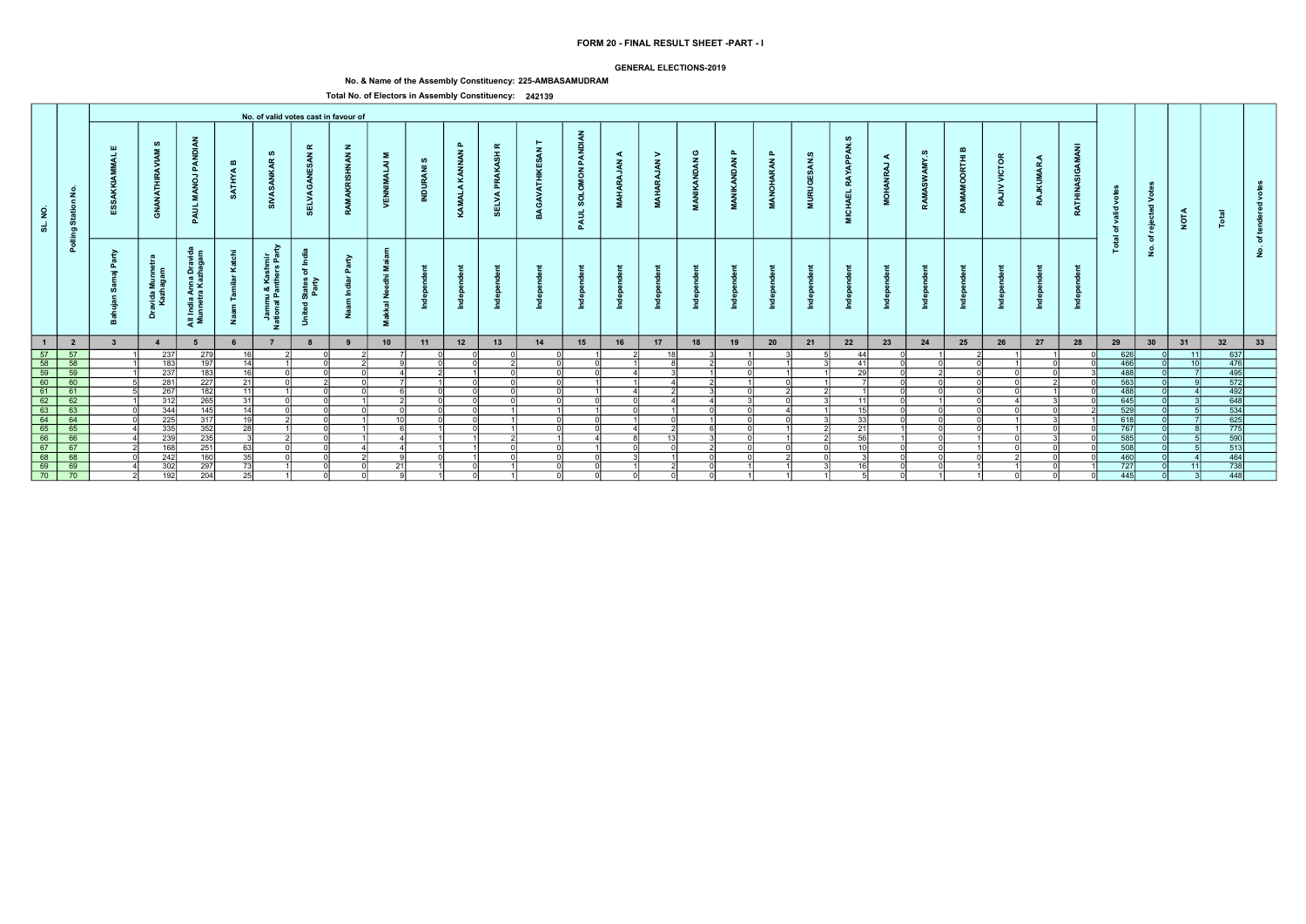### GENERAL ELECTIONS-2019

# No. & Name of the Assembly Constituency: 225-AMBASAMUDRAM

|                                                                                                                                                            |                                                                                     |                         |                            |                                                  |                              |                                                             |                                                        | No. of valid votes cast in favour of |                                       |                          |                               |                                     |              |                                               |                                        |                                          |                            |                                            |                                     |                                    |                                                   |                           |            |                      |                               |                                      |                             |                                      |                                                     |             |                                                                                           |                     |  |
|------------------------------------------------------------------------------------------------------------------------------------------------------------|-------------------------------------------------------------------------------------|-------------------------|----------------------------|--------------------------------------------------|------------------------------|-------------------------------------------------------------|--------------------------------------------------------|--------------------------------------|---------------------------------------|--------------------------|-------------------------------|-------------------------------------|--------------|-----------------------------------------------|----------------------------------------|------------------------------------------|----------------------------|--------------------------------------------|-------------------------------------|------------------------------------|---------------------------------------------------|---------------------------|------------|----------------------|-------------------------------|--------------------------------------|-----------------------------|--------------------------------------|-----------------------------------------------------|-------------|-------------------------------------------------------------------------------------------|---------------------|--|
| $\overline{2}$<br>ಕ                                                                                                                                        | Station No.                                                                         | Ш                       | ဖာ<br>ANATH<br>ු           | PANDI<br>$\overline{a}$<br>- 2<br>PAUL           | $\mathbf{m}$<br><b>ATHYA</b> | ဖာ<br>$\alpha$<br>್ಯ                                        | $\alpha$<br>$\mathbf{z}$<br>ELVA                       | $\mathbf{z}$<br><b>NAN</b>           | Σ<br>$\bar{z}$<br>. F<br>VENN         | ဖ<br>$\bar{z}$<br>INDUR, | $\mathbf{a}$<br>KAMALA KANNAN | $\alpha$<br>PRAKASH<br><b>SELVA</b> | $\mathbf{z}$ | PANDIAN<br><b>MON</b><br><b>SOLOI</b><br>PAUL | ◀<br>$\tilde{\mathbf{z}}$<br>á<br>MAHA | $\geq$<br>$\tilde{A}$<br>AR <sub>4</sub> | ပ<br><b>VANDAN</b><br>MANI | $\mathbf{a}$<br><b>NDAN</b><br>$\tilde{A}$ | $\mathbf{a}$<br><b>RAN</b><br>ANOH, | ဖာ<br>$\tilde{a}$<br><b>MURUGE</b> | <b>APPAN</b><br><b>RAY</b><br><b>ICHAEL</b><br>ē. | ◀<br>,<br>ă<br><b>HOM</b> | AMY.S<br>Š | മ<br>ORTHI<br>RAMAMO | <b>VICTOR</b><br>$\geq$<br>RA | ◀<br><b><i><u>UMAR</u></i></b><br>RA | GAMANI<br>z<br><b>RATHI</b> | yot<br>valid<br>ঁত<br>$\overline{a}$ | $\circ$<br>$\geq$<br>$\overline{\phantom{a}}$<br>ႜၑ | <b>NOTA</b> |                                                                                           |                     |  |
|                                                                                                                                                            | Polling                                                                             | <b>P</b><br>௳<br>- 10   | Dravida Munnet<br>Kazhagam | ੰਦੂੰ<br>All India Anna Dravi<br>Munnetra Kazhaga | ⊻<br>ž                       | ਣ<br>shmir<br>ars Par<br>Jammu & Kas<br>ational Panthe<br>z | States of Ind<br>Party<br>$\overline{\sigma}$<br>Unite | ়≥<br>゠゠                             | - 2<br>- 12<br>$rac{z}{a}$<br>送<br>Σ. |                          |                               |                                     |              |                                               |                                        |                                          |                            |                                            |                                     |                                    |                                                   |                           |            |                      |                               |                                      |                             | <u>is</u>                            | ঁচ<br>$\dot{\mathbf{z}}$                            |             |                                                                                           | ৢ৳<br>$\frac{9}{2}$ |  |
| $\overline{1}$                                                                                                                                             | $\overline{\mathbf{2}}$                                                             | $\overline{\mathbf{3}}$ | $\overline{4}$             | 5                                                |                              | $\overline{7}$                                              | 8                                                      | 9                                    | 10                                    | 11                       | 12                            | 13                                  | 14           | 15                                            | 16                                     | 17                                       | 18                         | 19                                         | 20                                  | 21                                 | 22                                                | 23                        | 24         | 25                   | 26                            | 27                                   | 28                          | 29                                   | 30                                                  | 31          | 32                                                                                        | 33                  |  |
| $\frac{57}{68}$<br>$\frac{58}{60}$<br>$\frac{60}{61}$<br>$\frac{62}{63}$<br>$\frac{63}{64}$<br>$\frac{66}{65}$<br>$\frac{67}{68}$<br>$\frac{69}{69}$<br>70 | 57                                                                                  |                         | 237                        | 279                                              | 16 <sup>1</sup>              |                                                             |                                                        |                                      |                                       |                          |                               |                                     |              |                                               |                                        | 18I                                      |                            |                                            |                                     |                                    | $\Delta\Delta$                                    |                           |            |                      |                               |                                      |                             | 626                                  |                                                     | 11          | 637                                                                                       |                     |  |
|                                                                                                                                                            | $\overline{58}$                                                                     |                         | 183                        | 197                                              | 14                           |                                                             |                                                        |                                      |                                       |                          |                               |                                     | ി            | ΩI                                            |                                        |                                          |                            |                                            |                                     |                                    | 41                                                |                           |            |                      |                               |                                      |                             | 466                                  |                                                     | 10          | 476                                                                                       |                     |  |
|                                                                                                                                                            | $\begin{array}{r}\n 60 \\  \hline\n 60 \\  61 \\  \hline\n 62 \\  63\n \end{array}$ |                         | 237                        | 183                                              | 16                           |                                                             |                                                        |                                      |                                       |                          |                               |                                     | $\Omega$     | ΩI                                            |                                        |                                          |                            |                                            |                                     |                                    | 29                                                |                           |            |                      |                               |                                      |                             | 488                                  |                                                     |             | $\frac{495}{572}$                                                                         |                     |  |
|                                                                                                                                                            |                                                                                     |                         | 281                        | 227                                              | 21                           |                                                             |                                                        |                                      |                                       |                          |                               |                                     | ΩI           |                                               |                                        |                                          |                            |                                            |                                     |                                    |                                                   |                           |            |                      |                               |                                      |                             | 563                                  |                                                     |             |                                                                                           |                     |  |
|                                                                                                                                                            |                                                                                     |                         | 267                        | 182                                              | 11                           |                                                             |                                                        |                                      |                                       |                          |                               |                                     | ΩI           |                                               |                                        |                                          |                            |                                            |                                     |                                    |                                                   |                           |            |                      |                               |                                      |                             | 488                                  |                                                     |             | $\frac{492}{648}$ $\frac{534}{625}$                                                       |                     |  |
|                                                                                                                                                            |                                                                                     |                         | 312                        | 265                                              | 31                           |                                                             |                                                        |                                      |                                       |                          |                               |                                     | വ            | വ                                             |                                        |                                          |                            |                                            |                                     |                                    | -11                                               |                           |            |                      |                               |                                      |                             | 645                                  |                                                     |             |                                                                                           |                     |  |
|                                                                                                                                                            |                                                                                     |                         | 344                        | 145                                              | 14                           |                                                             |                                                        |                                      | 10 <sup>1</sup>                       |                          |                               |                                     |              |                                               |                                        |                                          |                            |                                            |                                     |                                    | 15                                                |                           |            |                      |                               |                                      |                             | 529                                  |                                                     |             |                                                                                           |                     |  |
|                                                                                                                                                            | 64                                                                                  |                         | 225                        | 317                                              | 19                           |                                                             |                                                        |                                      |                                       |                          |                               |                                     | nl           | nl                                            |                                        | $\cap$                                   |                            |                                            |                                     |                                    | 33                                                |                           |            |                      |                               |                                      |                             | 618                                  |                                                     |             |                                                                                           |                     |  |
|                                                                                                                                                            | 65                                                                                  |                         | 335                        | 352                                              | 28                           |                                                             |                                                        |                                      |                                       |                          |                               |                                     | ി            | ∩l                                            |                                        |                                          |                            |                                            |                                     |                                    | $\overline{21}$                                   |                           |            |                      |                               |                                      |                             | 767                                  |                                                     |             | $\begin{array}{r}\n 775 \\  \hline\n 590 \\  \hline\n 513 \\  \hline\n 464\n \end{array}$ |                     |  |
|                                                                                                                                                            | $\frac{66}{67}$                                                                     |                         | 239                        | 235                                              |                              |                                                             |                                                        |                                      |                                       |                          |                               |                                     |              | $\Delta$                                      |                                        | 13 <sup>1</sup>                          |                            |                                            |                                     |                                    | 56<br>10                                          |                           |            |                      |                               |                                      |                             | 585                                  |                                                     |             |                                                                                           |                     |  |
|                                                                                                                                                            |                                                                                     |                         | 168                        | 251                                              | 63                           |                                                             |                                                        |                                      |                                       |                          |                               |                                     | വ            |                                               | ΩI                                     | ΩI                                       |                            |                                            |                                     |                                    |                                                   |                           |            |                      |                               |                                      |                             | 508                                  |                                                     |             |                                                                                           |                     |  |
|                                                                                                                                                            | 68                                                                                  |                         | 242                        | 160                                              | $\overline{35}$              |                                                             |                                                        |                                      |                                       |                          |                               |                                     |              |                                               |                                        |                                          |                            |                                            |                                     |                                    |                                                   |                           |            |                      |                               |                                      |                             | 460                                  |                                                     |             |                                                                                           |                     |  |
|                                                                                                                                                            | $\frac{1}{69}$                                                                      |                         | 302                        | 297                                              | 73                           |                                                             |                                                        |                                      | 21                                    |                          |                               |                                     | $\Omega$     | ΩI                                            |                                        |                                          |                            |                                            |                                     |                                    |                                                   |                           |            |                      |                               |                                      |                             | 727                                  |                                                     |             | $\frac{1}{738}$                                                                           |                     |  |
|                                                                                                                                                            | $\overline{70}$                                                                     |                         | 192                        | 204                                              | 25                           |                                                             |                                                        |                                      |                                       |                          |                               |                                     | - ol         | - Ol                                          | $\Omega$                               | $\Omega$                                 |                            |                                            |                                     |                                    |                                                   |                           |            |                      |                               |                                      |                             | 445                                  |                                                     |             | 448                                                                                       |                     |  |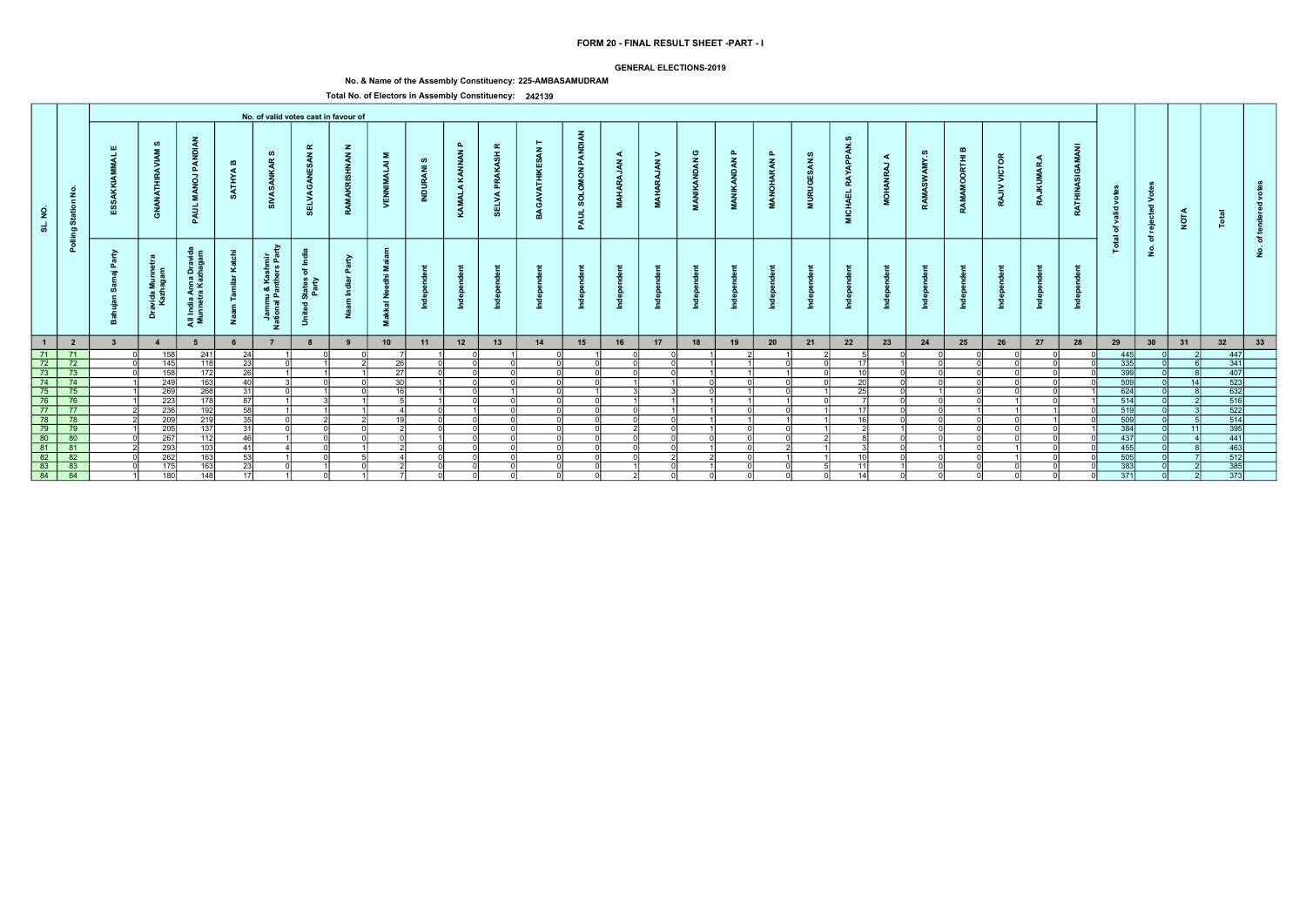### GENERAL ELECTIONS-2019

# No. & Name of the Assembly Constituency: 225-AMBASAMUDRAM

|                                                                                     |                                                                                                          |                    |                                           |                                                                      |                       |                                                   |                                                                                                      | No. of valid votes cast in favour of |                                 |                               |                               |                                                  |        |                                   |                                          |                                    |                             |                              |                                  |                         |                                                       |                                                                          |                          |                             |                          |                     |                 |                                |                                         |             |                                                                              |              |  |
|-------------------------------------------------------------------------------------|----------------------------------------------------------------------------------------------------------|--------------------|-------------------------------------------|----------------------------------------------------------------------|-----------------------|---------------------------------------------------|------------------------------------------------------------------------------------------------------|--------------------------------------|---------------------------------|-------------------------------|-------------------------------|--------------------------------------------------|--------|-----------------------------------|------------------------------------------|------------------------------------|-----------------------------|------------------------------|----------------------------------|-------------------------|-------------------------------------------------------|--------------------------------------------------------------------------|--------------------------|-----------------------------|--------------------------|---------------------|-----------------|--------------------------------|-----------------------------------------|-------------|------------------------------------------------------------------------------|--------------|--|
| $\epsilon$<br>್ಯ                                                                    | £<br>$\epsilon$<br>Star<br>ರಾ                                                                            | ய                  | ဖာ<br>$\tilde{\mathbf{z}}$<br>푽<br>È<br>ේ | PANDI<br>$\vec{g}$<br>PAUL                                           | $\mathbf{m}$<br>ATHYA | ဖာ<br>$\alpha$<br>್                               | ≃<br>$\mathbf{z}$<br>- ဟ<br>豐<br><b>SELVA</b>                                                        | $\mathbf{z}$<br><b>NAN</b>           | Σ<br>ৰ<br><b>NEW</b>            | ဖ<br>$\overline{z}$<br>ă<br>E | $\mathbf{a}$<br>KAMALA KANNAN | $\pmb{\alpha}$<br><b>PRAKASH</b><br><b>SELVA</b> |        | <b>PANDIAN</b><br>SOLOMON<br>PAUL | ◀<br>$\tilde{\mathbf{z}}$<br><b>MAHA</b> | $\geq$<br>$\tilde{A}$<br><b>DR</b> | ပ<br><b>IKANDAN</b><br>MANI | മ<br><b>AN</b><br><b>NAN</b> | $\mathbf{r}$<br>RAN<br><b>DA</b> | ဖာ<br><b>URUGI</b><br>Ē | Ø<br><b>APPAN</b><br><b>RAY</b><br><b>CHAEL</b><br>Ξ. | $\blacktriangleleft$<br>$\overline{\phantom{a}}$<br>ΡÃ<br>$\vec{5}$<br>ž | AMY.S<br>SW <sub>3</sub> | മ<br>RTHI<br>ō<br>Š<br>RAMA | <b>VICTOR</b><br>><br>RA | ◀<br>MAR.<br>Ī<br>R | GAMANI<br>RATHI | o<br>ಾ<br>ঁত<br>$\overline{a}$ | $\geq$<br>$\overline{\mathbf{c}}$<br>ဗ္ | <b>NOTA</b> |                                                                              |              |  |
|                                                                                     | Pollin                                                                                                   | ≥<br>௳<br>$\equiv$ | $\epsilon$<br>avida Mu<br>Kazhaga<br>ă    | $\epsilon$<br>୍ବ ପ୍<br>ıdia Anna Dr.<br>Inetra Kazha<br>- 오<br>ੁੜ ≅ੋ | ⊻<br>Ž                | ₽<br>들 훈<br>- 동 있<br>ımu & Kas<br>ıal Panth∽<br>z | - 독<br>$\overleftarrow{\mathrm{o}}$<br>States<br>Party<br>$\overline{\phantom{a}}$<br>$\overline{5}$ | $\epsilon$<br><b>p</b>               | ż<br>$\overline{a}$<br>∽<br>- 2 |                               |                               |                                                  |        |                                   |                                          |                                    |                             |                              |                                  |                         |                                                       |                                                                          |                          |                             |                          |                     |                 | <u>is</u>                      | ঁচ<br>$\dot{\mathbf{z}}$                |             |                                                                              | $\circ$<br>٤ |  |
| $\blacksquare$                                                                      | $\overline{\mathbf{2}}$                                                                                  |                    | $\overline{4}$                            | 5                                                                    |                       |                                                   |                                                                                                      |                                      | 10                              | 11                            | 12                            | 13                                               | 14     | 15                                | 16                                       | 17                                 | 18                          | 19                           | 20                               | 21                      | 22                                                    | 23                                                                       | 24                       | 25                          | 26                       | 27                  | 28              | 29                             | 30                                      | 31          | 32                                                                           | 33           |  |
|                                                                                     |                                                                                                          |                    | 158                                       | 241                                                                  | -24                   |                                                   |                                                                                                      |                                      |                                 |                               |                               |                                                  |        |                                   |                                          |                                    |                             |                              |                                  |                         |                                                       |                                                                          |                          |                             |                          |                     |                 | 445                            |                                         |             | 447                                                                          |              |  |
| $\frac{1}{72}$                                                                      | $\overline{72}$                                                                                          |                    | 145                                       | 118                                                                  | -231                  |                                                   |                                                                                                      |                                      | $\overline{26}$                 |                               |                               |                                                  |        |                                   | $\cap$                                   | $\Omega$                           |                             |                              |                                  |                         | 17                                                    |                                                                          |                          |                             |                          |                     |                 | 335                            |                                         |             | 341                                                                          |              |  |
| $\overline{73}$                                                                     | $\overline{73}$                                                                                          |                    | 158                                       | 172                                                                  | -261                  |                                                   |                                                                                                      |                                      | 27                              |                               |                               |                                                  |        |                                   |                                          | $\Omega$                           |                             |                              |                                  |                         | 10                                                    |                                                                          |                          |                             |                          |                     |                 | 399                            |                                         |             | $\begin{array}{r} 341 \\ 407 \\ 523 \\ 632 \\ 516 \\ 522 \\ 514 \end{array}$ |              |  |
|                                                                                     | $74$ 74                                                                                                  |                    | 249                                       | 163                                                                  | 40                    |                                                   |                                                                                                      |                                      | 30                              |                               |                               |                                                  |        |                                   |                                          |                                    | $\Omega$                    | n                            |                                  |                         | 20                                                    |                                                                          |                          |                             |                          |                     |                 | 509                            |                                         | 14          |                                                                              |              |  |
|                                                                                     | $\begin{array}{ c c c c }\n\hline\n75 & 75 \\ \hline\n76 & 76 \\ \hline\n77 & 77 \\ \hline\n\end{array}$ |                    | 269                                       | 268                                                                  | -31                   |                                                   |                                                                                                      |                                      | 16                              |                               |                               |                                                  |        |                                   |                                          |                                    | ωı                          |                              |                                  |                         | 25                                                    |                                                                          |                          |                             |                          |                     |                 | 624                            |                                         |             |                                                                              |              |  |
|                                                                                     |                                                                                                          |                    | $\overline{223}$                          | 178                                                                  | 87 I                  |                                                   |                                                                                                      |                                      |                                 |                               |                               |                                                  |        |                                   |                                          |                                    |                             |                              |                                  |                         |                                                       |                                                                          |                          |                             |                          |                     |                 | 514                            |                                         |             |                                                                              |              |  |
|                                                                                     |                                                                                                          |                    | $\overline{236}$                          | 192                                                                  | 58                    |                                                   |                                                                                                      |                                      | 10                              |                               |                               |                                                  |        |                                   |                                          |                                    |                             |                              |                                  |                         | 17<br>16                                              |                                                                          |                          |                             |                          |                     |                 | 519                            |                                         |             |                                                                              |              |  |
| 78                                                                                  | 78                                                                                                       |                    | 209                                       | 219                                                                  | 35                    |                                                   |                                                                                                      |                                      |                                 |                               | $\cap$                        |                                                  | $\sim$ |                                   | $\Omega$                                 | $\Omega$                           |                             |                              |                                  |                         |                                                       |                                                                          |                          |                             |                          |                     |                 | 509                            |                                         |             |                                                                              |              |  |
|                                                                                     | 79                                                                                                       |                    | 205                                       | 137                                                                  | 31                    |                                                   |                                                                                                      |                                      |                                 |                               | $\cap$                        | $\cap$                                           |        | $\cap$                            | $\mathcal{D}$                            | ി                                  |                             | ΩI                           | ΩI                               |                         |                                                       |                                                                          |                          |                             |                          |                     |                 | 384                            |                                         | 11          | $\overline{395}$                                                             |              |  |
|                                                                                     | 80                                                                                                       |                    | 267                                       | 112                                                                  | 46                    |                                                   |                                                                                                      |                                      |                                 |                               | ി                             |                                                  |        |                                   | $\cap$                                   | $\cap$                             | $\cap$                      | ΩI                           | ΩI                               |                         |                                                       |                                                                          |                          |                             |                          |                     |                 | 437                            |                                         |             | $\frac{441}{463}$                                                            |              |  |
|                                                                                     | 81                                                                                                       |                    | $\overline{293}$                          | 103                                                                  | 41                    |                                                   |                                                                                                      |                                      |                                 |                               |                               |                                                  |        |                                   | ΩI                                       | $\cap$                             |                             | ΩI                           |                                  |                         |                                                       |                                                                          |                          |                             |                          |                     |                 | 455                            |                                         |             |                                                                              |              |  |
| $\begin{array}{r} \n 180 \\  \hline\n 80 \\  81 \\  82 \\  83 \\  84\n \end{array}$ | 82                                                                                                       |                    | 262                                       | 163                                                                  | 53                    |                                                   |                                                                                                      |                                      |                                 |                               |                               |                                                  |        |                                   |                                          |                                    |                             |                              |                                  |                         |                                                       |                                                                          |                          |                             |                          |                     |                 | 505                            |                                         |             |                                                                              |              |  |
|                                                                                     | 83                                                                                                       |                    | 175                                       | 163                                                                  | <b>23</b>             |                                                   |                                                                                                      |                                      |                                 |                               |                               |                                                  |        |                                   |                                          |                                    |                             |                              |                                  |                         | $-11$                                                 |                                                                          |                          |                             |                          |                     |                 | $\overline{383}$               |                                         |             | $\frac{385}{373}$                                                            |              |  |
|                                                                                     | 84                                                                                                       |                    | 180                                       | 148                                                                  | - 17 I                |                                                   |                                                                                                      |                                      |                                 |                               |                               |                                                  |        | ΩI                                | $\mathcal{D}$                            | $\Omega$                           | ΩI                          | 0l                           |                                  |                         | 14                                                    |                                                                          |                          |                             |                          |                     |                 | $\overline{371}$               |                                         |             |                                                                              |              |  |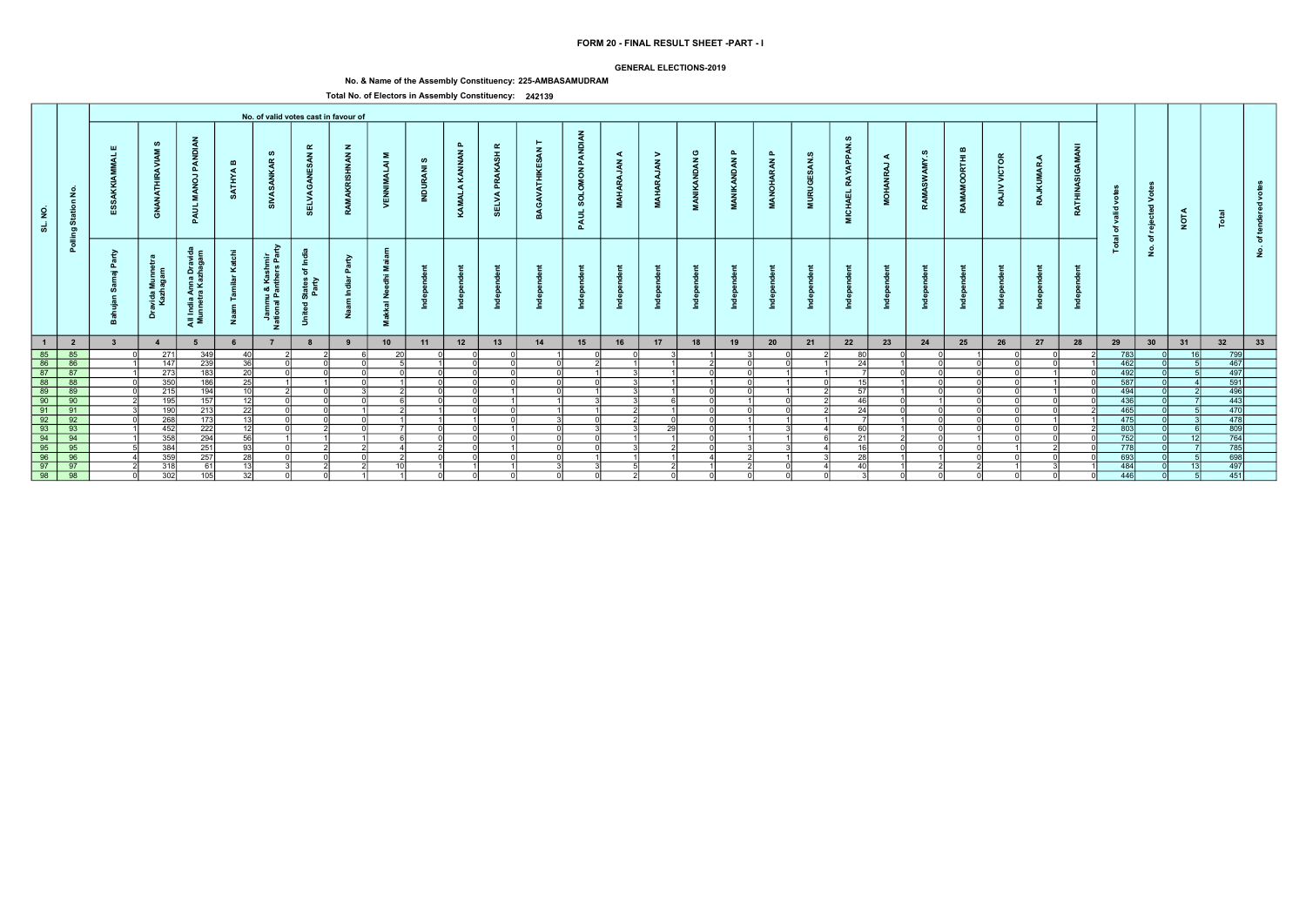### GENERAL ELECTIONS-2019

# No. & Name of the Assembly Constituency: 225-AMBASAMUDRAM

|                                                          |                                                                         |                         |                                |                                                   |                              |                                                             |                                                        | No. of valid votes cast in favour of |                                       |                           |                               |                                     |              |                                               |                                            |                                                        |                            |                                            |                                     |                                    |                                                  |                           |            |                      |                              |                                      |                             |                                      |                                                     |                 |                                                                                           |                          |  |
|----------------------------------------------------------|-------------------------------------------------------------------------|-------------------------|--------------------------------|---------------------------------------------------|------------------------------|-------------------------------------------------------------|--------------------------------------------------------|--------------------------------------|---------------------------------------|---------------------------|-------------------------------|-------------------------------------|--------------|-----------------------------------------------|--------------------------------------------|--------------------------------------------------------|----------------------------|--------------------------------------------|-------------------------------------|------------------------------------|--------------------------------------------------|---------------------------|------------|----------------------|------------------------------|--------------------------------------|-----------------------------|--------------------------------------|-----------------------------------------------------|-----------------|-------------------------------------------------------------------------------------------|--------------------------|--|
| $\frac{9}{2}$<br>ಕ                                       | Station No.                                                             | Ш                       | ဖာ<br>ANATH<br>$\vec{6}$       | PANDI<br>$\overline{a}$<br>- 2<br>PAUL            | $\mathbf{m}$<br><b>ATHYA</b> | ဖာ<br>$\alpha$<br>್ಯ                                        | $\alpha$<br>$\mathbf{z}$<br>ELVA                       | $\mathbf{z}$<br><b>NAN</b><br>풊      | Σ<br>$\bar{z}$<br>. F<br>VENN         | ဖာ<br>$\bar{z}$<br>INDUR, | $\mathbf{a}$<br>KAMALA KANNAN | $\alpha$<br>PRAKASH<br><b>SELVA</b> | $\mathbf{z}$ | PANDIAN<br><b>MON</b><br><b>SOLOI</b><br>PAUL | ◀<br>$\tilde{\mathbf{z}}$<br><b>MAHARA</b> | $\geq$<br>$\tilde{A}$<br>AR <sub>4</sub><br><b>MAH</b> | ပ<br><b>VANDAN</b><br>MANI | $\mathbf{a}$<br><b>NDAN</b><br>$\tilde{A}$ | $\mathbf{a}$<br><b>RAN</b><br>ANOH, | ဖာ<br>$\tilde{A}$<br><b>MURUGE</b> | <b>APPAN</b><br><b>RAY</b><br><b>CHAEL</b><br>ē. | ◀<br>,<br>ă<br><b>HOM</b> | AMY.S<br>Š | മ<br>ORTHI<br>RAMAMO | <b>VICTOR</b><br>$\geq$<br>R | ◀<br><b><i><u>UMAR</u></i></b><br>RA | GAMANI<br>z<br><b>RATHI</b> | yot<br>valid<br>ঁত<br>$\overline{a}$ | $\circ$<br>$\geq$<br>$\overline{\phantom{a}}$<br>ႜၑ | <b>NOTA</b>     |                                                                                           |                          |  |
|                                                          | Polling                                                                 | <b>P</b><br>௳<br>- 10   | ravida Munnet<br>Kazhagam<br>ă | ੰਦੂੰ<br>All India Anna Dravi<br>Munnetra Kazhagaı | ⊻<br>Ž                       | ਣ<br>shmir<br>ars Par<br>Jammu & Kas<br>ational Panthe<br>z | States of Inc<br>Party<br>$\overline{\sigma}$<br>Unite | ়≥<br>゠゠                             | - 2<br>- 12<br>$rac{z}{a}$<br>送<br>Σ. |                           |                               |                                     |              |                                               |                                            |                                                        |                            |                                            |                                     |                                    |                                                  |                           |            |                      |                              |                                      |                             | <u>is</u>                            | ঁচ<br>$\dot{\mathbf{z}}$                            |                 |                                                                                           | $\circ$<br>$\frac{9}{2}$ |  |
| $\overline{1}$                                           | $\overline{\mathbf{2}}$                                                 | $\overline{\mathbf{3}}$ | $\overline{4}$                 | 5                                                 |                              | $\overline{7}$                                              | 8                                                      | 9                                    | 10                                    | 11                        | 12                            | 13                                  | 14           | 15                                            | 16                                         | 17                                                     | 18                         | 19                                         | 20                                  | 21                                 | 22                                               | 23                        | 24         | 25                   | 26                           | 27                                   | 28                          | 29                                   | 30                                                  | 31              | 32                                                                                        | 33                       |  |
| 85<br>86<br>87<br>88<br>99<br>99<br>95<br>96<br>97<br>98 | 85                                                                      |                         | 271                            | 349                                               | 40                           |                                                             |                                                        |                                      | 20                                    |                           |                               |                                     |              |                                               |                                            |                                                        |                            |                                            |                                     |                                    | 80                                               |                           |            |                      |                              |                                      |                             | 783                                  |                                                     | 16 <sup>1</sup> | 799                                                                                       |                          |  |
|                                                          | 86                                                                      |                         | 147                            | 239                                               | 36                           |                                                             |                                                        |                                      |                                       |                           |                               |                                     | ΩI           |                                               |                                            |                                                        |                            |                                            |                                     |                                    | 24                                               |                           |            |                      |                              |                                      |                             | 462                                  |                                                     |                 | 467                                                                                       |                          |  |
|                                                          | 87                                                                      |                         | 273                            | 183                                               | 20                           |                                                             |                                                        |                                      |                                       |                           |                               |                                     | $\Omega$     |                                               |                                            |                                                        |                            |                                            |                                     |                                    |                                                  |                           |            |                      |                              |                                      |                             | 492                                  |                                                     |                 | $\frac{497}{591}$                                                                         |                          |  |
|                                                          | $\begin{array}{r} 68 \\ 88 \\ 89 \\ \hline 90 \\ \hline 91 \end{array}$ |                         | 350                            | 186                                               | 25                           |                                                             |                                                        |                                      |                                       |                           |                               |                                     | ΩI           | ΩI                                            |                                            |                                                        |                            |                                            |                                     |                                    | 4E                                               |                           |            |                      |                              |                                      |                             | 587                                  |                                                     |                 |                                                                                           |                          |  |
|                                                          |                                                                         |                         | 215                            | 194                                               | 10                           |                                                             |                                                        |                                      |                                       |                           |                               |                                     | ΩI           |                                               |                                            |                                                        |                            |                                            |                                     |                                    | -57                                              |                           |            |                      |                              |                                      |                             | 494                                  |                                                     |                 | $\frac{496}{443}$                                                                         |                          |  |
|                                                          |                                                                         |                         | 195                            | 157                                               | 12 <sup>1</sup>              |                                                             |                                                        |                                      |                                       |                           |                               |                                     |              |                                               |                                            |                                                        |                            |                                            |                                     |                                    | 46                                               |                           |            |                      |                              |                                      |                             | $\overline{436}$                     |                                                     |                 |                                                                                           |                          |  |
|                                                          |                                                                         |                         | 190                            | $\overline{213}$                                  | $\overline{22}$              |                                                             |                                                        |                                      |                                       |                           |                               |                                     |              |                                               |                                            |                                                        |                            |                                            |                                     |                                    | 24                                               |                           |            |                      |                              |                                      |                             | 465                                  |                                                     |                 | 470                                                                                       |                          |  |
|                                                          | 92                                                                      |                         | 268                            | 173                                               | 13                           |                                                             |                                                        |                                      |                                       |                           |                               |                                     |              | ΩI                                            |                                            | $\Omega$                                               |                            |                                            |                                     |                                    |                                                  |                           |            |                      |                              |                                      |                             | 475                                  |                                                     |                 | 478                                                                                       |                          |  |
|                                                          | 93                                                                      |                         | 452                            | 222                                               | $\overline{12}$              |                                                             |                                                        |                                      |                                       |                           | $\Omega$                      |                                     | ി            |                                               |                                            | 29                                                     | $\cap$                     |                                            |                                     |                                    | 60I                                              |                           |            |                      |                              |                                      |                             | 803                                  |                                                     |                 | 809                                                                                       |                          |  |
|                                                          | $\begin{array}{r} \hline 94 \\ \hline 95 \\ \hline 96 \end{array}$      |                         | 358                            | 294                                               | 56                           |                                                             |                                                        |                                      |                                       |                           |                               |                                     | nl           | ΩI                                            |                                            |                                                        |                            |                                            |                                     |                                    | 21                                               |                           |            |                      |                              |                                      |                             | 752                                  |                                                     | 12 <sup>1</sup> | $\begin{array}{r}\n 764 \\  \hline\n 785 \\  \hline\n 698 \\  \hline\n 497\n \end{array}$ |                          |  |
|                                                          |                                                                         |                         | 384                            | 251                                               | $\overline{93}$              |                                                             |                                                        |                                      |                                       |                           |                               |                                     | വ            | - N                                           |                                            |                                                        |                            |                                            |                                     |                                    | 16                                               |                           |            |                      |                              |                                      |                             | 778                                  |                                                     |                 |                                                                                           |                          |  |
|                                                          |                                                                         |                         | 359                            | 257                                               | $\overline{28}$              |                                                             |                                                        |                                      |                                       |                           |                               |                                     |              |                                               |                                            |                                                        |                            |                                            |                                     |                                    | $\overline{25}$                                  |                           |            |                      |                              |                                      |                             | 693                                  |                                                     |                 |                                                                                           |                          |  |
|                                                          | $\frac{1}{97}$                                                          |                         | 318                            | 61                                                | 13 <sup>1</sup>              |                                                             |                                                        |                                      |                                       |                           |                               |                                     |              |                                               |                                            |                                                        |                            |                                            |                                     |                                    | Aſ                                               |                           |            |                      |                              |                                      |                             | 484                                  |                                                     |                 |                                                                                           |                          |  |
|                                                          | $\overline{98}$                                                         |                         | 302                            | 105                                               | 32                           |                                                             |                                                        |                                      |                                       |                           |                               |                                     | - Ol         | - Ol                                          |                                            | $\Omega$                                               | $\Omega$                   |                                            |                                     |                                    |                                                  |                           |            |                      |                              |                                      |                             | 446                                  |                                                     |                 | 451                                                                                       |                          |  |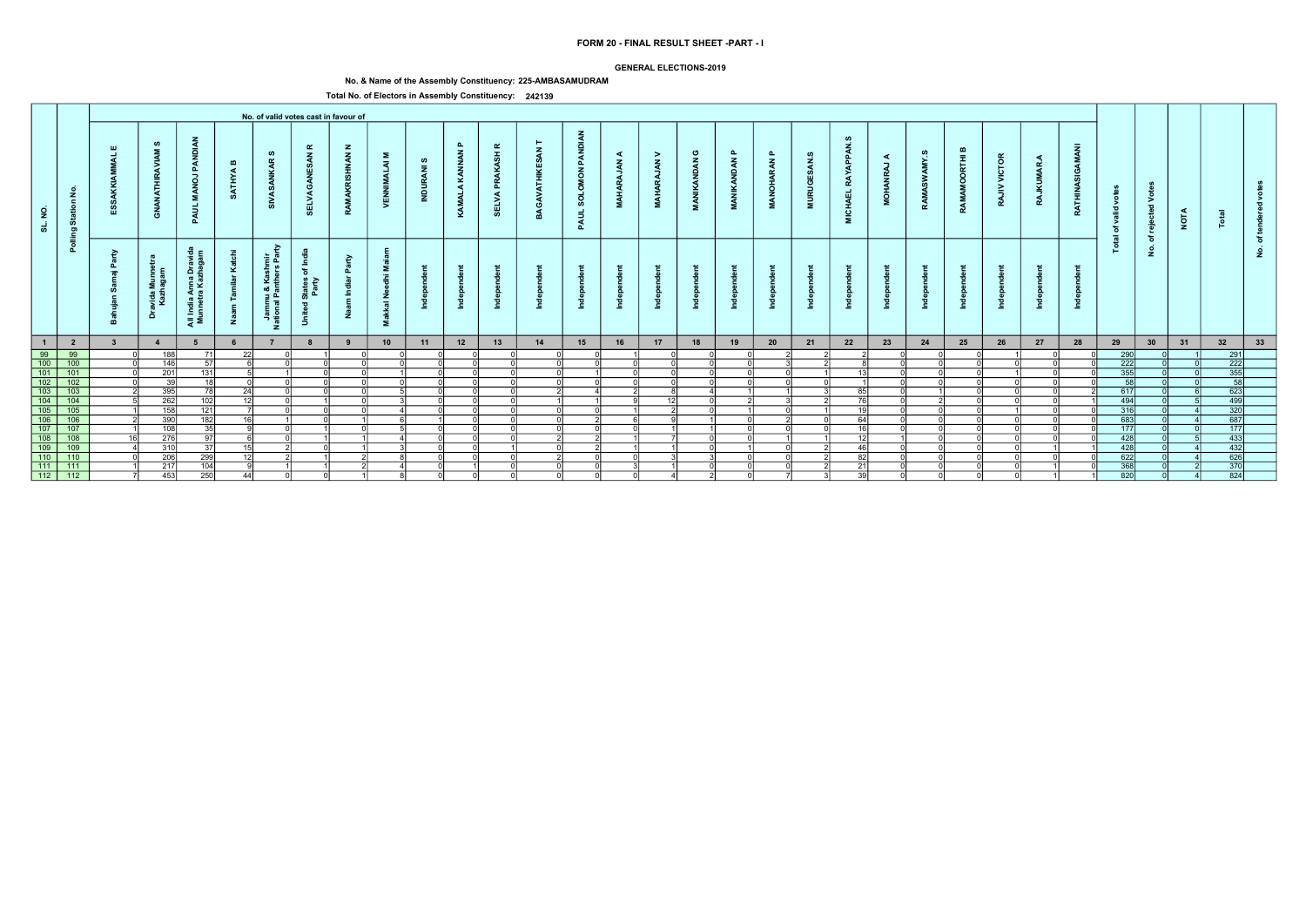### GENERAL ELECTIONS-2019

# No. & Name of the Assembly Constituency: 225-AMBASAMUDRAM

| PANDIAN<br>ဖာ<br>$\mathbf{a}$<br><b>APPAN</b><br>$\alpha$<br>GAMANI<br>$\mathbf{z}$<br>≃<br>Ш<br>$\mathbf{z}$<br>PANDI<br>മ<br>KAMALA KANNAN<br>ပ<br>௨<br>PRAKASH<br>ဖာ<br>ဖာ<br>$\mathbf{a}$<br>$\mathbf{z}$<br><b>NAN</b><br>><br>ဖာ<br>Σ<br>◀<br><b>VICTOR</b><br>$\bar{t}$<br>◀<br>◀<br>AMY.<br>$\tilde{\mathbf{z}}$<br>ဖ<br><b>VANDAN</b><br>$\alpha$<br>RAN<br>$\tilde{a}$<br>$\tilde{A}$<br>$\vec{z}$<br>$\overline{z}$<br>$\mathbf{m}$<br><b><i><u>UMAR</u></i></b><br>-<br>$\overline{a}$<br><b>MON</b><br><b>ATHYA</b><br>£<br>. F<br>풂<br>Ď<br>ō<br><b>RAY</b><br>$\overline{a}$<br>Š<br>ă<br><b>ARA</b><br>INDUR,<br>RAMAMO<br><b>URUGI</b><br>ANOH.<br>ANATH<br>$\geq$<br><b>SOLOI</b><br>z<br>MAHA<br>Station No.<br><b>HOM</b><br><b>CHAEL</b><br>ELVA<br>VEN<br><b>SELVA</b><br>$\circ$<br>MANI<br>$\frac{2}{4}$<br><b>RATHI</b><br>RA<br>- 2<br>್ರಿ<br>RA<br>$\geq$<br>್ಯ<br>Ξ<br>PAUL<br>$\overline{\phantom{a}}$<br>valid<br>$\frac{9}{2}$<br>්ර<br><b>NOTA</b><br>PAUL<br>ē.<br>ಕ<br>ঁত<br>Polling<br>ႜၑ<br>ੁਛ<br>ঁচ<br>৳<br><u>is</u><br>$\dot{\mathbf{2}}$<br>ਣ<br>٤<br>- 2<br>shmir<br>ars Par<br>়≥<br>States of Inc<br>Party<br>l India Anna Drav<br>unnetra Kazhaga<br>௳<br>ravida Munnet<br>Kazhagam<br>- 2<br>⊻<br>$=$<br>- 12<br>Jammu & Kas<br>ational Panthe<br>゠゠<br>$rac{z}{a}$<br>$\overline{\sigma}$<br>Unite<br>送<br>ă<br>ੁੜ ≅<br>Ž<br>Σ.<br>z<br>33<br>$\overline{1}$<br>22<br>28<br>29<br>30<br>31<br>32<br>$\overline{\mathbf{2}}$<br>10<br>12<br>13<br>14<br>15<br>16<br>17<br>18<br>19<br>20<br>21<br>23<br>24<br>25<br>26<br>27<br>11<br>$\overline{\mathbf{3}}$<br>$\overline{4}$<br>8<br>9<br>$\begin{array}{r} 1 \\ 99 \\ 100 \\ 101 \\ 102 \\ 103 \\ 104 \\ 105 \\ 106 \\ \hline \end{array}$<br>$\frac{99}{100}$<br>290<br>291<br>188<br>22<br>71<br>222<br>222<br>146<br>57<br>$\epsilon$<br>nl<br>ΩI<br>ΩI<br>$\begin{array}{r} \hline 355 \\ 58 \end{array}$<br>101<br>355<br>201<br>131<br>$\sqrt{2}$<br>$\sim$<br>$\Omega$<br>102<br>58<br>39<br>18I<br>ΩI<br>ΩI<br>$\begin{array}{r} \hline 103 \\ \hline 104 \\ \hline 105 \end{array}$<br>623<br>617<br>395<br>$\overline{78}$<br>$\overline{24}$<br>R <sub>5</sub><br>$\frac{499}{320}$<br>$\overline{262}$<br>494<br>102<br>- 12 I<br><b>76</b><br>12I<br>316<br>158<br>121<br>$\overline{1}$<br>nl<br>ΩI<br>$\frac{1}{687}$<br>106<br>390<br>683<br>182<br>16 <sup>1</sup><br>64<br>nl<br>$\begin{array}{r} \n 107 \\  \hline\n 108 \\  \hline\n 109 \\  \hline\n 110\n \end{array}$<br>177<br>107<br>108<br>$\overline{35}$<br>177<br>പ<br>16<br>ി<br>$\cap$<br>$\cap$<br>$\sim$<br>$\mathbf{r}$<br>$\Omega$<br>$\begin{array}{r} 433 \\ 432 \\ \hline 626 \end{array}$<br>$\frac{108}{109}$<br>428<br>276<br>$\overline{97}$<br>$\epsilon$<br>$\overline{1}$<br>310<br>37<br>428<br>15 <sup>1</sup><br>46<br>- N<br>$\overline{110}$<br>299<br>622<br>206<br>12<br>82<br>$\frac{115}{111}$<br>370<br>368<br>111<br>217<br>104<br>21<br>$\cap$<br>820<br>824<br>39<br>44<br>- ol<br>- Ol<br>$\Omega$ |                  |     |     |  | No. of valid votes cast in favour of |  |  |  |  |  |  |  |  |  |  |  |  |  |
|-----------------------------------------------------------------------------------------------------------------------------------------------------------------------------------------------------------------------------------------------------------------------------------------------------------------------------------------------------------------------------------------------------------------------------------------------------------------------------------------------------------------------------------------------------------------------------------------------------------------------------------------------------------------------------------------------------------------------------------------------------------------------------------------------------------------------------------------------------------------------------------------------------------------------------------------------------------------------------------------------------------------------------------------------------------------------------------------------------------------------------------------------------------------------------------------------------------------------------------------------------------------------------------------------------------------------------------------------------------------------------------------------------------------------------------------------------------------------------------------------------------------------------------------------------------------------------------------------------------------------------------------------------------------------------------------------------------------------------------------------------------------------------------------------------------------------------------------------------------------------------------------------------------------------------------------------------------------------------------------------------------------------------------------------------------------------------------------------------------------------------------------------------------------------------------------------------------------------------------------------------------------------------------------------------------------------------------------------------------------------------------------------------------------------------------------------------------------------------------------------------------------------------------------------------------------------------------------------------------------------------------------------------------------------------------------------------------------------------------------------------------------------------------------------------------------------------------------------------------------------------------------------------------------------------------------------------------------------------------------------------------------|------------------|-----|-----|--|--------------------------------------|--|--|--|--|--|--|--|--|--|--|--|--|--|
|                                                                                                                                                                                                                                                                                                                                                                                                                                                                                                                                                                                                                                                                                                                                                                                                                                                                                                                                                                                                                                                                                                                                                                                                                                                                                                                                                                                                                                                                                                                                                                                                                                                                                                                                                                                                                                                                                                                                                                                                                                                                                                                                                                                                                                                                                                                                                                                                                                                                                                                                                                                                                                                                                                                                                                                                                                                                                                                                                                                                                 |                  |     |     |  |                                      |  |  |  |  |  |  |  |  |  |  |  |  |  |
|                                                                                                                                                                                                                                                                                                                                                                                                                                                                                                                                                                                                                                                                                                                                                                                                                                                                                                                                                                                                                                                                                                                                                                                                                                                                                                                                                                                                                                                                                                                                                                                                                                                                                                                                                                                                                                                                                                                                                                                                                                                                                                                                                                                                                                                                                                                                                                                                                                                                                                                                                                                                                                                                                                                                                                                                                                                                                                                                                                                                                 |                  |     |     |  |                                      |  |  |  |  |  |  |  |  |  |  |  |  |  |
|                                                                                                                                                                                                                                                                                                                                                                                                                                                                                                                                                                                                                                                                                                                                                                                                                                                                                                                                                                                                                                                                                                                                                                                                                                                                                                                                                                                                                                                                                                                                                                                                                                                                                                                                                                                                                                                                                                                                                                                                                                                                                                                                                                                                                                                                                                                                                                                                                                                                                                                                                                                                                                                                                                                                                                                                                                                                                                                                                                                                                 |                  |     |     |  |                                      |  |  |  |  |  |  |  |  |  |  |  |  |  |
|                                                                                                                                                                                                                                                                                                                                                                                                                                                                                                                                                                                                                                                                                                                                                                                                                                                                                                                                                                                                                                                                                                                                                                                                                                                                                                                                                                                                                                                                                                                                                                                                                                                                                                                                                                                                                                                                                                                                                                                                                                                                                                                                                                                                                                                                                                                                                                                                                                                                                                                                                                                                                                                                                                                                                                                                                                                                                                                                                                                                                 |                  |     |     |  |                                      |  |  |  |  |  |  |  |  |  |  |  |  |  |
|                                                                                                                                                                                                                                                                                                                                                                                                                                                                                                                                                                                                                                                                                                                                                                                                                                                                                                                                                                                                                                                                                                                                                                                                                                                                                                                                                                                                                                                                                                                                                                                                                                                                                                                                                                                                                                                                                                                                                                                                                                                                                                                                                                                                                                                                                                                                                                                                                                                                                                                                                                                                                                                                                                                                                                                                                                                                                                                                                                                                                 |                  |     |     |  |                                      |  |  |  |  |  |  |  |  |  |  |  |  |  |
|                                                                                                                                                                                                                                                                                                                                                                                                                                                                                                                                                                                                                                                                                                                                                                                                                                                                                                                                                                                                                                                                                                                                                                                                                                                                                                                                                                                                                                                                                                                                                                                                                                                                                                                                                                                                                                                                                                                                                                                                                                                                                                                                                                                                                                                                                                                                                                                                                                                                                                                                                                                                                                                                                                                                                                                                                                                                                                                                                                                                                 |                  |     |     |  |                                      |  |  |  |  |  |  |  |  |  |  |  |  |  |
|                                                                                                                                                                                                                                                                                                                                                                                                                                                                                                                                                                                                                                                                                                                                                                                                                                                                                                                                                                                                                                                                                                                                                                                                                                                                                                                                                                                                                                                                                                                                                                                                                                                                                                                                                                                                                                                                                                                                                                                                                                                                                                                                                                                                                                                                                                                                                                                                                                                                                                                                                                                                                                                                                                                                                                                                                                                                                                                                                                                                                 |                  |     |     |  |                                      |  |  |  |  |  |  |  |  |  |  |  |  |  |
|                                                                                                                                                                                                                                                                                                                                                                                                                                                                                                                                                                                                                                                                                                                                                                                                                                                                                                                                                                                                                                                                                                                                                                                                                                                                                                                                                                                                                                                                                                                                                                                                                                                                                                                                                                                                                                                                                                                                                                                                                                                                                                                                                                                                                                                                                                                                                                                                                                                                                                                                                                                                                                                                                                                                                                                                                                                                                                                                                                                                                 |                  |     |     |  |                                      |  |  |  |  |  |  |  |  |  |  |  |  |  |
|                                                                                                                                                                                                                                                                                                                                                                                                                                                                                                                                                                                                                                                                                                                                                                                                                                                                                                                                                                                                                                                                                                                                                                                                                                                                                                                                                                                                                                                                                                                                                                                                                                                                                                                                                                                                                                                                                                                                                                                                                                                                                                                                                                                                                                                                                                                                                                                                                                                                                                                                                                                                                                                                                                                                                                                                                                                                                                                                                                                                                 |                  |     |     |  |                                      |  |  |  |  |  |  |  |  |  |  |  |  |  |
|                                                                                                                                                                                                                                                                                                                                                                                                                                                                                                                                                                                                                                                                                                                                                                                                                                                                                                                                                                                                                                                                                                                                                                                                                                                                                                                                                                                                                                                                                                                                                                                                                                                                                                                                                                                                                                                                                                                                                                                                                                                                                                                                                                                                                                                                                                                                                                                                                                                                                                                                                                                                                                                                                                                                                                                                                                                                                                                                                                                                                 |                  |     |     |  |                                      |  |  |  |  |  |  |  |  |  |  |  |  |  |
|                                                                                                                                                                                                                                                                                                                                                                                                                                                                                                                                                                                                                                                                                                                                                                                                                                                                                                                                                                                                                                                                                                                                                                                                                                                                                                                                                                                                                                                                                                                                                                                                                                                                                                                                                                                                                                                                                                                                                                                                                                                                                                                                                                                                                                                                                                                                                                                                                                                                                                                                                                                                                                                                                                                                                                                                                                                                                                                                                                                                                 |                  |     |     |  |                                      |  |  |  |  |  |  |  |  |  |  |  |  |  |
|                                                                                                                                                                                                                                                                                                                                                                                                                                                                                                                                                                                                                                                                                                                                                                                                                                                                                                                                                                                                                                                                                                                                                                                                                                                                                                                                                                                                                                                                                                                                                                                                                                                                                                                                                                                                                                                                                                                                                                                                                                                                                                                                                                                                                                                                                                                                                                                                                                                                                                                                                                                                                                                                                                                                                                                                                                                                                                                                                                                                                 |                  |     |     |  |                                      |  |  |  |  |  |  |  |  |  |  |  |  |  |
|                                                                                                                                                                                                                                                                                                                                                                                                                                                                                                                                                                                                                                                                                                                                                                                                                                                                                                                                                                                                                                                                                                                                                                                                                                                                                                                                                                                                                                                                                                                                                                                                                                                                                                                                                                                                                                                                                                                                                                                                                                                                                                                                                                                                                                                                                                                                                                                                                                                                                                                                                                                                                                                                                                                                                                                                                                                                                                                                                                                                                 |                  |     |     |  |                                      |  |  |  |  |  |  |  |  |  |  |  |  |  |
|                                                                                                                                                                                                                                                                                                                                                                                                                                                                                                                                                                                                                                                                                                                                                                                                                                                                                                                                                                                                                                                                                                                                                                                                                                                                                                                                                                                                                                                                                                                                                                                                                                                                                                                                                                                                                                                                                                                                                                                                                                                                                                                                                                                                                                                                                                                                                                                                                                                                                                                                                                                                                                                                                                                                                                                                                                                                                                                                                                                                                 |                  |     |     |  |                                      |  |  |  |  |  |  |  |  |  |  |  |  |  |
|                                                                                                                                                                                                                                                                                                                                                                                                                                                                                                                                                                                                                                                                                                                                                                                                                                                                                                                                                                                                                                                                                                                                                                                                                                                                                                                                                                                                                                                                                                                                                                                                                                                                                                                                                                                                                                                                                                                                                                                                                                                                                                                                                                                                                                                                                                                                                                                                                                                                                                                                                                                                                                                                                                                                                                                                                                                                                                                                                                                                                 |                  |     |     |  |                                      |  |  |  |  |  |  |  |  |  |  |  |  |  |
|                                                                                                                                                                                                                                                                                                                                                                                                                                                                                                                                                                                                                                                                                                                                                                                                                                                                                                                                                                                                                                                                                                                                                                                                                                                                                                                                                                                                                                                                                                                                                                                                                                                                                                                                                                                                                                                                                                                                                                                                                                                                                                                                                                                                                                                                                                                                                                                                                                                                                                                                                                                                                                                                                                                                                                                                                                                                                                                                                                                                                 |                  |     |     |  |                                      |  |  |  |  |  |  |  |  |  |  |  |  |  |
|                                                                                                                                                                                                                                                                                                                                                                                                                                                                                                                                                                                                                                                                                                                                                                                                                                                                                                                                                                                                                                                                                                                                                                                                                                                                                                                                                                                                                                                                                                                                                                                                                                                                                                                                                                                                                                                                                                                                                                                                                                                                                                                                                                                                                                                                                                                                                                                                                                                                                                                                                                                                                                                                                                                                                                                                                                                                                                                                                                                                                 | $\overline{112}$ | 453 | 250 |  |                                      |  |  |  |  |  |  |  |  |  |  |  |  |  |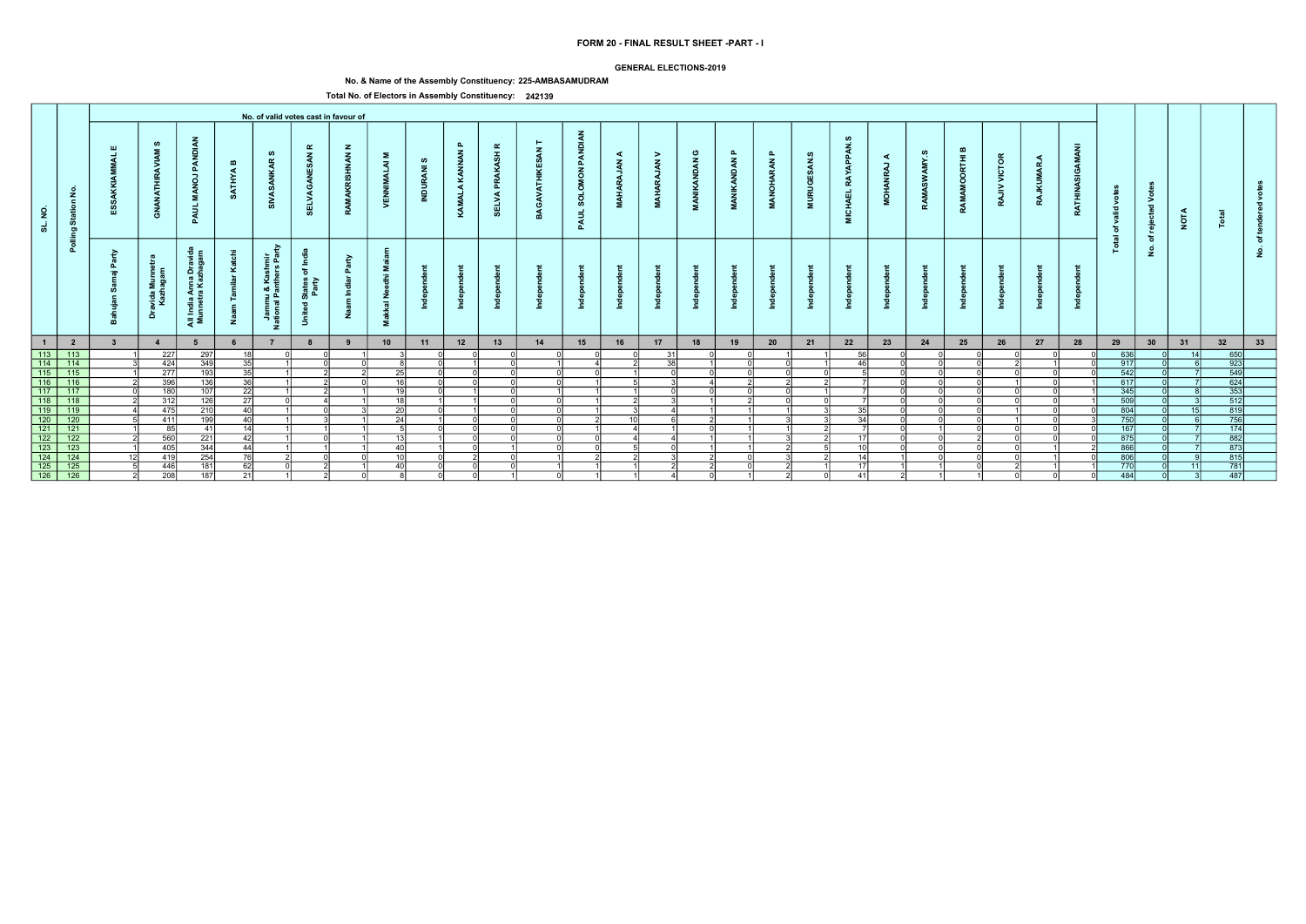### GENERAL ELECTIONS-2019

# No. & Name of the Assembly Constituency: 225-AMBASAMUDRAM

|                                                                                     |                                           |                         |                             |                                                   |                              |                                                       |                                                                                  | No. of valid votes cast in favour of |                                                                                |                     |                               |                                   |          |                                                             |                                   |                                          |                                                   |                        |                                  |                                        |                                        |             |                                |                                    |                        |                 |                         |                        |                                               |             |                                                                                                            |          |  |
|-------------------------------------------------------------------------------------|-------------------------------------------|-------------------------|-----------------------------|---------------------------------------------------|------------------------------|-------------------------------------------------------|----------------------------------------------------------------------------------|--------------------------------------|--------------------------------------------------------------------------------|---------------------|-------------------------------|-----------------------------------|----------|-------------------------------------------------------------|-----------------------------------|------------------------------------------|---------------------------------------------------|------------------------|----------------------------------|----------------------------------------|----------------------------------------|-------------|--------------------------------|------------------------------------|------------------------|-----------------|-------------------------|------------------------|-----------------------------------------------|-------------|------------------------------------------------------------------------------------------------------------|----------|--|
| SL. NO.                                                                             | $\tilde{z}$<br>$\epsilon$<br>Statio<br>ಠಾ |                         | ဖာ<br><b>ANATHIR</b><br>ී   | PAN<br>$\vec{e}$<br>Σ.<br>इ<br>മ                  | $\mathbf{m}$<br><b>ATHYA</b> | ဖာ<br>$\alpha$<br>ž                                   | $\alpha$<br>$\mathbf{z}$<br>s,<br>己                                              | $\mathbf{z}$<br><b>INAN</b>          | Σ.<br>$\overline{z}$<br>್ಷ<br>>                                                | ဖ<br>$\bar{z}$<br>ಸ | $\mathbf{r}$<br>KAMALA KANNAN | $\alpha$<br>ASH<br>௳<br>ELVA<br>ທ | GAV      | <b>DIAN</b><br>PAN<br>$\overline{6}$<br><b>SOLO</b><br>PAUL | ⋖<br>$\tilde{\mathbf{z}}$<br>MAH. | ><br>$\tilde{\mathbf{z}}$<br><b>MAHA</b> | ပ<br>$\tilde{\mathbf{z}}$<br><b>IKAND</b><br>MANI | മ<br><b>MANIKANDAN</b> | മ<br><b>ARAN</b><br><b>MANOH</b> | ဖ<br>ESAN.<br><b>RUGI</b><br>$\vec{a}$ | ഗ<br>APPAN<br>RAY<br><b>CHAEL</b><br>Σ | ⋖<br>,<br>ġ | ဖာ<br>≻<br>$\tilde{s}$<br>RAMA | മ<br>$\bar{E}$<br>$\circ$<br>RAMAI | VICTOR<br>$\geq$<br>RA | <b>RAJKUMAR</b> | c<br>g<br><b>RATHIN</b> | ğ<br>valid<br>ិច<br>ੁਛ | $\circ$<br>⋗<br>$\overline{\mathbf{c}}$<br>ႜၑ | <b>NOTA</b> |                                                                                                            |          |  |
|                                                                                     | Pollin                                    | -a<br>௨<br>$=$          | avida Munr<br>Kazhagan<br>å | Anna Drav<br>ra Kazhaga<br>- - - i<br>- 1<br>ੁੜ ≅ | ž                            | Ğ.<br>들 호<br>Jammu & Kashm<br>ational Panthers F<br>z | -≗<br>$\overline{\mathbf{c}}$<br>States<br>Party<br>$\overline{\mathbf{c}}$<br>ぅ | $\tilde{\mathbf{e}}$                 | Σ.<br>$\ddot{\epsilon}$<br>Ō<br>ے<br>ح<br>$\overline{\overline{6}}$<br>式<br>Σ. |                     |                               |                                   |          |                                                             |                                   |                                          |                                                   |                        |                                  |                                        |                                        |             |                                |                                    |                        |                 |                         | 은                      | ঁচ<br>$\dot{z}$                               |             |                                                                                                            | <u>و</u> |  |
| $\blacksquare$                                                                      | $\overline{\mathbf{2}}$                   | $\overline{\mathbf{3}}$ | 4                           |                                                   |                              |                                                       | 8                                                                                | 9                                    | 10                                                                             | 11                  | 12                            | 13                                | 14       | 15                                                          | 16                                | 17                                       | 18                                                | 19                     | 20                               | 21                                     | 22                                     | 23          | 24                             | 25                                 | 26                     | 27              | 28                      | 29                     | 30                                            | 31          | 32                                                                                                         | 33       |  |
|                                                                                     |                                           |                         | 227                         | 297                                               | 18 I                         |                                                       |                                                                                  |                                      |                                                                                |                     |                               |                                   | ΩI       | ΩI                                                          |                                   | 31                                       |                                                   |                        |                                  |                                        | 56                                     |             |                                |                                    |                        |                 |                         | 636                    |                                               | 14          | $\frac{650}{923}$                                                                                          |          |  |
|                                                                                     | 113 113<br>114 114<br>115 115<br>116 116  |                         | 424                         | 349                                               | -35 l                        |                                                       |                                                                                  |                                      |                                                                                |                     |                               |                                   |          |                                                             |                                   | $\overline{38}$                          |                                                   |                        |                                  |                                        | 46                                     |             |                                |                                    |                        |                 |                         | $\overline{917}$       |                                               |             |                                                                                                            |          |  |
|                                                                                     |                                           |                         | 277                         | 193                                               | 35                           |                                                       |                                                                                  |                                      | 25                                                                             |                     |                               |                                   | $\cap$   | ΩI                                                          |                                   |                                          |                                                   |                        |                                  |                                        |                                        |             |                                |                                    |                        |                 |                         | 542                    |                                               |             | $\frac{549}{624}$                                                                                          |          |  |
|                                                                                     |                                           |                         | 396                         | 136                                               | 36                           |                                                       |                                                                                  |                                      | 16 <sup>1</sup>                                                                |                     |                               |                                   | nl       |                                                             |                                   |                                          |                                                   |                        |                                  |                                        |                                        |             |                                |                                    |                        |                 |                         | 617                    |                                               |             |                                                                                                            |          |  |
| $\boxed{117}$                                                                       | 117                                       |                         | 180                         | 107                                               | $\overline{22}$              |                                                       |                                                                                  |                                      | 19 <sup>1</sup>                                                                |                     |                               |                                   |          |                                                             |                                   |                                          |                                                   |                        |                                  |                                        |                                        |             |                                |                                    |                        |                 |                         | 345                    |                                               |             | $\begin{array}{r} \hline 353 \\ 353 \\ \hline 512 \\ 819 \end{array}$                                      |          |  |
| $\begin{array}{ c c } \hline 118 \\ \hline 119 \\ \hline 120 \\ \hline \end{array}$ | $\overline{118}$                          |                         | 312                         | 126                                               | $\overline{27}$              |                                                       |                                                                                  |                                      | 18I                                                                            |                     |                               |                                   | ΩI       |                                                             |                                   |                                          |                                                   |                        |                                  |                                        |                                        |             |                                |                                    |                        |                 |                         | 509                    |                                               |             |                                                                                                            |          |  |
|                                                                                     | $\overline{119}$                          |                         | 475                         | $\overline{210}$                                  | 40                           |                                                       |                                                                                  |                                      | 20                                                                             |                     |                               |                                   | $\cap$   |                                                             |                                   |                                          |                                                   |                        |                                  |                                        | 35                                     |             |                                |                                    |                        |                 |                         | 804                    |                                               | 15          |                                                                                                            |          |  |
|                                                                                     | 120                                       |                         | 411                         | 199                                               | 40 <sup>1</sup>              |                                                       |                                                                                  |                                      | 24                                                                             |                     |                               |                                   | $\Omega$ |                                                             | 10 <sup>1</sup>                   |                                          |                                                   |                        |                                  |                                        | 34                                     |             |                                |                                    |                        |                 |                         | 750                    |                                               |             | 756                                                                                                        |          |  |
| $\overline{121}$                                                                    | 121                                       |                         | 85                          | 41                                                | $\overline{14}$              |                                                       |                                                                                  |                                      | $\mathbf{r}$                                                                   |                     |                               |                                   | ∩l       |                                                             |                                   |                                          |                                                   |                        |                                  |                                        |                                        |             |                                |                                    |                        |                 |                         | 167                    |                                               |             | $\overline{174}$                                                                                           |          |  |
| $\begin{array}{ c c }\n\hline\n122 \\ \hline\n123\n\end{array}$                     | $\overline{122}$                          |                         | 560                         | 221                                               | 42                           |                                                       |                                                                                  |                                      | 12                                                                             |                     |                               |                                   | ΩI       | ΩI                                                          |                                   |                                          |                                                   |                        |                                  |                                        | $-17$                                  |             |                                |                                    |                        |                 |                         | 875                    |                                               |             | $\begin{array}{r} \n \overline{11} \\  \overline{882} \\  \overline{873} \\  \overline{815}\n \end{array}$ |          |  |
|                                                                                     | 123                                       |                         | 405                         | 344                                               | 44                           |                                                       |                                                                                  |                                      | 40                                                                             |                     |                               |                                   | വ        | ΩI                                                          |                                   | ΩI                                       |                                                   |                        |                                  |                                        | 10                                     |             |                                |                                    |                        |                 |                         | 866                    |                                               |             |                                                                                                            |          |  |
| $\begin{array}{r} \hline 124 \\ \hline 125 \\ \hline 126 \end{array}$               | $\frac{124}{125}$                         |                         | 419                         | 254                                               | 76                           |                                                       |                                                                                  |                                      | 10 <sup>1</sup>                                                                |                     |                               |                                   |          |                                                             |                                   |                                          |                                                   |                        |                                  |                                        |                                        |             |                                |                                    |                        |                 |                         | 806                    |                                               |             |                                                                                                            |          |  |
|                                                                                     |                                           |                         | 446                         | 181                                               | 62                           |                                                       |                                                                                  |                                      | 40                                                                             |                     |                               |                                   |          |                                                             |                                   |                                          |                                                   |                        |                                  |                                        |                                        |             |                                |                                    |                        |                 |                         | 770                    |                                               |             | $\overline{781}$                                                                                           |          |  |
|                                                                                     | $\frac{126}{ }$                           |                         | 208                         | 187                                               | 21                           |                                                       |                                                                                  |                                      |                                                                                |                     |                               |                                   | nl       |                                                             |                                   |                                          |                                                   |                        |                                  |                                        | 41                                     |             |                                |                                    |                        |                 |                         | 484                    |                                               |             | 487                                                                                                        |          |  |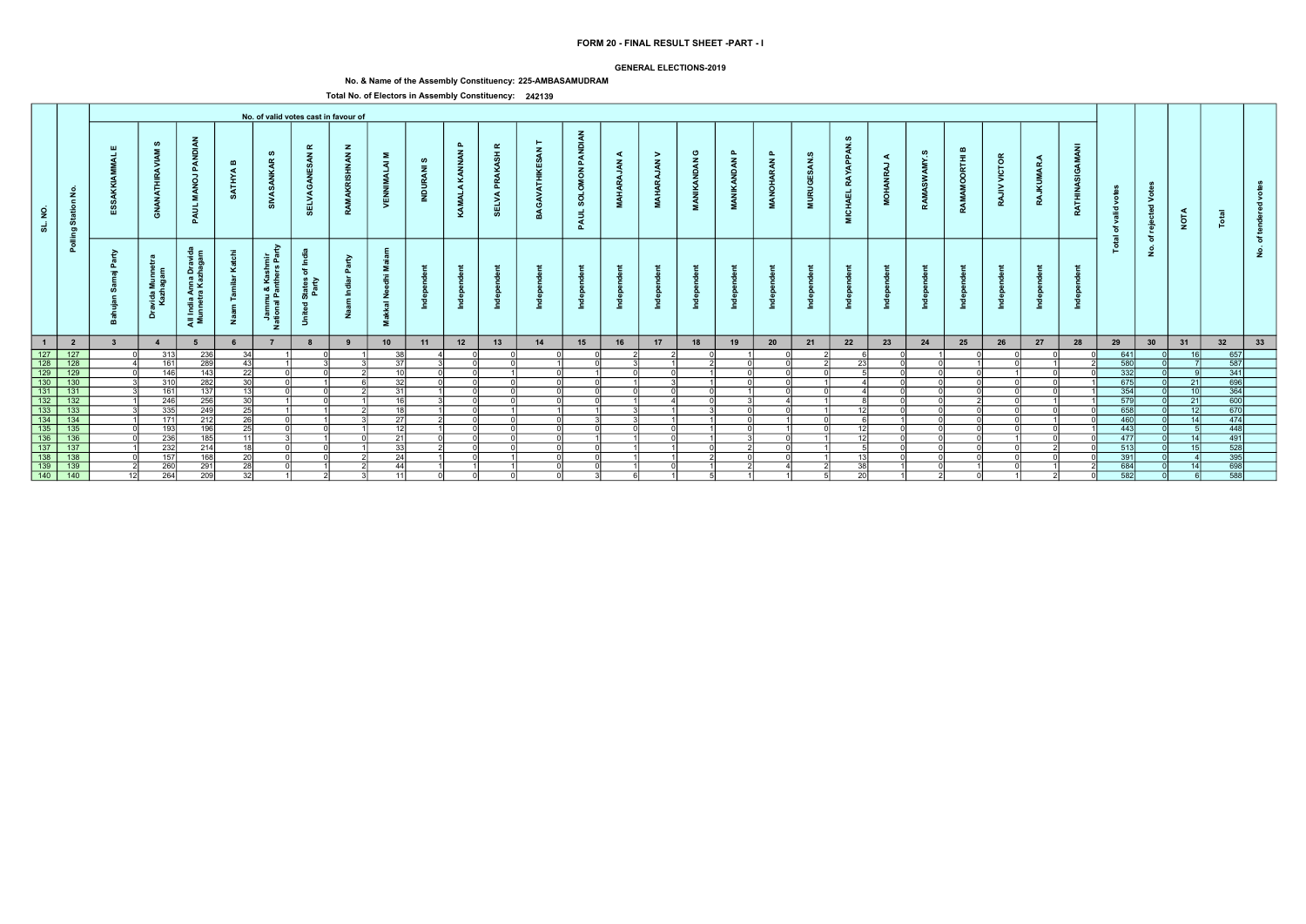### GENERAL ELECTIONS-2019

# No. & Name of the Assembly Constituency: 225-AMBASAMUDRAM

|                                                                                                                                         |                         |                  |                                      |                                          |                              |                                                             |                                                               | No. of valid votes cast in favour of |                                   |                               |                               |                                     |              |                                               |                        |                                |                            |                                                 |                              |                                    |                                                  |                          |            |                                  |                          |                     |                        |                                |                                          |                 |                                                                                                   |        |  |
|-----------------------------------------------------------------------------------------------------------------------------------------|-------------------------|------------------|--------------------------------------|------------------------------------------|------------------------------|-------------------------------------------------------------|---------------------------------------------------------------|--------------------------------------|-----------------------------------|-------------------------------|-------------------------------|-------------------------------------|--------------|-----------------------------------------------|------------------------|--------------------------------|----------------------------|-------------------------------------------------|------------------------------|------------------------------------|--------------------------------------------------|--------------------------|------------|----------------------------------|--------------------------|---------------------|------------------------|--------------------------------|------------------------------------------|-----------------|---------------------------------------------------------------------------------------------------|--------|--|
| $\overline{2}$<br>ಕ                                                                                                                     | Station No.             |                  | ဖာ<br>$\bar{\mathbf{z}}$<br>ਤੋਂ<br>ු | PANDI<br>$\overline{a}$<br>- 2<br>PAUL   | $\mathbf{m}$<br><b>ATHYA</b> | ဖာ<br>$\alpha$<br>あ                                         | ≃<br>$\mathbf{z}$<br>ELVA                                     | $\mathbf{z}$<br><b>NAN</b>           | Σ<br>$\overline{z}$<br>. F<br>VEN | ဖ<br>$\overline{a}$<br>INDUR, | $\mathbf{a}$<br>KAMALA KANNAN | $\alpha$<br>PRAKASH<br><b>SELVA</b> | $\mathbf{z}$ | PANDIAN<br><b>MON</b><br><b>SOLOI</b><br>PAUL | ◀<br>$\vec{z}$<br>MAHA | ><br>$\tilde{A}$<br><b>ARA</b> | ပ<br><b>VANDAN</b><br>MANI | ௨<br>$\tilde{\mathbf{z}}$<br>£<br>$\frac{2}{4}$ | $\mathbf{a}$<br>RAN<br>ANOH, | ဖာ<br>$\tilde{a}$<br><b>MURUGE</b> | <b>APPAN</b><br><b>RAY</b><br><b>CHAEL</b><br>ē. | ◀<br>-<br>$\overline{Q}$ | ဖာ<br>AMY. | മ<br>$\bar{t}$<br>ō<br>Š<br>RAMA | <b>VICTOR</b><br>><br>RA | ◀<br>MAR<br>Ē<br>RA | O<br>z<br><b>RATHI</b> | š<br>ಾ<br>ঁত<br>$\overline{a}$ | $\geq$<br>$\overline{\phantom{a}}$<br>ႜၑ | <b>NOTA</b>     |                                                                                                   |        |  |
|                                                                                                                                         | Polling                 | - 2<br>௨<br>- 10 | avida Munnet<br>Kazhagam<br>å        | All India Anna Dravi<br>Munnetra Kazhaga | ⊻<br>Ž                       | ਣ<br>shmir<br>ars Par<br>Jammu & Kas<br>ational Panthe<br>z | States of Inc<br>Party<br>$\overline{\sigma}$<br><b>Jnite</b> | ়≥<br>드                              | - 12<br>$rac{z}{a}$<br>送<br>Σ.    |                               |                               |                                     |              |                                               |                        |                                |                            |                                                 |                              |                                    |                                                  |                          |            |                                  |                          |                     |                        | <u>is</u>                      | ঁচ<br>$\dot{\mathbf{2}}$                 |                 |                                                                                                   | ৳<br>ۊ |  |
| $\overline{1}$                                                                                                                          | $\overline{\mathbf{2}}$ |                  | $\overline{4}$                       | 5                                        |                              |                                                             | 8                                                             | 9                                    | 10                                | 11                            | 12                            | 13                                  | 14           | 15                                            | 16                     | 17                             | 18                         | 19                                              | 20                           | 21                                 | 22                                               | 23                       | 24         | 25                               | 26                       | 27                  | 28                     | 29                             | 30                                       | 31              | 32                                                                                                | 33     |  |
| $\begin{array}{r} 127 \\ \hline 128 \\ \hline 129 \end{array}$                                                                          | 127                     |                  | 313                                  | 236                                      | 34                           |                                                             |                                                               |                                      | 38 <sup>1</sup>                   |                               |                               |                                     |              |                                               |                        |                                |                            |                                                 |                              |                                    |                                                  |                          |            |                                  |                          |                     |                        | 641                            |                                          | 16 <sup>1</sup> | 657                                                                                               |        |  |
|                                                                                                                                         | $\overline{128}$        |                  | 161                                  | 289                                      | 43                           |                                                             |                                                               |                                      | -37I                              |                               |                               |                                     |              | ΩI                                            |                        |                                |                            |                                                 |                              |                                    | 231                                              |                          |            |                                  |                          |                     |                        | 580                            |                                          |                 | 587                                                                                               |        |  |
|                                                                                                                                         | $\overline{129}$        |                  | 146                                  | 143                                      | 22                           |                                                             |                                                               |                                      | 10 <sup>1</sup>                   |                               |                               |                                     | $\Omega$     |                                               |                        |                                |                            |                                                 |                              |                                    |                                                  |                          |            |                                  |                          |                     |                        | $332$                          |                                          |                 | $\begin{array}{r} \hline 341 \\ \hline 360 \\ \hline 364 \\ \hline 600 \\ \hline 670 \end{array}$ |        |  |
| $\frac{1}{130}$                                                                                                                         | 130                     |                  | 310                                  | 282                                      | 30 <sup>1</sup>              |                                                             |                                                               |                                      | 32                                |                               |                               |                                     | $\Omega$     | ΩI                                            |                        |                                |                            |                                                 |                              |                                    |                                                  |                          |            |                                  |                          |                     |                        | 675                            |                                          | 21              |                                                                                                   |        |  |
|                                                                                                                                         | $\frac{131}{132}$       |                  | 161                                  | 137                                      | 13                           |                                                             |                                                               |                                      | 31                                |                               |                               |                                     | ΩI           | ΩI                                            |                        |                                |                            |                                                 |                              |                                    |                                                  |                          |            |                                  |                          |                     |                        | $\frac{354}{579}$              |                                          | 10              |                                                                                                   |        |  |
|                                                                                                                                         |                         |                  | 246                                  | 256                                      | $\overline{30}$              |                                                             |                                                               |                                      | 16I                               |                               |                               |                                     | വ            | വ                                             |                        |                                |                            |                                                 |                              |                                    |                                                  |                          |            |                                  |                          |                     |                        |                                |                                          | 21              |                                                                                                   |        |  |
|                                                                                                                                         | $\overline{133}$        |                  | $\overline{335}$                     | 249                                      | $\overline{25}$              |                                                             |                                                               |                                      | 18                                |                               |                               |                                     |              |                                               |                        |                                |                            |                                                 |                              |                                    |                                                  |                          |            |                                  |                          |                     |                        | 658                            |                                          | 12              |                                                                                                   |        |  |
| $\frac{131}{132}$<br>$\frac{132}{134}$                                                                                                  | $\frac{1}{134}$         |                  | 171                                  | 212                                      | 26                           |                                                             |                                                               |                                      | 27                                |                               |                               |                                     | nl           |                                               |                        |                                |                            |                                                 |                              |                                    |                                                  |                          |            |                                  |                          |                     |                        | 460                            |                                          | 14              | 474                                                                                               |        |  |
|                                                                                                                                         | $\overline{135}$        |                  | 193                                  | 196                                      | 25                           |                                                             |                                                               |                                      | 12                                |                               |                               |                                     | ി            | $\cap$                                        | $\cap$                 | $\cap$                         |                            |                                                 |                              |                                    | 12                                               |                          |            |                                  |                          |                     |                        | 443                            |                                          |                 | 448                                                                                               |        |  |
|                                                                                                                                         | $\overline{136}$        |                  | 236                                  | 185                                      | 11                           |                                                             |                                                               |                                      | 21                                |                               |                               |                                     | ΩI           |                                               |                        | $\cap$                         |                            |                                                 |                              |                                    | $-17$                                            |                          |            |                                  |                          |                     |                        | 477                            |                                          | 14              | $\begin{array}{r} 118 \\ 491 \\ 528 \\ \hline 395 \\ \hline 698 \\ \hline \end{array}$            |        |  |
|                                                                                                                                         | $\overline{137}$        |                  | 232                                  | 214                                      | $\overline{18}$              |                                                             |                                                               |                                      | 33                                |                               |                               |                                     | വ            | - N                                           |                        |                                |                            |                                                 |                              |                                    |                                                  |                          |            |                                  |                          |                     |                        | 513                            |                                          | 15 <sup>1</sup> |                                                                                                   |        |  |
|                                                                                                                                         | $\frac{138}{139}$       |                  | 157                                  | 168                                      | $\overline{20}$              |                                                             |                                                               |                                      | 24                                |                               |                               |                                     |              |                                               |                        |                                |                            |                                                 |                              |                                    |                                                  |                          |            |                                  |                          |                     |                        | 391                            |                                          |                 |                                                                                                   |        |  |
|                                                                                                                                         |                         |                  | 260                                  | 291                                      | $\overline{28}$              |                                                             |                                                               |                                      | 44                                |                               |                               |                                     |              |                                               |                        |                                |                            |                                                 |                              |                                    | 38                                               |                          |            |                                  |                          |                     |                        | 684                            |                                          | 14              |                                                                                                   |        |  |
| $\begin{array}{r} \hline 135 \\ \hline 135 \\ \hline 136 \\ \hline 137 \\ \hline 138 \\ \hline 139 \\ \hline 140 \\ \hline \end{array}$ | 140                     |                  | 264                                  | $\overline{209}$                         | 32                           |                                                             |                                                               |                                      | $111$                             |                               |                               |                                     | - Ol         | .3I                                           | 6                      |                                |                            |                                                 |                              |                                    | 20                                               |                          |            |                                  |                          |                     |                        | 582                            |                                          |                 | 588                                                                                               |        |  |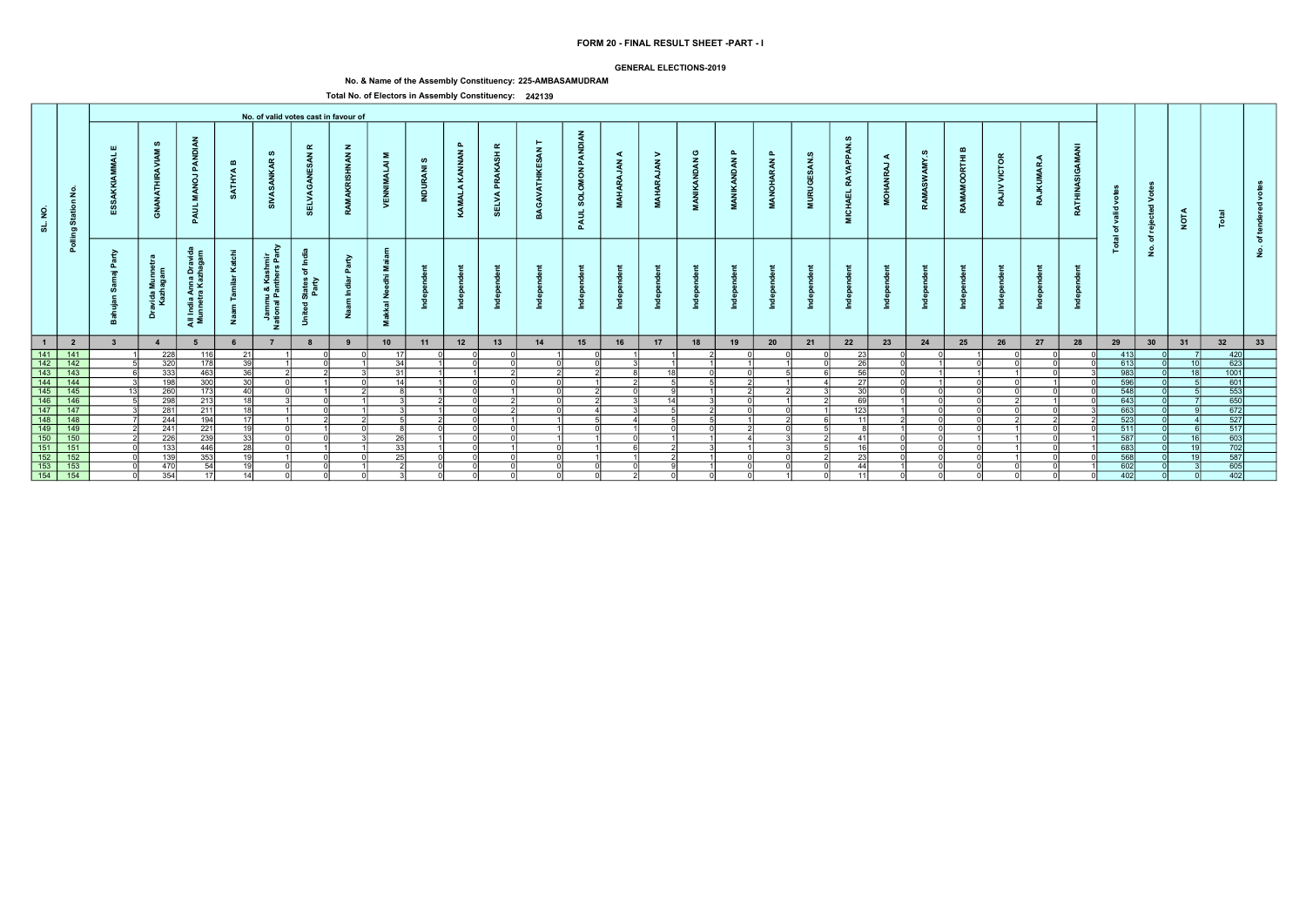### GENERAL ELECTIONS-2019

# No. & Name of the Assembly Constituency: 225-AMBASAMUDRAM

|                                                                                                             |                               |                         |                             |                                                         |                              |                                                       |                                                                                  | No. of valid votes cast in favour of |                                                                                |                           |                               |                                   |        |                                                  |                                   |                                          |                                                   |                        |                                  |                                        |                                        |             |                                   |                            |                        |                 |                                |                        |                                               |                 |                                                                          |          |  |
|-------------------------------------------------------------------------------------------------------------|-------------------------------|-------------------------|-----------------------------|---------------------------------------------------------|------------------------------|-------------------------------------------------------|----------------------------------------------------------------------------------|--------------------------------------|--------------------------------------------------------------------------------|---------------------------|-------------------------------|-----------------------------------|--------|--------------------------------------------------|-----------------------------------|------------------------------------------|---------------------------------------------------|------------------------|----------------------------------|----------------------------------------|----------------------------------------|-------------|-----------------------------------|----------------------------|------------------------|-----------------|--------------------------------|------------------------|-----------------------------------------------|-----------------|--------------------------------------------------------------------------|----------|--|
| SL. NO.                                                                                                     | $\frac{1}{2}$<br>Statio<br>ರಾ |                         | ဖာ<br><b>ANATHIR</b><br>ී   | PAN<br>$\vec{e}$<br>Σ.<br>इ<br>മ                        | $\mathbf{m}$<br><b>ATHYA</b> | ဖာ<br>$\alpha$<br>ž                                   | $\alpha$<br>$\mathbf{z}$<br>3<br>己                                               | $\mathbf{z}$<br><b>INAN</b>          | Σ.<br>$\overline{z}$<br>>                                                      | ဖာ<br>$\bar{z}$<br>ಸ<br>Ξ | $\mathbf{r}$<br>KAMALA KANNAN | $\alpha$<br>ASH<br>௳<br>ELVA<br>ທ | GAV    | <b>DIAN</b><br>PAN<br>NOW<br><b>SOLO</b><br>PAUL | ⋖<br>$\tilde{\mathbf{z}}$<br>MAH. | ><br>$\tilde{\mathbf{z}}$<br><b>MAHA</b> | ပ<br>$\tilde{\mathbf{z}}$<br><b>IKAND</b><br>MANI | മ<br><b>MANIKANDAN</b> | മ<br><b>ARAN</b><br><b>MANOH</b> | ဖ<br>ESAN.<br><b>RUGI</b><br>$\vec{z}$ | ഗ<br>APPAN<br>RAY<br><b>CHAEL</b><br>Σ | ⋖<br>,<br>ġ | ဖာ<br>AMY.<br>$\tilde{s}$<br>RAMA | മ<br>Ē<br>$\circ$<br>RAMAI | VICTOR<br>$\geq$<br>RA | <b>RAJKUMAR</b> | Ċ<br>g<br>Asi<br><b>RATHIN</b> | ğ<br>valid<br>ិច<br>ੁਛ | $\circ$<br>⋗<br>$\overline{\mathbf{c}}$<br>ႜၑ | <b>NOTA</b>     |                                                                          |          |  |
|                                                                                                             | Pollin                        | -a<br>௳<br>$=$          | avida Munr<br>Kazhagan<br>å | Anna Drav<br>ra Kazhaga<br>$\frac{a}{b}$<br>- 1<br>ੁੜ ≅ | ž                            | Ğ.<br>들 호<br>Jammu & Kashm<br>ational Panthers F<br>z | -≗<br>$\overline{\mathbf{c}}$<br>States<br>Party<br>$\overline{\mathbf{c}}$<br>ぅ | $\tilde{\mathbf{e}}$                 | Σ.<br>$\ddot{\epsilon}$<br>Ō<br>ے<br>ح<br>$\overline{\overline{6}}$<br>式<br>Σ. |                           |                               |                                   |        |                                                  |                                   |                                          |                                                   |                        |                                  |                                        |                                        |             |                                   |                            |                        |                 |                                | 은                      | ঁচ<br>$\dot{z}$                               |                 |                                                                          | <u>و</u> |  |
| $\overline{1}$                                                                                              | $\overline{\mathbf{2}}$       | $\overline{\mathbf{3}}$ | $\overline{4}$              |                                                         |                              |                                                       | 8                                                                                | 9                                    | 10                                                                             | 11                        | 12                            | 13                                | 14     | 15                                               | 16                                | 17                                       | 18                                                | 19                     | 20                               | 21                                     | 22                                     | 23          | 24                                | 25                         | 26                     | 27              | 28                             | 29                     | 30                                            | 31              | 32                                                                       | 33       |  |
|                                                                                                             | $\frac{141}{142}$             |                         | 228                         | 116                                                     | 21                           |                                                       |                                                                                  |                                      | 17I                                                                            |                           |                               |                                   |        |                                                  |                                   |                                          |                                                   |                        |                                  |                                        | 23                                     |             |                                   |                            |                        |                 |                                | 413                    |                                               |                 | 420                                                                      |          |  |
| $\begin{array}{ c c }\n\hline\n & 141 \\ \hline\n & 142 \\ \hline\n & 143 \\ \hline\n & 144\n\end{array}$   |                               |                         | 320                         | 178                                                     | $\overline{39}$              |                                                       |                                                                                  |                                      | 34                                                                             |                           |                               |                                   | ΩI     | ΩI                                               |                                   |                                          |                                                   |                        |                                  |                                        | $\overline{26}$                        |             |                                   |                            |                        |                 |                                | 613                    |                                               | 10 <sup>1</sup> | 623                                                                      |          |  |
|                                                                                                             | $\overline{143}$              |                         | 333                         | 463                                                     | 36                           |                                                       |                                                                                  |                                      | 31                                                                             |                           |                               |                                   |        |                                                  |                                   | 18I                                      |                                                   |                        |                                  |                                        | 56                                     |             |                                   |                            |                        |                 |                                | 983                    |                                               | 1 <sub>Q</sub>  | $\frac{1001}{601}$                                                       |          |  |
|                                                                                                             | $\frac{144}{ }$               |                         | 198                         | 300                                                     | 30                           |                                                       |                                                                                  |                                      | 14                                                                             |                           |                               |                                   | nl     |                                                  |                                   |                                          |                                                   |                        |                                  |                                        | 27                                     |             |                                   |                            |                        |                 |                                | 596                    |                                               |                 |                                                                          |          |  |
| $\begin{array}{r} \hline 145 \\ \hline 146 \\ \hline 147 \\ \hline 148 \\ \hline 149 \\ \hline \end{array}$ | $\frac{145}{146}$             |                         | 260                         | 173                                                     | 40 l                         |                                                       |                                                                                  |                                      |                                                                                |                           |                               |                                   | ി      |                                                  | $\cap$                            |                                          |                                                   |                        |                                  |                                        | 30 <sup>1</sup>                        |             |                                   |                            |                        |                 |                                | 548                    |                                               |                 | $\begin{array}{r}\n 653 \\  \hline\n 650 \\  \hline\n 672\n \end{array}$ |          |  |
|                                                                                                             |                               |                         | 298                         | 213                                                     | 18 I                         |                                                       |                                                                                  |                                      |                                                                                |                           |                               |                                   | ΩI     |                                                  |                                   | 14                                       |                                                   |                        |                                  |                                        | 69I                                    |             |                                   |                            |                        |                 |                                | 643                    |                                               |                 |                                                                          |          |  |
|                                                                                                             | 147                           |                         | 281                         | $\overline{211}$                                        | 18                           |                                                       |                                                                                  |                                      |                                                                                |                           |                               |                                   | $\cap$ |                                                  |                                   |                                          |                                                   |                        |                                  |                                        | 123                                    |             |                                   |                            |                        |                 |                                | 663                    |                                               |                 |                                                                          |          |  |
|                                                                                                             | 148                           |                         | 244                         | 194                                                     | 17 <sup>1</sup>              |                                                       |                                                                                  |                                      |                                                                                |                           |                               |                                   |        |                                                  |                                   |                                          |                                                   |                        |                                  |                                        | $\overline{A}$                         |             |                                   |                            |                        |                 |                                | 523                    |                                               |                 | 527                                                                      |          |  |
|                                                                                                             | 149                           |                         | 241                         | 221                                                     | 19                           |                                                       |                                                                                  |                                      |                                                                                |                           |                               |                                   |        | $\cap$                                           |                                   | $\cap$                                   |                                                   |                        |                                  |                                        |                                        |             |                                   |                            |                        |                 |                                | 511                    |                                               |                 | 517                                                                      |          |  |
| $\boxed{150}$                                                                                               | 150                           |                         | 226                         | 239                                                     | 33                           |                                                       |                                                                                  |                                      | $\overline{26}$                                                                |                           |                               |                                   |        |                                                  | ΩI                                |                                          |                                                   |                        |                                  |                                        | 41                                     |             |                                   |                            |                        |                 |                                | 587                    |                                               | 16 <sup>1</sup> | $\begin{array}{r}\n 603 \\  \hline\n 702 \\  \hline\n 587\n \end{array}$ |          |  |
| $\frac{1}{151}$                                                                                             | 151                           |                         | 133                         | 446                                                     | $\overline{28}$              |                                                       |                                                                                  |                                      | 33                                                                             |                           |                               |                                   | ΩI     |                                                  |                                   |                                          |                                                   |                        |                                  |                                        | 16                                     |             |                                   |                            |                        |                 |                                | 683                    |                                               | 19 <sup>1</sup> |                                                                          |          |  |
| $\begin{array}{r} \hline 152 \\ \hline 153 \\ \hline 154 \end{array}$                                       | $\frac{1}{152}$               |                         | 139                         | 353                                                     | 19                           |                                                       |                                                                                  |                                      | $\overline{25}$                                                                |                           |                               |                                   |        |                                                  |                                   |                                          |                                                   |                        |                                  |                                        | 23                                     |             |                                   |                            |                        |                 |                                | 568                    |                                               |                 |                                                                          |          |  |
|                                                                                                             | $\overline{153}$              |                         | 470                         | 54                                                      | 19 <sup>l</sup>              |                                                       |                                                                                  |                                      |                                                                                |                           |                               |                                   |        |                                                  |                                   |                                          |                                                   |                        |                                  |                                        | 44                                     |             |                                   |                            |                        |                 |                                | $\overline{602}$       |                                               |                 | $\frac{1}{605}$                                                          |          |  |
|                                                                                                             | $\overline{154}$              |                         | 354                         | 17                                                      | 14                           |                                                       |                                                                                  |                                      |                                                                                |                           |                               |                                   | - Ol   | - N                                              |                                   | $\Omega$                                 |                                                   |                        |                                  |                                        |                                        |             |                                   |                            |                        |                 |                                | 402                    |                                               |                 | 402                                                                      |          |  |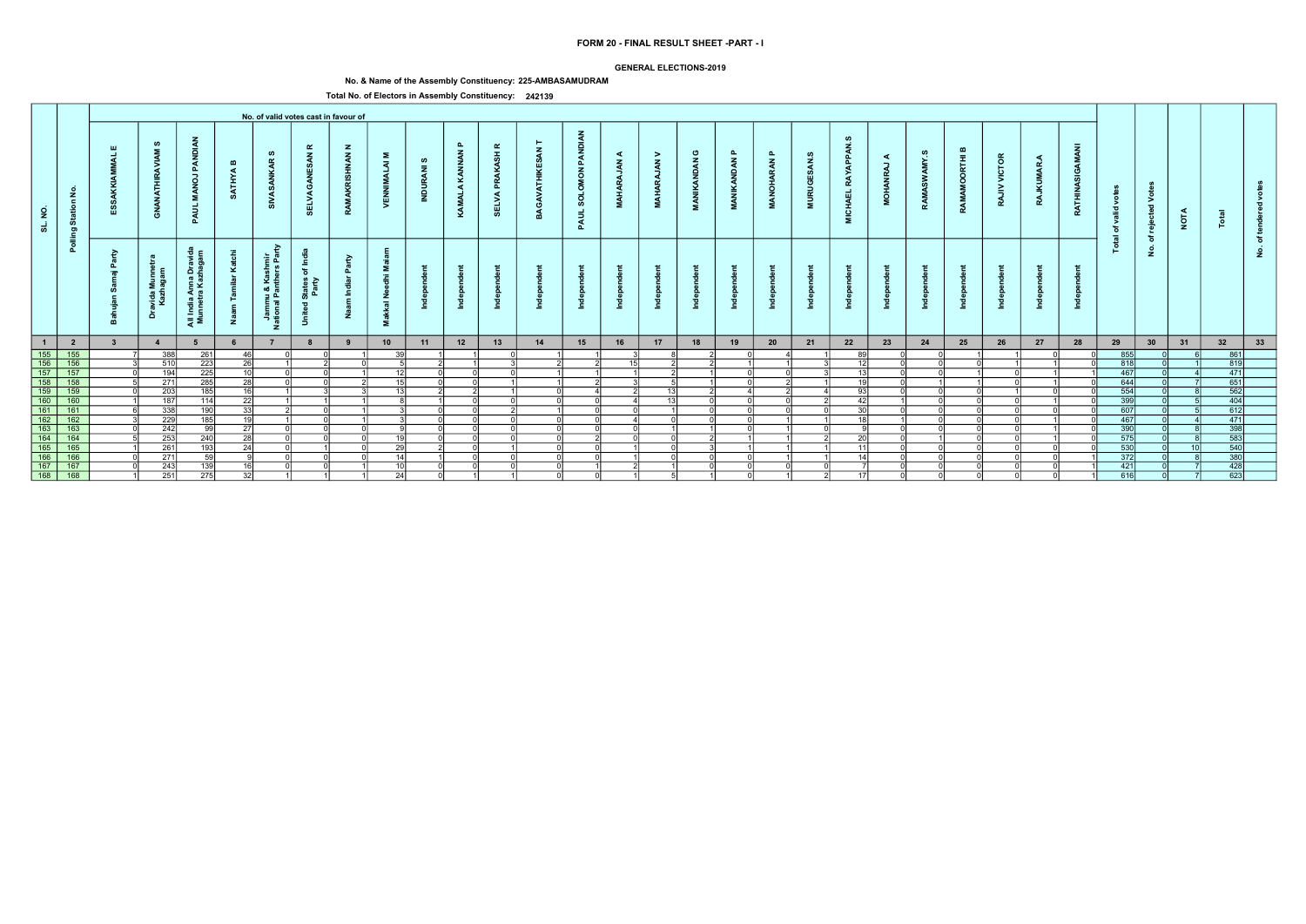### GENERAL ELECTIONS-2019

# No. & Name of the Assembly Constituency: 225-AMBASAMUDRAM

|                                                                                                                                              |                         |                         |                                       |                                              |                              |                                                             |                                                        | No. of valid votes cast in favour of |                                   |                               |                               |                                     |              |                                               |                        |                                |                            |                                                 |                              |                                        |                                                  |                         |            |                                  |                          |                     |                             |                                      |                                                     |                |                                                                                                            |        |  |
|----------------------------------------------------------------------------------------------------------------------------------------------|-------------------------|-------------------------|---------------------------------------|----------------------------------------------|------------------------------|-------------------------------------------------------------|--------------------------------------------------------|--------------------------------------|-----------------------------------|-------------------------------|-------------------------------|-------------------------------------|--------------|-----------------------------------------------|------------------------|--------------------------------|----------------------------|-------------------------------------------------|------------------------------|----------------------------------------|--------------------------------------------------|-------------------------|------------|----------------------------------|--------------------------|---------------------|-----------------------------|--------------------------------------|-----------------------------------------------------|----------------|------------------------------------------------------------------------------------------------------------|--------|--|
| $\overline{2}$<br>ಕ                                                                                                                          | Station No.             |                         | ဖာ<br>$\bar{\mathbf{z}}$<br>੍ਰੋ<br>්ර | PANDI<br>$\overline{a}$<br>- 2<br>PAUL       | $\mathbf{m}$<br><b>ATHYA</b> | ဖာ<br>$\alpha$<br>್                                         | ≃<br>$\mathbf{z}$<br>ELVA                              | $\mathbf{z}$<br><b>NAN</b><br>ぁ      | Σ<br>$\overline{z}$<br>. F<br>VEN | ဖ<br>$\overline{a}$<br>INDUR, | $\mathbf{a}$<br>KAMALA KANNAN | $\alpha$<br>PRAKASH<br><b>SELVA</b> | $\mathbf{z}$ | PANDIAN<br><b>MON</b><br><b>SOLOI</b><br>PAUL | ◀<br>$\vec{z}$<br>MAHA | ><br>$\tilde{A}$<br><b>ARA</b> | ပ<br><b>VANDAN</b><br>MANI | ௨<br>$\tilde{\mathbf{z}}$<br>£<br>$\frac{2}{4}$ | $\mathbf{a}$<br>RAN<br>ANOH, | ဖာ<br>$\tilde{a}$<br><b>URUGI</b><br>ē | <b>APPAN</b><br><b>RAY</b><br><b>CHAEL</b><br>ē. | ◀<br>-<br>$\frac{1}{2}$ | ဖာ<br>AMY. | മ<br>$\bar{t}$<br>ō<br>Š<br>RAMA | <b>VICTOR</b><br>><br>RA | ◀<br>MAR<br>Ē<br>RA | GAMANI<br>z<br><b>RATHI</b> | ್ರಿ<br>valid<br>ঁত<br>$\overline{a}$ | $\circ$<br>$\geq$<br>$\overline{\phantom{a}}$<br>ႜၑ | <b>NOTA</b>    |                                                                                                            |        |  |
|                                                                                                                                              | Polling                 | - 2<br>௳<br>- 10        | ravida Munnet<br>Kazhagam<br>å        | l India Anna Drav<br>unnetra Kazhaga<br>ੁੜ ≅ | ⊻<br>Ž                       | ਣ<br>shmir<br>ars Par<br>Jammu & Kas<br>ational Panthe<br>z | States of Inc<br>Party<br>$\overline{\sigma}$<br>Unite | ়≥<br>゠゠                             | - 12<br>$rac{z}{a}$<br>送<br>Σ.    |                               |                               |                                     |              |                                               |                        |                                |                            |                                                 |                              |                                        |                                                  |                         |            |                                  |                          |                     |                             | <u>is</u>                            | ঁচ<br>$\dot{\mathbf{2}}$                            |                |                                                                                                            | ৳<br>٤ |  |
| $\overline{1}$                                                                                                                               | $\overline{\mathbf{2}}$ | $\overline{\mathbf{3}}$ | $\overline{4}$                        | 5                                            |                              |                                                             | 8                                                      | 9                                    | 10                                | 11                            | 12                            | 13                                  | 14           | 15                                            | 16                     | 17                             | 18                         | 19                                              | 20                           | 21                                     | 22                                               | 23                      | 24         | 25                               | 26                       | 27                  | 28                          | 29                                   | 30                                                  | 31             | 32                                                                                                         | 33     |  |
| 155<br>156<br>157<br>158                                                                                                                     | 155                     |                         | 388                                   | 261                                          | 46                           |                                                             |                                                        |                                      | 39 <sup>1</sup>                   |                               |                               |                                     |              |                                               |                        |                                |                            |                                                 |                              |                                        | 89                                               |                         |            |                                  |                          |                     |                             | 855                                  |                                                     |                | 861                                                                                                        |        |  |
|                                                                                                                                              | 156                     |                         | 510                                   | 223                                          | $\overline{26}$              |                                                             |                                                        |                                      |                                   |                               |                               |                                     |              |                                               | 15 <sup>1</sup>        |                                |                            |                                                 |                              |                                        | 12                                               |                         |            |                                  |                          |                     |                             | 818                                  |                                                     |                | 819                                                                                                        |        |  |
|                                                                                                                                              | $\frac{157}{158}$       |                         | 194                                   | 225                                          | 10                           |                                                             |                                                        |                                      | 12                                |                               |                               |                                     |              |                                               |                        |                                |                            |                                                 |                              |                                        | $\sim$                                           |                         |            |                                  |                          |                     |                             | 467                                  |                                                     |                | 471                                                                                                        |        |  |
|                                                                                                                                              |                         |                         | 271                                   | 285                                          | 28                           |                                                             |                                                        |                                      | 15 <sup>1</sup>                   |                               |                               |                                     |              |                                               |                        |                                |                            |                                                 |                              |                                        | $\overline{1}$                                   |                         |            |                                  |                          |                     |                             | 644                                  |                                                     |                | $\overline{651}$                                                                                           |        |  |
|                                                                                                                                              | $\frac{159}{160}$       |                         | 203                                   | 185                                          | 16                           |                                                             |                                                        |                                      | 13                                |                               |                               |                                     | ΩI           |                                               |                        | 131                            |                            |                                                 |                              |                                        | ଘଟା                                              |                         |            |                                  |                          |                     |                             | $\frac{554}{399}$                    |                                                     |                |                                                                                                            |        |  |
|                                                                                                                                              |                         |                         | 187                                   | 114                                          | $\overline{22}$              |                                                             |                                                        |                                      |                                   |                               |                               |                                     | വ            | ΩI                                            |                        | 13 <sup>1</sup>                |                            |                                                 |                              |                                        | 42                                               |                         |            |                                  |                          |                     |                             |                                      |                                                     |                | $\frac{562}{\phantom{0}602}$                                                                               |        |  |
|                                                                                                                                              | $\overline{161}$        |                         | $\overline{338}$                      | 190                                          | $\overline{33}$              |                                                             |                                                        |                                      |                                   |                               |                               |                                     |              | ΩI                                            |                        |                                |                            |                                                 |                              |                                        | $\overline{30}$                                  |                         |            |                                  |                          |                     |                             | $\overline{607}$                     |                                                     |                |                                                                                                            |        |  |
| $\frac{159}{160}$ $\frac{160}{161}$ $\frac{161}{162}$                                                                                        | 162                     |                         | 229                                   | 185                                          | 19                           |                                                             |                                                        |                                      |                                   |                               |                               |                                     | nl           | nl                                            |                        | <sup>n</sup>                   |                            |                                                 |                              |                                        | $\overline{4}$                                   |                         |            |                                  |                          |                     |                             | 467                                  |                                                     |                | $\frac{1}{471}$                                                                                            |        |  |
|                                                                                                                                              | 163                     |                         | 242                                   | 99                                           | 27                           |                                                             |                                                        |                                      |                                   |                               | $\Omega$                      |                                     | ി            | $\cap$                                        | $\cap$                 |                                |                            |                                                 |                              |                                        |                                                  |                         |            |                                  |                          |                     |                             | 390                                  |                                                     |                | 398                                                                                                        |        |  |
|                                                                                                                                              | $\frac{164}{165}$       |                         | 253                                   | $\overline{240}$                             | $\overline{28}$              |                                                             |                                                        |                                      | 19 <sup>1</sup>                   |                               |                               |                                     | nl           |                                               | $\cap$                 | $\cap$                         |                            |                                                 |                              |                                        | 20 <sup>1</sup>                                  |                         |            |                                  |                          |                     |                             | 575                                  |                                                     |                | $\begin{array}{r}\n 148 \\  \hline\n 583 \\  \hline\n 540 \\  \hline\n 380 \\  \hline\n 428\n \end{array}$ |        |  |
|                                                                                                                                              |                         |                         | $\overline{261}$                      | 193                                          | 24                           |                                                             |                                                        |                                      | 29                                |                               |                               |                                     | വ            | - N                                           |                        | വ                              |                            |                                                 |                              |                                        | 11                                               |                         |            |                                  |                          |                     |                             | 530                                  |                                                     | 1 <sub>0</sub> |                                                                                                            |        |  |
|                                                                                                                                              | 166                     |                         | 271                                   | 59                                           |                              |                                                             |                                                        |                                      | 14 I                              |                               |                               |                                     |              |                                               |                        |                                |                            |                                                 |                              |                                        | $\overline{1}$                                   |                         |            |                                  |                          |                     |                             | 372                                  |                                                     |                |                                                                                                            |        |  |
|                                                                                                                                              | 167                     |                         | 243                                   | 139                                          | 16 <sup>1</sup>              |                                                             |                                                        |                                      | 10 <sup>1</sup>                   |                               |                               |                                     | $\cap$       |                                               |                        |                                |                            |                                                 |                              |                                        |                                                  |                         |            |                                  |                          |                     |                             | 421                                  |                                                     |                |                                                                                                            |        |  |
| $\begin{array}{r}\n 162 \\  \hline\n 163 \\  \hline\n 164 \\  \hline\n 165 \\  \hline\n 166 \\  \hline\n 167 \\  \hline\n 168\n \end{array}$ | $\frac{168}{ }$         |                         | $\overline{251}$                      | 275                                          | 32                           |                                                             |                                                        |                                      | 24                                |                               |                               |                                     | - ol         | - Ol                                          |                        |                                |                            |                                                 |                              |                                        |                                                  |                         |            |                                  |                          |                     |                             | 616                                  |                                                     |                | 623                                                                                                        |        |  |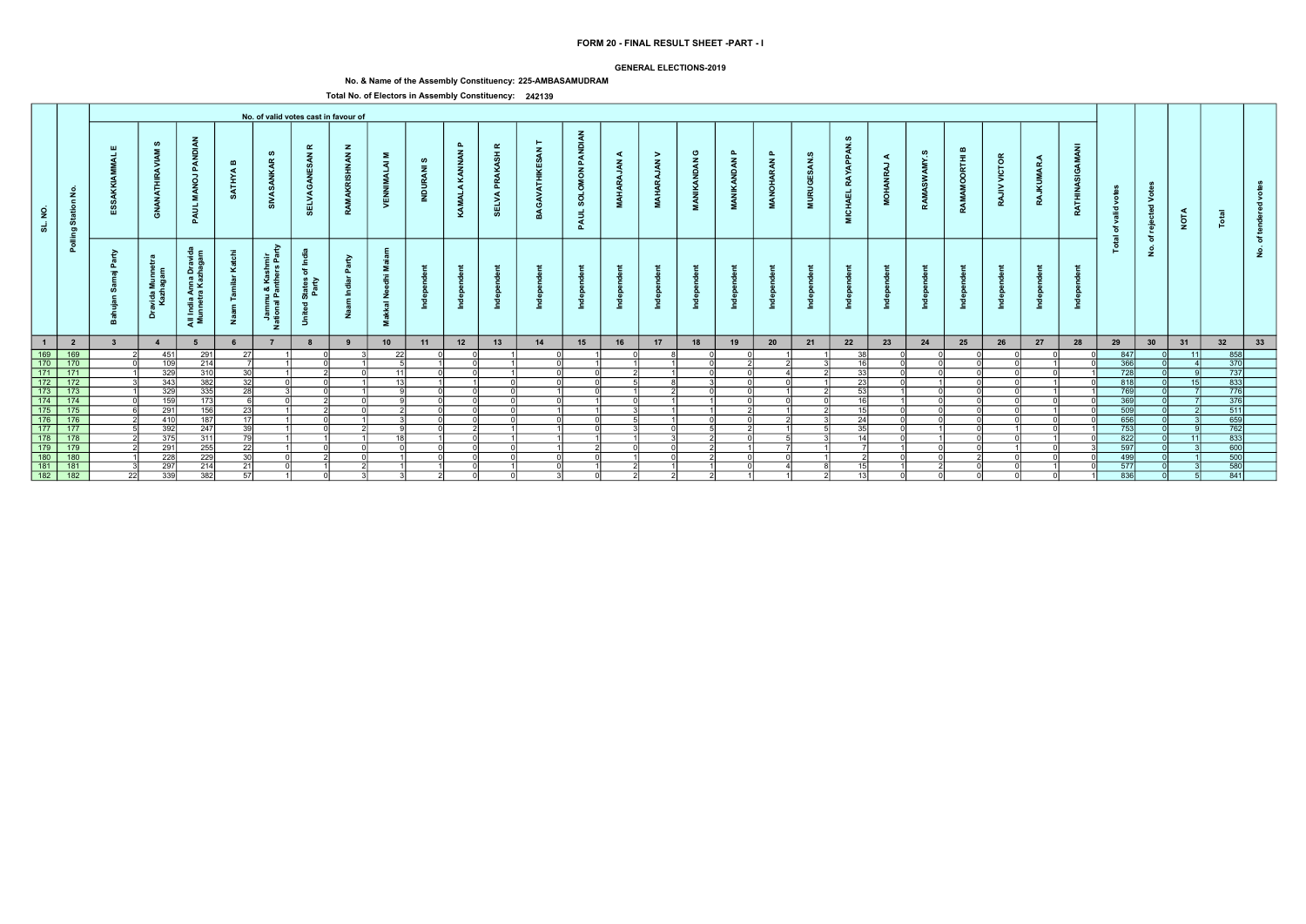### GENERAL ELECTIONS-2019

# No. & Name of the Assembly Constituency: 225-AMBASAMUDRAM

|                                                                                               |                         |                         |                                |                                          |                              |                                                        |                                                    | No. of valid votes cast in favour of |                                   |                               |                               |                                     |              |                                               |                        |                                         |                            |                                              |                              |                                        |                                                  |                      |       |                                  |                          |                          |                        |                                |                                          |                 |                                                                                                      |                          |  |
|-----------------------------------------------------------------------------------------------|-------------------------|-------------------------|--------------------------------|------------------------------------------|------------------------------|--------------------------------------------------------|----------------------------------------------------|--------------------------------------|-----------------------------------|-------------------------------|-------------------------------|-------------------------------------|--------------|-----------------------------------------------|------------------------|-----------------------------------------|----------------------------|----------------------------------------------|------------------------------|----------------------------------------|--------------------------------------------------|----------------------|-------|----------------------------------|--------------------------|--------------------------|------------------------|--------------------------------|------------------------------------------|-----------------|------------------------------------------------------------------------------------------------------|--------------------------|--|
| $\overline{2}$<br>ಕ                                                                           | Station No.             |                         | ဖာ<br>Ę<br>ट्टे<br>ු           | PANDI<br>$\overline{a}$<br>- 2<br>PAUL   | $\mathbf{m}$<br><b>ATHYA</b> | ဖာ<br>$\alpha$<br>あ                                    | ≃<br>$\mathbf{z}$<br>ELVA                          | $\mathbf{z}$<br><b>NAN</b><br>ぁ      | Σ<br>$\overline{z}$<br>. F<br>VEN | ဖ<br>$\overline{a}$<br>INDUR, | $\mathbf{a}$<br>KAMALA KANNAN | $\alpha$<br>PRAKASH<br><b>SELVA</b> | $\mathbf{z}$ | PANDIAN<br><b>MON</b><br><b>SOLOI</b><br>PAUL | ◀<br>$\vec{z}$<br>MAHA | ><br>$\tilde{\mathbf{A}}$<br><b>ARA</b> | ပ<br><b>VANDAN</b><br>MANI | $\mathbf{a}$<br><b>NDAN</b><br>$\frac{2}{4}$ | $\mathbf{a}$<br>RAN<br>ANOH, | ဖာ<br>$\tilde{a}$<br><b>URUGI</b><br>Ξ | <b>APPAN</b><br><b>RAY</b><br><b>CHAEL</b><br>ē. | ◀<br>-<br><b>NOH</b> | AMY.S | മ<br>$\bar{t}$<br>ō<br>Š<br>RAMA | <b>VICTOR</b><br>><br>RA | ◀<br><b>CIMMAR</b><br>RA | O<br>z<br><b>RATHI</b> | š<br>ಾ<br>ঁত<br>$\overline{a}$ | $\geq$<br>$\overline{\phantom{a}}$<br>ႜၑ | <b>NOTA</b>     |                                                                                                      |                          |  |
|                                                                                               | Polling                 | - 2<br>- 10             | ʻavida Munnet<br>Kazhagam<br>å | All India Anna Dravi<br>Munnetra Kazhaga | ⊻<br>ž                       | ਣ<br>shmir<br>ars Par<br>Jammu & Kas<br>ational Panthe | States of Inc<br>Party<br>$\overline{\sigma}$<br>Š | ়≥<br>드                              | $rac{z}{a}$<br>送<br>Σ.            |                               |                               |                                     |              |                                               |                        |                                         |                            |                                              |                              |                                        |                                                  |                      |       |                                  |                          |                          |                        | <u>is</u>                      | ঁচ<br>$\dot{\mathbf{z}}$                 |                 |                                                                                                      | $\circ$<br>$\frac{9}{2}$ |  |
| $\overline{1}$                                                                                | $\overline{\mathbf{2}}$ | $\overline{\mathbf{3}}$ | $\overline{4}$                 | 5                                        |                              |                                                        | 8                                                  | 9                                    | 10                                | 11                            | 12                            | 13                                  | 14           | 15                                            | 16                     | 17                                      | 18                         | 19                                           | 20                           | 21                                     | 22                                               | 23                   | 24    | 25                               | 26                       | 27                       | 28                     | 29                             | 30                                       | 31              | 32                                                                                                   | 33                       |  |
|                                                                                               | $\frac{169}{170}$       |                         | 451                            | 291                                      | <b>27</b>                    |                                                        |                                                    |                                      | 22                                |                               |                               |                                     |              |                                               |                        |                                         |                            |                                              |                              |                                        | ่วง                                              |                      |       |                                  |                          |                          |                        | - 847                          |                                          | 111             | 858                                                                                                  |                          |  |
| 169<br>170<br>171                                                                             |                         |                         | 109                            | 214                                      |                              |                                                        |                                                    |                                      | $\sqrt{2}$                        |                               |                               |                                     | ി            |                                               |                        |                                         |                            |                                              |                              |                                        | $\overline{46}$                                  |                      |       |                                  |                          |                          |                        | 366                            |                                          |                 | 370                                                                                                  |                          |  |
|                                                                                               | $\overline{171}$        |                         | 329                            | 310                                      | 30 <sup>1</sup>              |                                                        |                                                    |                                      | 11                                |                               |                               |                                     |              | ΩI                                            |                        |                                         |                            |                                              |                              |                                        | 33 <sup>1</sup>                                  |                      |       |                                  |                          |                          |                        | 728                            |                                          |                 | $\begin{array}{ c c }\n\hline\n737 \\ 833\n\end{array}$                                              |                          |  |
| $\boxed{172}$                                                                                 | 172                     |                         | 343                            | 382                                      | 32                           |                                                        |                                                    |                                      | 12                                |                               |                               |                                     | $\Omega$     | ΩI                                            |                        |                                         |                            |                                              |                              |                                        | 23                                               |                      |       |                                  |                          |                          |                        | 818                            |                                          | 15 <sup>1</sup> |                                                                                                      |                          |  |
| $\begin{array}{r} \hline 173 \\ \hline 174 \\ \hline 175 \\ \hline 176 \\ \hline \end{array}$ | $\frac{173}{174}$       |                         | 329                            | 335                                      | 28                           |                                                        |                                                    |                                      |                                   |                               |                               |                                     |              | ΩI                                            |                        |                                         |                            |                                              |                              |                                        | 53<br>$\overline{16}$                            |                      |       |                                  |                          |                          |                        | 769<br>$\overline{369}$        |                                          |                 | $\begin{array}{r}\n 776 \\  \hline\n 376 \\  \hline\n 511\n \end{array}$                             |                          |  |
|                                                                                               |                         |                         | 159                            | 173                                      | <b>G</b>                     |                                                        |                                                    |                                      |                                   |                               |                               |                                     | വ            |                                               |                        |                                         |                            |                                              |                              |                                        |                                                  |                      |       |                                  |                          |                          |                        |                                |                                          |                 |                                                                                                      |                          |  |
|                                                                                               | $\overline{175}$        |                         | $\overline{291}$               | 156                                      | $\overline{23}$              |                                                        |                                                    |                                      |                                   |                               |                               |                                     |              |                                               |                        |                                         |                            |                                              |                              |                                        |                                                  |                      |       |                                  |                          |                          |                        | 509                            |                                          |                 |                                                                                                      |                          |  |
|                                                                                               | 176                     |                         | 410                            | 187                                      | 17                           |                                                        |                                                    |                                      |                                   |                               |                               |                                     | nl           | ΩI                                            |                        |                                         |                            |                                              |                              |                                        | $\overline{24}$                                  |                      |       |                                  |                          |                          |                        | 656                            |                                          |                 | $\frac{1}{659}$                                                                                      |                          |  |
| $\boxed{177}$                                                                                 | 177                     |                         | 392                            | 247                                      | 39                           |                                                        |                                                    |                                      |                                   |                               |                               |                                     |              | $\cap$                                        |                        | $\cap$                                  |                            |                                              |                              |                                        | ्दन                                              |                      |       |                                  |                          |                          |                        | 753                            |                                          |                 | 762                                                                                                  |                          |  |
|                                                                                               | 178 178                 |                         | 375                            | 311                                      | $\overline{79}$              |                                                        |                                                    |                                      | 18 <sup>1</sup>                   |                               |                               |                                     |              |                                               |                        |                                         |                            |                                              |                              |                                        | 14                                               |                      |       |                                  |                          |                          |                        | 822                            |                                          | 11              | $\begin{array}{r} \hline +02 \\ 833 \\ \hline 600 \\ \hline 500 \\ \hline 580 \\ \hline \end{array}$ |                          |  |
|                                                                                               |                         |                         | 291                            | 255                                      | $\overline{22}$              |                                                        |                                                    |                                      |                                   |                               |                               |                                     |              |                                               | ΩI                     | ΩI                                      |                            |                                              |                              |                                        |                                                  |                      |       |                                  |                          |                          |                        | 597                            |                                          |                 |                                                                                                      |                          |  |
| $\frac{180}{181}$                                                                             | $\frac{180}{181}$       |                         | 228                            | 229                                      | 30                           |                                                        |                                                    |                                      |                                   |                               |                               |                                     |              |                                               |                        |                                         |                            |                                              |                              |                                        |                                                  |                      |       |                                  |                          |                          |                        | 499                            |                                          |                 |                                                                                                      |                          |  |
|                                                                                               |                         |                         | 297                            | 214                                      | 21                           |                                                        |                                                    |                                      |                                   |                               |                               |                                     |              |                                               |                        |                                         |                            |                                              |                              |                                        |                                                  |                      |       |                                  |                          |                          |                        | 577                            |                                          |                 |                                                                                                      |                          |  |
| $\frac{181}{182}$                                                                             | $\overline{182}$        | 22                      | 339                            | $\overline{382}$                         | 57                           |                                                        |                                                    |                                      |                                   |                               |                               |                                     | ا3           | - Ol                                          | $\mathcal{P}$          |                                         |                            |                                              |                              |                                        | 13                                               |                      |       |                                  |                          |                          |                        | 836                            |                                          |                 | 841                                                                                                  |                          |  |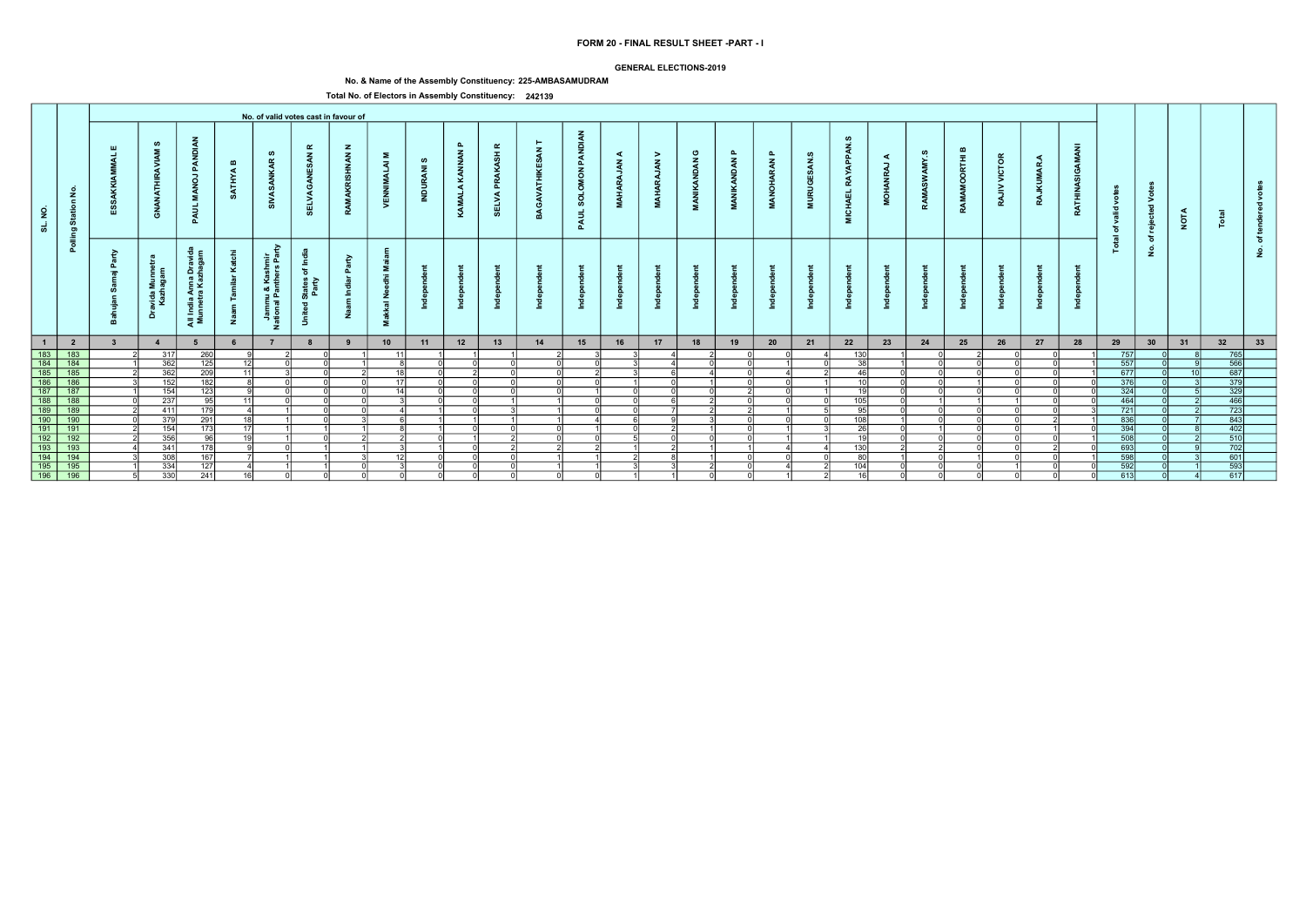### GENERAL ELECTIONS-2019

# No. & Name of the Assembly Constituency: 225-AMBASAMUDRAM

|                      |                                           |   |                            |                                               |                        |                                             |                                                                              | No. of valid votes cast in favour of |                                 |                |                           |                                             |                        |                                                                  |                            |                                    |                             |                  |                                          |                          |                                          |                       |                         |                                  |                                     |                                |                                     |                        |                          |             |                   |         |  |
|----------------------|-------------------------------------------|---|----------------------------|-----------------------------------------------|------------------------|---------------------------------------------|------------------------------------------------------------------------------|--------------------------------------|---------------------------------|----------------|---------------------------|---------------------------------------------|------------------------|------------------------------------------------------------------|----------------------------|------------------------------------|-----------------------------|------------------|------------------------------------------|--------------------------|------------------------------------------|-----------------------|-------------------------|----------------------------------|-------------------------------------|--------------------------------|-------------------------------------|------------------------|--------------------------|-------------|-------------------|---------|--|
| $\overline{2}$<br>್ಯ | $\frac{5}{2}$<br>ဖ                        |   | ဖာ<br>Ę<br>Z               | PAN<br>$\overline{a}$<br>Σ.<br>PAUL           | $\mathbf{m}$<br>≸<br>È | ທ<br>兵<br>Š                                 | ≃<br>$\mathbf{z}$<br>ELVAGAN                                                 | $\mathbf{z}$<br><b>MAKRISHNAN</b>    | $\Sigma$<br><b>ALAI</b><br>VENN | ဖာ<br>INDURANI | <b>C</b><br>KAMALA KANNAN | $\alpha$<br><b>ASH</b><br>운<br><b>SELVA</b> | $\mathbf{z}$<br>∍<br>් | $\frac{z}{4}$<br>PANDI<br>$\overline{6}$<br><b>SOLOI</b><br>PAUL | ◀<br>$\frac{z}{4}$<br>MAHA | ⋗<br>$\tilde{\xi}$<br><b>MAHAI</b> | ပ<br>ट्<br>£<br><b>NANI</b> | ௳<br>इ<br>£<br>Ā | $\mathbf{a}$<br><b>RAN</b><br><b>DAR</b> | ဖာ<br>Ã<br><b>MURUGE</b> | <b>APPAN</b><br><b>RAY</b><br>CHAEL<br>Ē | ◀<br>$\Box$<br>ō<br>Ž | ဖာ<br>AMY.<br>2<br>RAMA | മ<br>$\bar{E}$<br>ਰ<br>ō<br>RAMA | <b>VICTOR</b><br>$\geq$<br><b>R</b> | ◀<br>MAR<br>ē<br>$\frac{4}{3}$ | $\bar{z}$<br>ා<br>2<br><b>RATHI</b> | Š<br>valid<br>ঁত<br>ੁਛ | $\geq$<br>ಾ<br>ဨ         | <b>NOTA</b> |                   |         |  |
|                      | Polling                                   | ≥ | Dravida Munnet<br>Kazhagam | l India Anna Dravi<br>unnetra Kazhaga<br>ੁੜ ≅ | atchi<br>ะ<br>Ž        | ≎<br>Jammu & Kashmir<br>tional Panthers Paı | ÷<br>.≗<br>States of I<br>Party<br>$\overline{\sigma}$<br>$\ddot{\tilde{5}}$ | $\approx$<br>드                       | Σ.<br>훆<br>akkal Ne<br>Σ.       |                | ÷<br>르                    |                                             |                        |                                                                  |                            |                                    |                             |                  |                                          |                          |                                          |                       |                         |                                  |                                     |                                |                                     | <u>្ទ</u>              | ঁচ<br>$\dot{\mathbf{z}}$ |             |                   | ৢ৳<br>ۊ |  |
|                      | $\blacksquare$<br>$\overline{\mathbf{2}}$ |   | $\overline{4}$             | 5                                             |                        | $\overline{7}$                              |                                                                              | 9                                    | 10                              | 11             | 12                        | 13                                          | 14                     | 15                                                               | 16                         | 17                                 | 18                          | 19               | 20                                       | 21                       | 22                                       | 23                    | 24                      | 25                               | 26                                  | 27                             | 28                                  | 29                     | 30                       | 31          | 32                | 33      |  |
|                      | 183 183<br>184 184                        |   | 317                        | 260                                           |                        |                                             |                                                                              |                                      | 11                              |                |                           |                                             |                        |                                                                  |                            |                                    |                             |                  |                                          |                          | 130                                      |                       |                         |                                  |                                     |                                |                                     | 757                    |                          |             | 765               |         |  |
|                      |                                           |   | 362                        | 125                                           | 12 <sup>1</sup>        |                                             |                                                                              |                                      |                                 |                |                           |                                             |                        |                                                                  |                            |                                    |                             |                  |                                          |                          | 38                                       |                       |                         |                                  |                                     |                                |                                     | 557                    |                          |             | 566               |         |  |
|                      | 185 185                                   |   | 362                        | 209                                           | 11                     |                                             |                                                                              |                                      | 18 <sup>1</sup>                 |                |                           |                                             |                        | n١                                                               |                            |                                    |                             |                  |                                          |                          | 46                                       |                       |                         |                                  |                                     |                                |                                     | 677                    |                          |             | $\frac{687}{379}$ |         |  |
|                      | 186 186                                   |   | 152                        | 182                                           |                        |                                             |                                                                              |                                      | 17 <sup>1</sup>                 |                |                           |                                             | $\Omega$               |                                                                  |                            |                                    |                             |                  |                                          |                          | 10                                       |                       |                         |                                  |                                     |                                |                                     | 376                    |                          |             |                   |         |  |
|                      |                                           |   | 154                        | 123                                           |                        |                                             |                                                                              |                                      | 14                              |                |                           |                                             |                        |                                                                  |                            |                                    |                             |                  |                                          |                          | $\overline{10}$                          |                       |                         |                                  |                                     |                                |                                     | 324                    |                          |             | 329               |         |  |
|                      | 187 187<br>188 188<br>189 189             |   | 237                        | $\frac{95}{179}$                              | 11                     |                                             |                                                                              |                                      |                                 |                |                           |                                             |                        |                                                                  |                            |                                    |                             |                  |                                          |                          | 105                                      |                       |                         |                                  |                                     |                                |                                     | 464                    |                          |             | $\frac{466}{723}$ |         |  |
|                      |                                           |   | 411                        |                                               | $\Delta$               |                                             |                                                                              |                                      |                                 |                |                           |                                             |                        |                                                                  |                            |                                    |                             |                  |                                          |                          | 95                                       |                       |                         |                                  |                                     |                                |                                     | $\overline{721}$       |                          |             |                   |         |  |
|                      | 190 190                                   |   | 379                        | 291                                           | 18                     |                                             |                                                                              |                                      |                                 |                |                           |                                             |                        |                                                                  |                            |                                    |                             |                  |                                          |                          | 108                                      |                       |                         |                                  |                                     |                                |                                     | 836                    |                          |             | $\frac{1}{843}$   |         |  |
|                      | $191$ 191                                 |   | $\boxed{154}$              | 173                                           | 17                     |                                             |                                                                              |                                      |                                 |                |                           |                                             | nl                     |                                                                  |                            |                                    |                             |                  |                                          |                          | $\overline{26}$                          |                       |                         |                                  |                                     |                                |                                     | 394                    |                          |             | 402               |         |  |
|                      | 192 192<br>193 193                        |   | 356                        | $\frac{96}{178}$                              | 19                     |                                             |                                                                              |                                      |                                 |                |                           |                                             | ΩI                     |                                                                  |                            |                                    |                             |                  |                                          |                          | 10                                       |                       |                         |                                  |                                     |                                |                                     | 508                    |                          |             | $\frac{510}{702}$ |         |  |
|                      |                                           |   | 341                        |                                               |                        |                                             |                                                                              |                                      |                                 |                |                           |                                             |                        |                                                                  |                            |                                    |                             |                  |                                          |                          | 130                                      |                       |                         |                                  |                                     |                                |                                     | 693                    |                          |             |                   |         |  |
|                      | 194 194<br>195 195                        |   | 308                        | 167                                           |                        |                                             |                                                                              |                                      |                                 |                |                           |                                             |                        |                                                                  |                            |                                    |                             |                  |                                          |                          | $\overline{80}$                          |                       |                         |                                  |                                     |                                |                                     | 598                    |                          |             | 601               |         |  |
|                      |                                           |   | $334$                      | 127                                           |                        |                                             |                                                                              |                                      |                                 |                |                           |                                             |                        |                                                                  |                            |                                    |                             |                  |                                          |                          | 104                                      |                       |                         |                                  |                                     |                                |                                     | 592                    |                          |             | 593               |         |  |
|                      | $\boxed{196}$<br>$\overline{196}$         |   | 330                        | $\overline{241}$                              | 16                     |                                             |                                                                              |                                      |                                 |                |                           |                                             | ΩI                     |                                                                  |                            |                                    |                             |                  |                                          |                          | AC                                       |                       |                         |                                  |                                     |                                |                                     | 613                    |                          |             | 617               |         |  |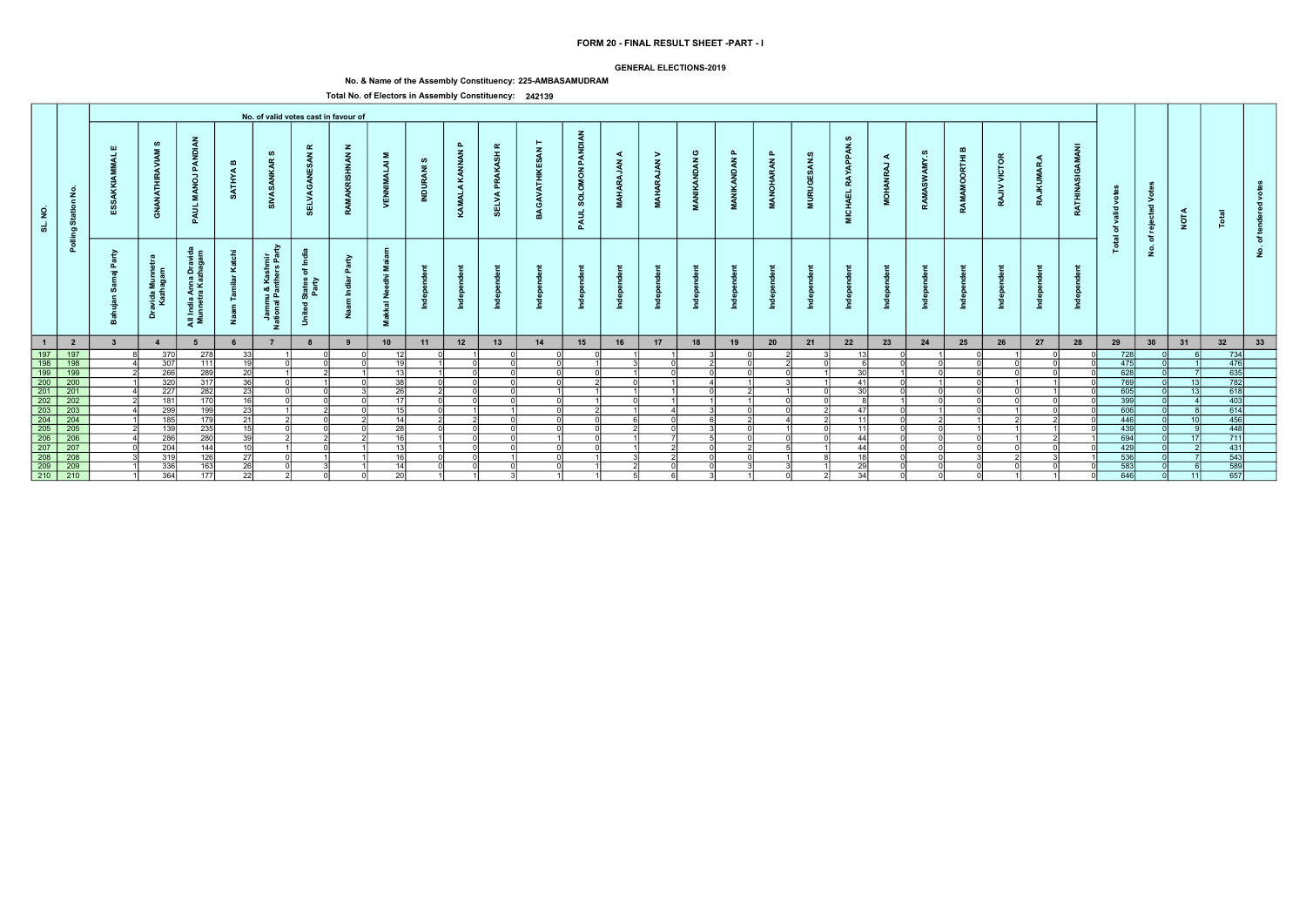### GENERAL ELECTIONS-2019

# No. & Name of the Assembly Constituency: 225-AMBASAMUDRAM

|                      |                                                                                                 |                    |                                        |                                                                    |                       |                                                   |                                                                                                      | No. of valid votes cast in favour of |                                |                           |                               |                                                       |        |                                   |                                        |                                        |                           |                                 |                                 |                          |                                                        |                                     |                               |                                       |                     |                     |                        |                          |                                         |                 |                                                                                                         |              |  |
|----------------------|-------------------------------------------------------------------------------------------------|--------------------|----------------------------------------|--------------------------------------------------------------------|-----------------------|---------------------------------------------------|------------------------------------------------------------------------------------------------------|--------------------------------------|--------------------------------|---------------------------|-------------------------------|-------------------------------------------------------|--------|-----------------------------------|----------------------------------------|----------------------------------------|---------------------------|---------------------------------|---------------------------------|--------------------------|--------------------------------------------------------|-------------------------------------|-------------------------------|---------------------------------------|---------------------|---------------------|------------------------|--------------------------|-----------------------------------------|-----------------|---------------------------------------------------------------------------------------------------------|--------------|--|
| $\overline{2}$<br>್ಯ | £<br>$\epsilon$<br>Star<br>စာ                                                                   | - 111              | ဖာ<br>푽<br>彡<br>ේ                      | ANDI<br>മ<br>-<br>g<br>PAUL                                        | $\mathbf{m}$<br>ATHYA | ဖာ<br>$\alpha$<br>್                               | ≃<br>z<br>- ഗ<br>ш<br><b>SELVA</b>                                                                   | $\mathbf{z}$<br>$\tilde{\xi}$        | Σ.<br>ৱ<br><b>Na</b>           | ဖာ<br>$\bar{z}$<br>ă<br>E | $\mathbf{a}$<br>KAMALA KANNAN | $\pmb{\alpha}$<br>ASH<br><b>PRAKA</b><br><b>SELVA</b> |        | <b>PANDIAN</b><br>SOLOMON<br>PAUL | ◀<br>$\tilde{\epsilon}$<br><b>MAHA</b> | $\geq$<br>$\tilde{A}$<br>$\frac{3}{4}$ | ပ<br><b>INDAN</b><br>MANI | മ<br><b>ANGL</b><br>$\tilde{A}$ | $\mathbf{a}$<br>RAN<br><b>D</b> | - ဟ<br><b>URUGI</b><br>Ē | ø<br><b>APPAN</b><br><b>RAY</b><br>$\vec{u}$<br>₹<br>Ξ | $\prec$<br>,<br>œ<br>$\vec{5}$<br>Σ | ဖာ<br>AMY.<br>SM <sub>3</sub> | ՠ<br>RЩ<br>$\circ$<br>$\circ$<br>RAMA | <b>VICTOR</b><br>RA | ◀<br>MAR<br>Ę<br>RA | GAMANI<br><b>RATHI</b> | o<br>ಾ<br>ঁত<br>$\equiv$ | $\geq$<br>$\overline{\mathbf{c}}$<br>စ္ | <b>NOTA</b>     |                                                                                                         |              |  |
|                      | Pollin                                                                                          | ≥<br>௳<br>$\equiv$ | $\epsilon$<br>avida Mu<br>Kazhaga<br>ă | $\epsilon$<br>୍ବ ପ୍<br>ıdia Anna Dr<br>netra Kazha<br>- 오<br>ੁੜ ≅ੋ | ⊻<br>Ž                | ≥<br>들 훈<br>- 동 있<br>ımu & Ka:<br>ıal Pantho<br>z | - 독<br>$\overleftarrow{\mathrm{o}}$<br>States<br>Party<br>$\overline{\phantom{a}}$<br>$\overline{5}$ | ఛ<br>മ                               | ż<br>$\overline{a}$<br>∽<br>Σ. |                           |                               |                                                       |        |                                   |                                        |                                        |                           |                                 |                                 |                          |                                                        |                                     |                               |                                       |                     |                     |                        | <u>is</u>                | ঁচ<br>$\dot{\mathbf{2}}$                |                 |                                                                                                         | $\circ$<br>٤ |  |
| $\blacksquare$       | $\overline{\mathbf{2}}$                                                                         |                    | $\overline{4}$                         |                                                                    |                       |                                                   |                                                                                                      |                                      | 10                             | 11                        | 12                            | 13                                                    | 14     | 15                                | 16                                     | 17                                     | 18                        | 19                              | 20                              | 21                       | 22                                                     | 23                                  | 24                            | 25                                    | 26                  | 27                  | 28                     | 29                       | 30                                      | 31              | 32                                                                                                      | 33           |  |
| 197<br>198           | 197                                                                                             |                    | 370                                    | 278                                                                | -331                  |                                                   |                                                                                                      |                                      |                                |                           |                               |                                                       |        |                                   |                                        |                                        |                           |                                 |                                 |                          |                                                        |                                     |                               |                                       |                     |                     |                        | 728                      |                                         |                 | 734                                                                                                     |              |  |
|                      | $\frac{1}{198}$                                                                                 |                    | 307                                    | 111                                                                | -10 l                 |                                                   |                                                                                                      |                                      | 19                             |                           |                               |                                                       |        |                                   |                                        | $\cap$                                 |                           | ΩI                              |                                 |                          |                                                        |                                     |                               |                                       |                     |                     |                        | 475                      |                                         |                 | 476                                                                                                     |              |  |
| $\boxed{199}$        | $\overline{199}$                                                                                |                    | 266                                    | 289                                                                | -20 l                 |                                                   |                                                                                                      |                                      | 13 <sup>1</sup>                |                           |                               |                                                       |        |                                   |                                        | U                                      | U                         |                                 |                                 |                          | 30                                                     |                                     |                               |                                       |                     |                     |                        | 628                      |                                         |                 | $\begin{array}{r} \hline +8 \\ 635 \\ \hline 782 \\ \hline 618 \\ \hline 403 \\ \hline 614 \end{array}$ |              |  |
|                      | 200 200                                                                                         |                    | 320                                    | 317                                                                | 36 I                  |                                                   |                                                                                                      |                                      | 38                             |                           |                               |                                                       |        |                                   | $\Omega$                               |                                        |                           |                                 |                                 |                          | 41                                                     |                                     |                               |                                       |                     |                     |                        | 769                      |                                         | 13 <sup>1</sup> |                                                                                                         |              |  |
|                      | $\begin{array}{c cc}\n\hline\n201 & 201 \\ \hline\n202 & 202 \\ \hline\n203 & 203\n\end{array}$ |                    | 227                                    | 282                                                                | -231<br>16 I          |                                                   |                                                                                                      |                                      | <b>26</b>                      |                           |                               |                                                       |        |                                   |                                        |                                        |                           |                                 |                                 |                          | -30                                                    |                                     |                               |                                       |                     |                     |                        | 605<br>$\overline{399}$  |                                         | 13 <sup>1</sup> |                                                                                                         |              |  |
|                      |                                                                                                 |                    | 181<br>299                             | 170                                                                |                       |                                                   |                                                                                                      |                                      | <b>17</b>                      |                           |                               |                                                       |        |                                   |                                        |                                        |                           |                                 |                                 |                          |                                                        |                                     |                               |                                       |                     |                     |                        | 606                      |                                         |                 |                                                                                                         |              |  |
|                      |                                                                                                 |                    |                                        | 199                                                                | 23                    |                                                   |                                                                                                      |                                      | 15 <sup>1</sup>                |                           |                               |                                                       |        |                                   |                                        |                                        |                           |                                 |                                 |                          | 47<br>11                                               |                                     |                               |                                       |                     |                     |                        |                          |                                         |                 |                                                                                                         |              |  |
| $\boxed{204}$        | 204                                                                                             |                    | 185                                    | 179                                                                | -21<br>اء1            |                                                   |                                                                                                      |                                      | 14                             |                           |                               | $\cap$                                                | $\sim$ | $\cap$                            | $\mathcal{D}$                          | $\Omega$<br>$\cap$                     |                           | ΩI                              |                                 |                          | 11                                                     |                                     |                               |                                       |                     |                     |                        | 446                      |                                         | 10 <sup>1</sup> | 456                                                                                                     |              |  |
|                      | 205 205                                                                                         |                    | 139                                    | 235                                                                |                       |                                                   |                                                                                                      |                                      | $\overline{28}$                |                           | $\cap$                        |                                                       |        |                                   |                                        |                                        |                           |                                 |                                 |                          |                                                        |                                     |                               |                                       |                     |                     |                        | 439                      |                                         |                 | 448                                                                                                     |              |  |
|                      | 206 206<br>207 207                                                                              |                    | 286                                    | 280                                                                | ่ 30 l                |                                                   |                                                                                                      |                                      | 161                            |                           | ി                             |                                                       |        |                                   |                                        |                                        |                           | ΩI                              |                                 |                          | 44                                                     |                                     |                               |                                       |                     |                     |                        | 694                      |                                         | 17 <sup>1</sup> | $\frac{711}{431}$                                                                                       |              |  |
|                      |                                                                                                 |                    | 204                                    | 144                                                                | 10 I                  |                                                   |                                                                                                      |                                      | 13                             |                           |                               |                                                       |        |                                   |                                        |                                        | ωı                        |                                 |                                 |                          | 44                                                     |                                     |                               |                                       |                     |                     |                        | 429                      |                                         |                 |                                                                                                         |              |  |
|                      | 208 208                                                                                         |                    | 319                                    | 126                                                                |                       |                                                   |                                                                                                      |                                      | 16                             |                           |                               |                                                       |        |                                   |                                        |                                        |                           |                                 |                                 |                          | 15                                                     |                                     |                               |                                       |                     |                     |                        | 536                      |                                         |                 | $\frac{543}{589}$                                                                                       |              |  |
|                      | $\overline{209}$                                                                                |                    | 336                                    | 163                                                                | 261                   |                                                   |                                                                                                      |                                      | 14                             |                           |                               |                                                       |        |                                   |                                        |                                        |                           |                                 |                                 |                          | 29                                                     |                                     |                               |                                       |                     |                     |                        | 583                      |                                         |                 |                                                                                                         |              |  |
| $\boxed{210}$        | $\overline{210}$                                                                                |                    | 364                                    | 177                                                                | $\overline{22}$       |                                                   |                                                                                                      |                                      | 20                             |                           |                               |                                                       |        |                                   | .5I                                    | 61                                     | $\mathcal{R}$             |                                 |                                 |                          | 34                                                     |                                     |                               |                                       |                     |                     |                        | 646                      |                                         | 11              | 657                                                                                                     |              |  |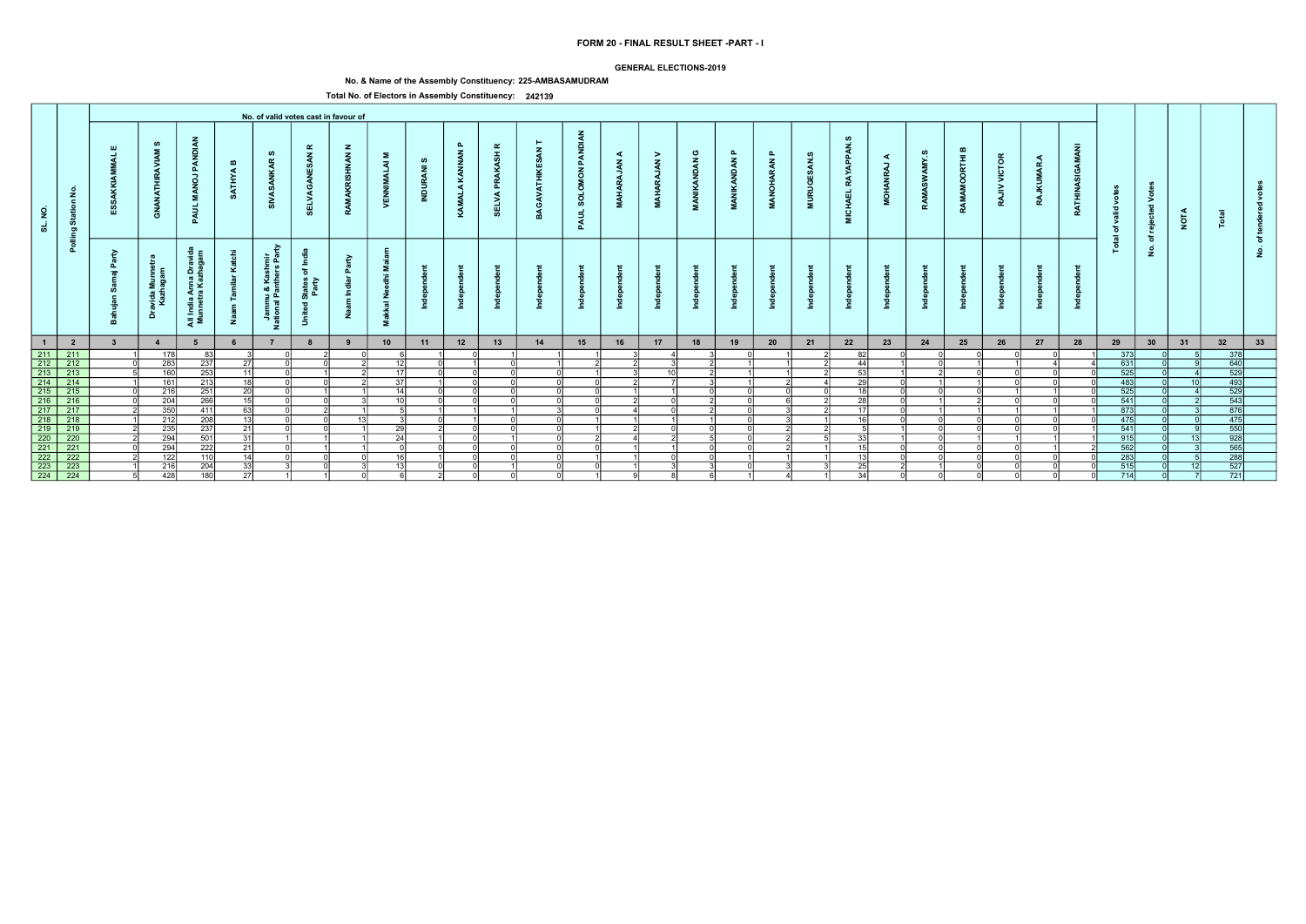### GENERAL ELECTIONS-2019

# No. & Name of the Assembly Constituency: 225-AMBASAMUDRAM

|                                                  |                                                                                                                               |                         |                             |                                                   |                              |                                                      |                                                                                  | No. of valid votes cast in favour of |                                                                         |                     |                    |                                   |              |                                                             |                                         |                                          |                                                   |                        |                           |                                        |                                      |             |                                |                                    |                        |                 |                         |                        |                                                |                 |                                                                                           |          |  |
|--------------------------------------------------|-------------------------------------------------------------------------------------------------------------------------------|-------------------------|-----------------------------|---------------------------------------------------|------------------------------|------------------------------------------------------|----------------------------------------------------------------------------------|--------------------------------------|-------------------------------------------------------------------------|---------------------|--------------------|-----------------------------------|--------------|-------------------------------------------------------------|-----------------------------------------|------------------------------------------|---------------------------------------------------|------------------------|---------------------------|----------------------------------------|--------------------------------------|-------------|--------------------------------|------------------------------------|------------------------|-----------------|-------------------------|------------------------|------------------------------------------------|-----------------|-------------------------------------------------------------------------------------------|----------|--|
| SL. NO.                                          | $\tilde{z}$<br>$\epsilon$<br>Statio<br>ಠಾ                                                                                     |                         | ဖာ<br><b>ANATHIR</b><br>ී   | PAN<br>$\vec{e}$<br>Σ.<br>इ<br>മ                  | $\mathbf{m}$<br><b>ATHYA</b> | ဖာ<br>$\alpha$<br>ž                                  | $\alpha$<br>$\mathbf{z}$<br>3<br>己                                               | $\mathbf{z}$<br><b>INAN</b>          | Σ<br>$\overline{z}$<br>್ಷ<br>>                                          | ဖ<br>$\bar{z}$<br>ಸ | ௳<br>KAMALA KANNAN | $\alpha$<br>ASH<br>௳<br>ELVA<br>ທ | GAV          | <b>DIAN</b><br>PAN<br>$\overline{6}$<br><b>SOLO</b><br>PAUL | ⋖<br>$\tilde{\mathbf{z}}$<br><b>MAH</b> | ><br>$\tilde{\mathbf{z}}$<br><b>MAHA</b> | ပ<br>$\tilde{\mathbf{z}}$<br><b>IKAND</b><br>MANI | മ<br><b>MANIKANDAN</b> | മ<br>ARAN<br><b>MANOH</b> | ဖ<br>ESAN.<br><b>RUGI</b><br>$\vec{z}$ | ഗ<br>APPAN<br>RAY<br><b>EHA</b><br>Σ | ⋖<br>,<br>ġ | ဖာ<br>≻<br>$\tilde{s}$<br>RAMA | മ<br>$\bar{E}$<br>$\circ$<br>RAMAI | VICTOR<br>$\geq$<br>RA | <b>RAJKUMAR</b> | c<br>g<br><b>RATHIN</b> | ğ<br>valid<br>ិច<br>ੁਛ | $\circ$<br>⋗<br>$\overline{\phantom{a}}$<br>ႜၑ | <b>NOTA</b>     |                                                                                           |          |  |
|                                                  | Pollin                                                                                                                        | B<br>$=$                | avida Munr<br>Kazhagan<br>å | Anna Drav<br>ra Kazhaga<br>- - - i<br>- 1<br>ह ≅ं | ž                            | ⋧<br>들 호<br>Jammu & Kashm<br>ational Panthers F<br>z | -≗<br>$\overline{\mathbf{c}}$<br>States<br>Party<br>$\overline{\mathbf{c}}$<br>ぅ | $\tilde{\mathbf{e}}$                 | Σ.<br>$\ddot{\epsilon}$<br>Ō<br>ے<br>ح<br>$\overline{\mathbf{a}}$<br>Σ. |                     |                    |                                   |              |                                                             |                                         |                                          |                                                   |                        |                           |                                        |                                      |             |                                |                                    |                        |                 |                         | 은                      | ঁচ<br>$\dot{z}$                                |                 |                                                                                           | <u>و</u> |  |
| $-1$                                             | $\overline{\mathbf{2}}$                                                                                                       | $\overline{\mathbf{3}}$ | $\overline{4}$              |                                                   |                              |                                                      | 8                                                                                | $\overline{\mathbf{9}}$              | 10                                                                      | 11                  | 12                 | 13                                | 14           | 15                                                          | 16                                      | 17                                       | 18                                                | 19                     | 20                        | 21                                     | 22                                   | 23          | 24                             | 25                                 | 26                     | 27              | 28                      | 29                     | 30                                             | 31              | 32                                                                                        | 33       |  |
|                                                  | 1<br>211 212 212<br>212 213 213<br>214 214<br>215 215<br>216 216<br>216 216<br>217 217 217<br>220 220<br>221 2221<br>222 2221 |                         | 178                         | -83                                               |                              |                                                      |                                                                                  |                                      |                                                                         |                     |                    |                                   |              |                                                             |                                         |                                          |                                                   |                        |                           |                                        | 82                                   |             |                                |                                    |                        |                 |                         | 373                    |                                                |                 | $\begin{array}{r}\n 378 \\  \hline\n 640 \\  \hline\n 529 \\  \hline\n 493\n \end{array}$ |          |  |
|                                                  |                                                                                                                               |                         | 283                         | 237                                               | 27 I                         |                                                      |                                                                                  |                                      | 12 <sup>1</sup>                                                         |                     |                    |                                   |              |                                                             |                                         |                                          |                                                   |                        |                           |                                        | 44                                   |             |                                |                                    |                        |                 |                         | 631                    |                                                |                 |                                                                                           |          |  |
|                                                  |                                                                                                                               |                         | 160                         | 253                                               | 11                           |                                                      |                                                                                  |                                      | 17                                                                      |                     |                    |                                   | $\Omega$     |                                                             |                                         | 10 <sup>1</sup>                          |                                                   |                        |                           |                                        | 53                                   |             |                                |                                    |                        |                 |                         | $\overline{525}$       |                                                |                 |                                                                                           |          |  |
|                                                  |                                                                                                                               |                         | 161                         | 213                                               | 18<br>$\overline{20}$        |                                                      |                                                                                  |                                      | 37<br>14                                                                |                     |                    |                                   | ΩI<br>$\cap$ | ΩI<br>ΩI                                                    |                                         |                                          |                                                   |                        |                           |                                        | $\overline{29}$<br><b>40</b>         |             |                                |                                    |                        |                 |                         | 483                    |                                                | 10 <sup>1</sup> | 529                                                                                       |          |  |
|                                                  |                                                                                                                               |                         | 216<br>204                  | 251<br>266                                        | 15 <sup>1</sup>              |                                                      |                                                                                  |                                      | 10                                                                      |                     |                    |                                   | $\Omega$     | ΩI                                                          |                                         |                                          |                                                   |                        |                           |                                        | 28                                   |             |                                |                                    |                        |                 |                         | 525<br>541             |                                                |                 |                                                                                           |          |  |
|                                                  |                                                                                                                               |                         | 350                         | 411                                               | $\overline{63}$              |                                                      |                                                                                  |                                      |                                                                         |                     |                    |                                   |              | ΛI                                                          |                                         |                                          |                                                   |                        |                           |                                        | 17                                   |             |                                |                                    |                        |                 |                         | 873                    |                                                |                 | $\frac{543}{876}$                                                                         |          |  |
|                                                  |                                                                                                                               |                         | 212                         | 208                                               | 13                           |                                                      |                                                                                  | 12                                   |                                                                         |                     |                    |                                   |              |                                                             |                                         |                                          |                                                   |                        |                           |                                        | $\overline{16}$                      |             |                                |                                    |                        |                 |                         | 475                    |                                                |                 | 475                                                                                       |          |  |
|                                                  |                                                                                                                               |                         | 235                         | 237                                               | 21                           |                                                      |                                                                                  |                                      | 29                                                                      |                     |                    |                                   | ∩l           |                                                             |                                         | $\cap$                                   |                                                   |                        |                           |                                        |                                      |             |                                |                                    |                        |                 |                         | 541                    |                                                |                 | 550                                                                                       |          |  |
|                                                  |                                                                                                                               |                         | 294                         | 501                                               | 31                           |                                                      |                                                                                  |                                      | 24                                                                      |                     |                    |                                   | ΩI           |                                                             |                                         |                                          |                                                   |                        |                           |                                        | 33                                   |             |                                |                                    |                        |                 |                         | 915                    |                                                | 12              |                                                                                           |          |  |
|                                                  |                                                                                                                               |                         | 294                         | 222                                               | $\overline{21}$              |                                                      |                                                                                  |                                      |                                                                         |                     |                    |                                   | വ            | ΩI                                                          |                                         |                                          |                                                   |                        |                           |                                        | 15                                   |             |                                |                                    |                        |                 |                         | 562                    |                                                |                 |                                                                                           |          |  |
|                                                  | 222                                                                                                                           |                         | 122                         | 110                                               | 14                           |                                                      |                                                                                  |                                      | 16I                                                                     |                     |                    |                                   |              |                                                             |                                         |                                          |                                                   |                        |                           |                                        |                                      |             |                                |                                    |                        |                 |                         | 283                    |                                                |                 | 928<br>565<br>288<br>527                                                                  |          |  |
|                                                  | $\overline{223}$                                                                                                              |                         | 216                         | 204                                               | -331                         |                                                      |                                                                                  |                                      | 12                                                                      |                     |                    |                                   |              |                                                             |                                         |                                          |                                                   |                        |                           |                                        | 25                                   |             |                                |                                    |                        |                 |                         | 515                    |                                                |                 |                                                                                           |          |  |
| $\begin{array}{r} 222 \\ 223 \\ 224 \end{array}$ | $\overline{224}$                                                                                                              |                         | 428                         | 180                                               | 27                           |                                                      |                                                                                  |                                      |                                                                         |                     |                    |                                   | - ni         |                                                             |                                         |                                          |                                                   |                        |                           |                                        | 34                                   |             |                                |                                    |                        |                 |                         | 714                    |                                                |                 | 721                                                                                       |          |  |
|                                                  |                                                                                                                               |                         |                             |                                                   |                              |                                                      |                                                                                  |                                      |                                                                         |                     |                    |                                   |              |                                                             |                                         |                                          |                                                   |                        |                           |                                        |                                      |             |                                |                                    |                        |                 |                         |                        |                                                |                 |                                                                                           |          |  |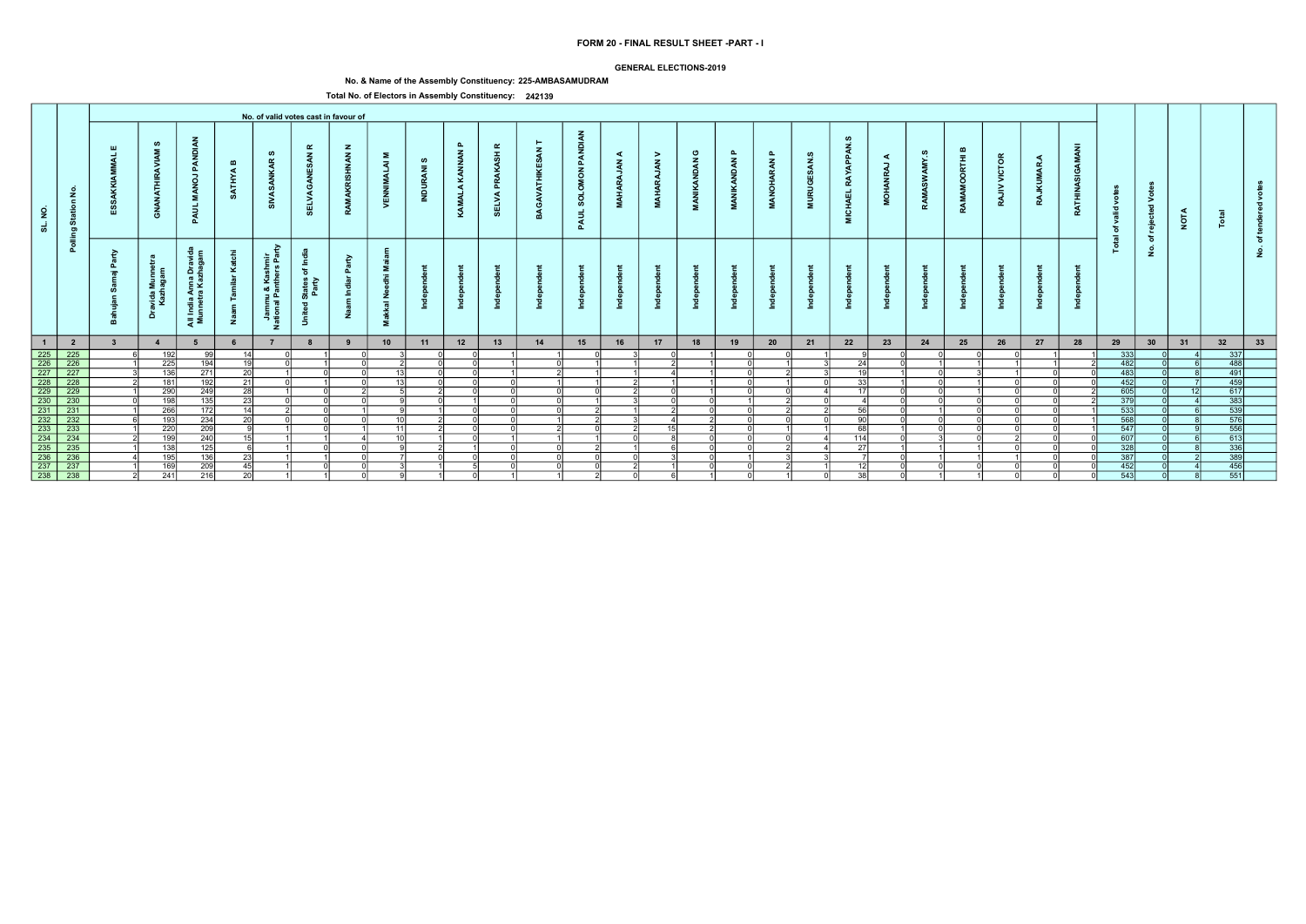### GENERAL ELECTIONS-2019

# No. & Name of the Assembly Constituency: 225-AMBASAMUDRAM

|                                                                                                       |                               |                         |                             |                                                                |                              |                                                       |                                                                                         | No. of valid votes cast in favour of |                                                                                |                           |                               |                                         |               |                                                  |                                   |                                          |                                                   |                        |                                  |                                        |                                        |                      |                                   |                                   |                        |                 |                                |                        |                          |                 |                                                                          |          |  |
|-------------------------------------------------------------------------------------------------------|-------------------------------|-------------------------|-----------------------------|----------------------------------------------------------------|------------------------------|-------------------------------------------------------|-----------------------------------------------------------------------------------------|--------------------------------------|--------------------------------------------------------------------------------|---------------------------|-------------------------------|-----------------------------------------|---------------|--------------------------------------------------|-----------------------------------|------------------------------------------|---------------------------------------------------|------------------------|----------------------------------|----------------------------------------|----------------------------------------|----------------------|-----------------------------------|-----------------------------------|------------------------|-----------------|--------------------------------|------------------------|--------------------------|-----------------|--------------------------------------------------------------------------|----------|--|
| SL. NO.                                                                                               | $\frac{1}{2}$<br>Statio<br>ರಾ |                         | ဖာ<br><b>ANATHIR</b><br>ී   | PAN<br>LON<br>Σ.<br>इ<br>മ                                     | $\mathbf{m}$<br><b>ATHYA</b> | ဖာ<br>$\alpha$<br>ž                                   | $\alpha$<br>$\mathbf{z}$<br>3<br>己                                                      | <b>HANN</b>                          | Σ.<br>$\overline{z}$<br>್ನ<br>>                                                | ဖာ<br>$\bar{z}$<br>ಸ<br>Ξ | $\mathbf{r}$<br>KAMALA KANNAN | $\alpha$<br>ASH<br>Š<br>Δ.<br>ELVA<br>ທ | GAV           | <b>DIAN</b><br>PAN<br>NOW<br><b>SOLO</b><br>PAUL | ⋖<br>$\tilde{\mathbf{z}}$<br>MAH. | ><br>$\tilde{\mathbf{z}}$<br><b>MAHA</b> | ပ<br>$\tilde{\mathbf{z}}$<br><b>IKAND</b><br>MANI | ௳<br><b>MANIKANDAN</b> | ௳<br><b>ARAN</b><br><b>MANOH</b> | ဖ<br>ESAN.<br><b>RUGI</b><br>$\vec{z}$ | ഗ<br>APPAN<br>RAY<br><b>CHAEL</b><br>Σ | ⋖<br>,<br><b>NON</b> | ဖာ<br>AMY.<br>$\tilde{s}$<br>RAMA | മ<br>Ē<br>$\circ$<br><b>RAMAM</b> | VICTOR<br>$\geq$<br>RA | <b>RAJKUMAR</b> | c<br>g<br>Asi<br><b>RATHIN</b> | Š<br>valid<br>ិច<br>ੁਛ | $\circ$<br>⋗<br>ਾਰ<br>ႜၑ | <b>NOTA</b>     |                                                                          |          |  |
|                                                                                                       | Pollin                        | -a<br>௨<br>$=$          | avida Munr<br>Kazhagan<br>å | Anna Drav<br>ra Kazhaga<br>$\frac{a}{b}$<br>$\epsilon$<br>ੁੜ ≅ | ž                            | Ğ.<br>들 호<br>Jammu & Kashm<br>ational Panthers F<br>z | <b>£</b><br>$\overline{\mathbf{c}}$<br>States<br>Party<br>$\overline{\mathbf{c}}$<br>-5 | $\tilde{\mathbf{e}}$                 | Σ.<br>$\ddot{\epsilon}$<br>Ō<br>ے<br>ح<br>$\overline{\overline{6}}$<br>式<br>Σ. |                           |                               |                                         |               |                                                  |                                   |                                          |                                                   |                        |                                  |                                        |                                        |                      |                                   |                                   |                        |                 |                                | 은                      | ঁচ<br>$\dot{\mathbf{z}}$ |                 |                                                                          | <u>و</u> |  |
| $\blacksquare$                                                                                        | $\overline{\mathbf{2}}$       | $\overline{\mathbf{3}}$ | $\overline{4}$              |                                                                |                              |                                                       | 8                                                                                       | $\overline{9}$                       | 10                                                                             | 11                        | 12                            | 13                                      | 14            | 15                                               | 16                                | 17                                       | 18                                                | 19                     | 20                               | 21                                     | 22                                     | 23                   | 24                                | 25                                | 26                     | 27              | 28                             | 29                     | 30                       | 31              | 32                                                                       | 33       |  |
|                                                                                                       | $\frac{225}{226}$             |                         | 192                         | -991                                                           | 14 <sup>1</sup>              |                                                       |                                                                                         |                                      |                                                                                |                           |                               |                                         |               | ωı                                               |                                   |                                          |                                                   |                        |                                  |                                        |                                        |                      |                                   |                                   |                        |                 |                                | 333                    |                          |                 |                                                                          |          |  |
| 225<br>226<br>227<br>228<br>229<br>232<br>233<br>232<br>233<br>233<br>233<br>235<br>236<br>237<br>238 |                               |                         | 225                         | $\overline{194}$                                               | 19                           |                                                       |                                                                                         |                                      |                                                                                |                           |                               |                                         | ΩI            |                                                  |                                   |                                          |                                                   |                        |                                  |                                        | 24                                     |                      |                                   |                                   |                        |                 |                                | 482                    |                          |                 | $\begin{array}{r} 337 \\ 488 \\ \hline 491 \end{array}$                  |          |  |
|                                                                                                       | $\overline{227}$              |                         | 136                         | 271                                                            | 20                           |                                                       |                                                                                         |                                      | 12                                                                             |                           |                               |                                         |               |                                                  |                                   |                                          |                                                   |                        |                                  |                                        | $\overline{1}$                         |                      |                                   |                                   |                        |                 |                                | 483                    |                          |                 |                                                                          |          |  |
|                                                                                                       | 228                           |                         | 181                         | 192                                                            | 21                           |                                                       |                                                                                         |                                      | 12                                                                             |                           |                               |                                         |               |                                                  |                                   |                                          |                                                   |                        |                                  |                                        | 33                                     |                      |                                   |                                   |                        |                 |                                | 452                    |                          |                 | $\frac{1}{459}$                                                          |          |  |
|                                                                                                       | $\overline{229}$              |                         | 290                         | 249                                                            | 28                           |                                                       |                                                                                         |                                      |                                                                                |                           |                               |                                         | ി             | ി                                                |                                   |                                          |                                                   |                        |                                  |                                        | - 17                                   |                      |                                   |                                   |                        |                 |                                | 605                    |                          | 12 <sup>1</sup> | 617                                                                      |          |  |
|                                                                                                       | $\frac{1}{230}$               |                         | 198                         | 135                                                            | $\overline{23}$              |                                                       |                                                                                         |                                      |                                                                                |                           |                               |                                         | n             |                                                  |                                   |                                          |                                                   |                        |                                  |                                        |                                        |                      |                                   |                                   |                        |                 |                                | 379                    |                          |                 | $\frac{\frac{383}{383}}{\frac{539}{576}}$                                |          |  |
|                                                                                                       | $\overline{231}$              |                         | $\overline{266}$            | 172                                                            | 14                           |                                                       |                                                                                         |                                      |                                                                                |                           |                               |                                         |               | ΛI                                               |                                   |                                          |                                                   |                        |                                  |                                        | 56                                     |                      |                                   |                                   |                        |                 |                                | 533                    |                          |                 |                                                                          |          |  |
|                                                                                                       | 232                           |                         | 193                         | 234                                                            | $\overline{20}$              |                                                       |                                                                                         |                                      |                                                                                |                           |                               |                                         |               |                                                  |                                   |                                          |                                                   |                        |                                  |                                        | 90                                     |                      |                                   |                                   |                        |                 |                                | 568                    |                          |                 |                                                                          |          |  |
|                                                                                                       | 233                           |                         | 220                         | 209                                                            | $\Omega$                     |                                                       |                                                                                         |                                      | 11                                                                             |                           |                               |                                         | $\mathcal{D}$ | $\cap$                                           |                                   | 15 <sup>1</sup>                          |                                                   |                        |                                  |                                        | 68                                     |                      |                                   |                                   |                        |                 |                                | 547                    |                          |                 | 556                                                                      |          |  |
|                                                                                                       | $\overline{234}$              |                         | 199                         | 240                                                            | 15 <sup>1</sup>              |                                                       |                                                                                         |                                      | 10 <sub>1</sub>                                                                |                           |                               |                                         |               |                                                  | $\cap$                            |                                          |                                                   |                        |                                  |                                        | 114                                    |                      |                                   |                                   |                        |                 |                                | 607                    |                          |                 | $\begin{array}{r}\n 613 \\  \hline\n 336 \\  \hline\n 389\n \end{array}$ |          |  |
|                                                                                                       | $\overline{235}$              |                         | 138                         | 125                                                            | <b>G</b>                     |                                                       |                                                                                         |                                      |                                                                                |                           |                               |                                         | വ             |                                                  |                                   |                                          |                                                   |                        |                                  |                                        | 27                                     |                      |                                   |                                   |                        |                 |                                | 328                    |                          |                 |                                                                          |          |  |
|                                                                                                       | $\frac{236}{237}$             |                         | 195                         | 136                                                            | 23                           |                                                       |                                                                                         |                                      |                                                                                |                           |                               |                                         |               |                                                  |                                   |                                          |                                                   |                        |                                  |                                        |                                        |                      |                                   |                                   |                        |                 |                                | 387                    |                          |                 |                                                                          |          |  |
|                                                                                                       |                               |                         | 169                         | 209                                                            | 45 l                         |                                                       |                                                                                         |                                      |                                                                                |                           |                               |                                         |               |                                                  |                                   |                                          |                                                   |                        |                                  |                                        |                                        |                      |                                   |                                   |                        |                 |                                | 452                    |                          |                 | 456                                                                      |          |  |
|                                                                                                       | $\overline{238}$              |                         | 241                         | $\overline{216}$                                               | 20                           |                                                       |                                                                                         |                                      |                                                                                |                           |                               |                                         |               | 21                                               | $\Omega$                          | 61                                       |                                                   |                        |                                  |                                        | 38                                     |                      |                                   |                                   |                        |                 |                                | 543                    |                          |                 | $\overline{551}$                                                         |          |  |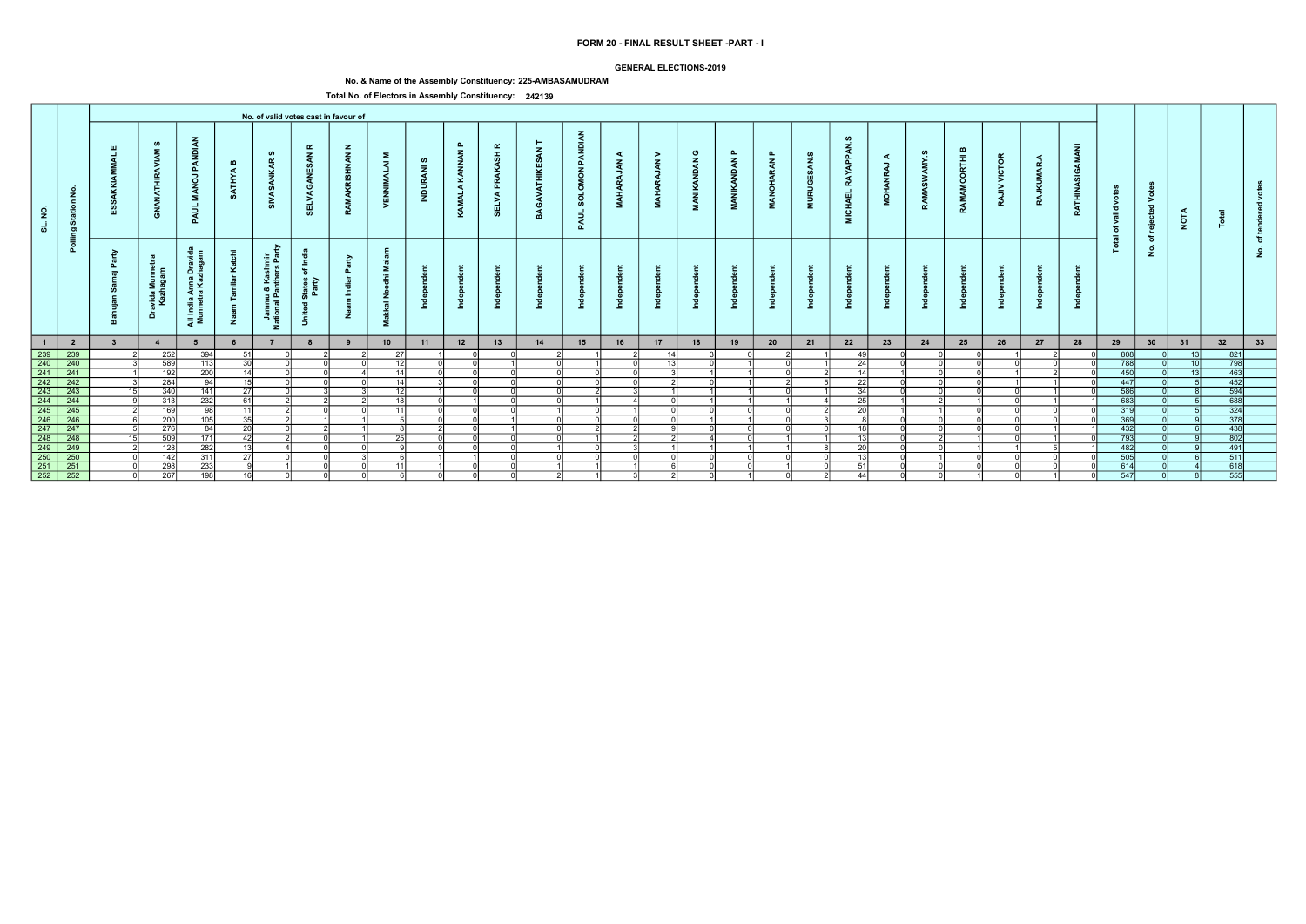### GENERAL ELECTIONS-2019

# No. & Name of the Assembly Constituency: 225-AMBASAMUDRAM

|                |                                           |                         |                             |                                                         |                              |                                                       |                                                                                   | No. of valid votes cast in favour of |                                                                                |                          |                    |                                        |          |                                                             |                                   |                                          |                                                   |                        |                           |                                        |                                        |             |                                |                            |                        |                 |                                |                          |                                               |                 |                                                                          |          |  |
|----------------|-------------------------------------------|-------------------------|-----------------------------|---------------------------------------------------------|------------------------------|-------------------------------------------------------|-----------------------------------------------------------------------------------|--------------------------------------|--------------------------------------------------------------------------------|--------------------------|--------------------|----------------------------------------|----------|-------------------------------------------------------------|-----------------------------------|------------------------------------------|---------------------------------------------------|------------------------|---------------------------|----------------------------------------|----------------------------------------|-------------|--------------------------------|----------------------------|------------------------|-----------------|--------------------------------|--------------------------|-----------------------------------------------|-----------------|--------------------------------------------------------------------------|----------|--|
| SL. NO.        | $\tilde{z}$<br>$\epsilon$<br>Statio<br>ರಾ |                         | ဖာ<br><b>ANATHIR</b><br>ී   | PAN<br>$\vec{e}$<br>Σ.<br>इ<br>മ                        | $\mathbf{m}$<br><b>ATHYA</b> | ဖာ<br>$\alpha$<br>ž                                   | $\alpha$<br>$\mathbf{z}$<br>3<br>己                                                | $\mathbf{z}$<br><b>INAN</b>          | Σ<br>$\overline{z}$<br>>                                                       | ဖ<br>$\bar{z}$<br>ಸ<br>Ξ | ௳<br>KAMALA KANNAN | $\alpha$<br>ASH<br>Š<br>௳<br>ELVA<br>ທ | GAV      | <b>DIAN</b><br>PAN<br>$\overline{6}$<br><b>SOLO</b><br>PAUL | ⋖<br>$\tilde{\mathbf{z}}$<br>MAH. | ><br>$\tilde{\mathbf{z}}$<br><b>MAHA</b> | ပ<br>$\tilde{\mathbf{z}}$<br><b>IKAND</b><br>MANI | മ<br><b>MANIKANDAN</b> | മ<br>ARAN<br><b>MANOH</b> | ဖ<br>ESAN.<br><b>RUGI</b><br>$\vec{z}$ | ഗ<br>APPAN<br>RAY<br><b>CHAEL</b><br>Σ | ⋖<br>,<br>ġ | ဖာ<br>≻<br>$\tilde{s}$<br>RAMA | മ<br>Ē<br>$\circ$<br>RAMAI | VICTOR<br>$\geq$<br>RA | <b>RAJKUMAR</b> | c<br>g<br>Asi<br><b>RATHIN</b> | Š<br>valid<br>ិច<br>ੁਛ   | $\circ$<br>⋗<br>$\overline{\mathbf{c}}$<br>ႜၑ | <b>NOTA</b>     |                                                                          |          |  |
|                | Pollin                                    | B<br>௨<br>$=$           | avida Munr<br>Kazhagan<br>å | Anna Drav<br>ra Kazhaga<br>$\frac{a}{b}$<br>- 1<br>ੁੜ ≅ | ž                            | Ğ.<br>들 호<br>Jammu & Kashm<br>ational Panthers F<br>z | -≗<br>$\overline{\mathbf{c}}$<br>States<br>Party<br>$\overline{\mathbf{c}}$<br>-5 | $\tilde{\mathbf{e}}$                 | Σ.<br>$\ddot{\epsilon}$<br>Ō<br>ے<br>ح<br>$\overline{\overline{6}}$<br>式<br>Σ. |                          |                    |                                        |          |                                                             |                                   |                                          |                                                   |                        |                           |                                        |                                        |             |                                |                            |                        |                 |                                | 은                        | ঁচ<br>$\dot{\mathbf{z}}$                      |                 |                                                                          | <u>و</u> |  |
| $\blacksquare$ | $\overline{\mathbf{2}}$                   | $\overline{\mathbf{3}}$ | $\overline{4}$              |                                                         |                              |                                                       | 8                                                                                 | $\overline{\mathbf{9}}$              | 10                                                                             | 11                       | 12                 | 13                                     | 14       | 15                                                          | 16                                | 17                                       | 18                                                | 19                     | 20                        | 21                                     | 22                                     | 23          | 24                             | 25                         | 26                     | 27              | 28                             | 29                       | 30                                            | 31              | 32                                                                       | 33       |  |
|                | $\frac{239}{240}$                         |                         | 252                         | 394                                                     | -51 l                        |                                                       |                                                                                   |                                      | 27                                                                             |                          |                    |                                        |          |                                                             |                                   | 14                                       |                                                   |                        |                           |                                        | 40                                     |             |                                |                            |                        |                 |                                | $\frac{808}{788}$        |                                               | 13 <sup>1</sup> | 821                                                                      |          |  |
|                |                                           |                         | 589                         | 113                                                     | 30                           |                                                       |                                                                                   |                                      | 12                                                                             |                          |                    |                                        |          |                                                             |                                   | 13 <sup>1</sup>                          |                                                   |                        |                           |                                        | 24                                     |             |                                |                            |                        |                 |                                |                          |                                               | 10 <sup>1</sup> | $\overline{798}$                                                         |          |  |
|                | $\overline{241}$                          |                         | 192                         | 200                                                     | 14                           |                                                       |                                                                                   |                                      | 14                                                                             |                          |                    |                                        |          | ΩI                                                          |                                   |                                          |                                                   |                        |                           |                                        | 11                                     |             |                                |                            |                        |                 |                                | 450                      |                                               |                 | $\frac{463}{452}$                                                        |          |  |
|                | 242                                       |                         | 284                         | 94                                                      | 15                           |                                                       |                                                                                   |                                      | 14                                                                             |                          |                    |                                        | nl       | ΩI                                                          | ΩI                                |                                          |                                                   |                        |                           |                                        | 22                                     |             |                                |                            |                        |                 |                                | 447                      |                                               |                 |                                                                          |          |  |
|                | $\frac{243}{244}$                         |                         | 340                         | 141                                                     | 27                           |                                                       |                                                                                   |                                      | 12<br>18I                                                                      |                          |                    |                                        | ി        |                                                             |                                   |                                          |                                                   |                        |                           |                                        | 34<br>つら                               |             |                                |                            |                        |                 |                                | <b>586</b>               |                                               |                 | $\begin{array}{r}\n 594 \\  \hline\n 688 \\  \hline\n 324\n \end{array}$ |          |  |
|                | $\overline{245}$                          |                         | 313<br>169                  | 232<br>QR                                               | 61 I<br>$\overline{11}$      |                                                       |                                                                                   |                                      |                                                                                |                          |                    |                                        | ΩI       | ΛI                                                          |                                   |                                          |                                                   |                        |                           |                                        | $\overline{20}$                        |             |                                |                            |                        |                 |                                | 683L<br>$\overline{319}$ |                                               |                 |                                                                          |          |  |
|                | 246                                       |                         |                             | 105                                                     | 35                           |                                                       |                                                                                   |                                      | 11                                                                             |                          |                    |                                        | $\Omega$ |                                                             |                                   |                                          |                                                   |                        |                           |                                        |                                        |             |                                |                            |                        |                 |                                | 369                      |                                               |                 | $\overline{378}$                                                         |          |  |
|                |                                           |                         | 200<br>276                  |                                                         | 20                           |                                                       |                                                                                   |                                      |                                                                                |                          |                    |                                        | ∩l       | $\mathcal{D}$                                               |                                   | ി                                        |                                                   |                        |                           |                                        | 18                                     |             |                                |                            |                        |                 |                                | 432                      |                                               |                 | 438                                                                      |          |  |
|                | 247<br>$\overline{248}$                   |                         |                             | 84                                                      | 42                           |                                                       |                                                                                   |                                      | つら                                                                             |                          |                    |                                        | ΩI       |                                                             |                                   |                                          |                                                   |                        |                           |                                        | 12                                     |             |                                |                            |                        |                 |                                | 793                      |                                               |                 |                                                                          |          |  |
|                | 249                                       |                         | 509<br>128                  | 171<br>$\overline{282}$                                 | 13                           |                                                       |                                                                                   |                                      |                                                                                |                          |                    |                                        |          | വ                                                           |                                   |                                          |                                                   |                        |                           |                                        | 20                                     |             |                                |                            |                        |                 |                                | 482                      |                                               |                 |                                                                          |          |  |
|                |                                           |                         | 142                         | 311                                                     | 27                           |                                                       |                                                                                   |                                      |                                                                                |                          |                    |                                        |          |                                                             |                                   |                                          |                                                   |                        |                           |                                        |                                        |             |                                |                            |                        |                 |                                | 505                      |                                               |                 | $\frac{802}{491}$                                                        |          |  |
|                | $\frac{250}{251}$                         |                         | 298                         | 233                                                     |                              |                                                       |                                                                                   |                                      | 11                                                                             |                          |                    |                                        |          |                                                             |                                   |                                          |                                                   |                        |                           |                                        | 51                                     |             |                                |                            |                        |                 |                                | 614                      |                                               |                 | 618                                                                      |          |  |
|                | $\overline{252}$                          |                         | 267                         | 198                                                     | 16 <sup>1</sup>              |                                                       |                                                                                   |                                      |                                                                                |                          |                    |                                        | 21       |                                                             |                                   |                                          |                                                   |                        |                           |                                        | 44                                     |             |                                |                            |                        |                 |                                | 547                      |                                               |                 | 555                                                                      |          |  |
|                |                                           |                         |                             |                                                         |                              |                                                       |                                                                                   |                                      |                                                                                |                          |                    |                                        |          |                                                             |                                   |                                          |                                                   |                        |                           |                                        |                                        |             |                                |                            |                        |                 |                                |                          |                                               |                 |                                                                          |          |  |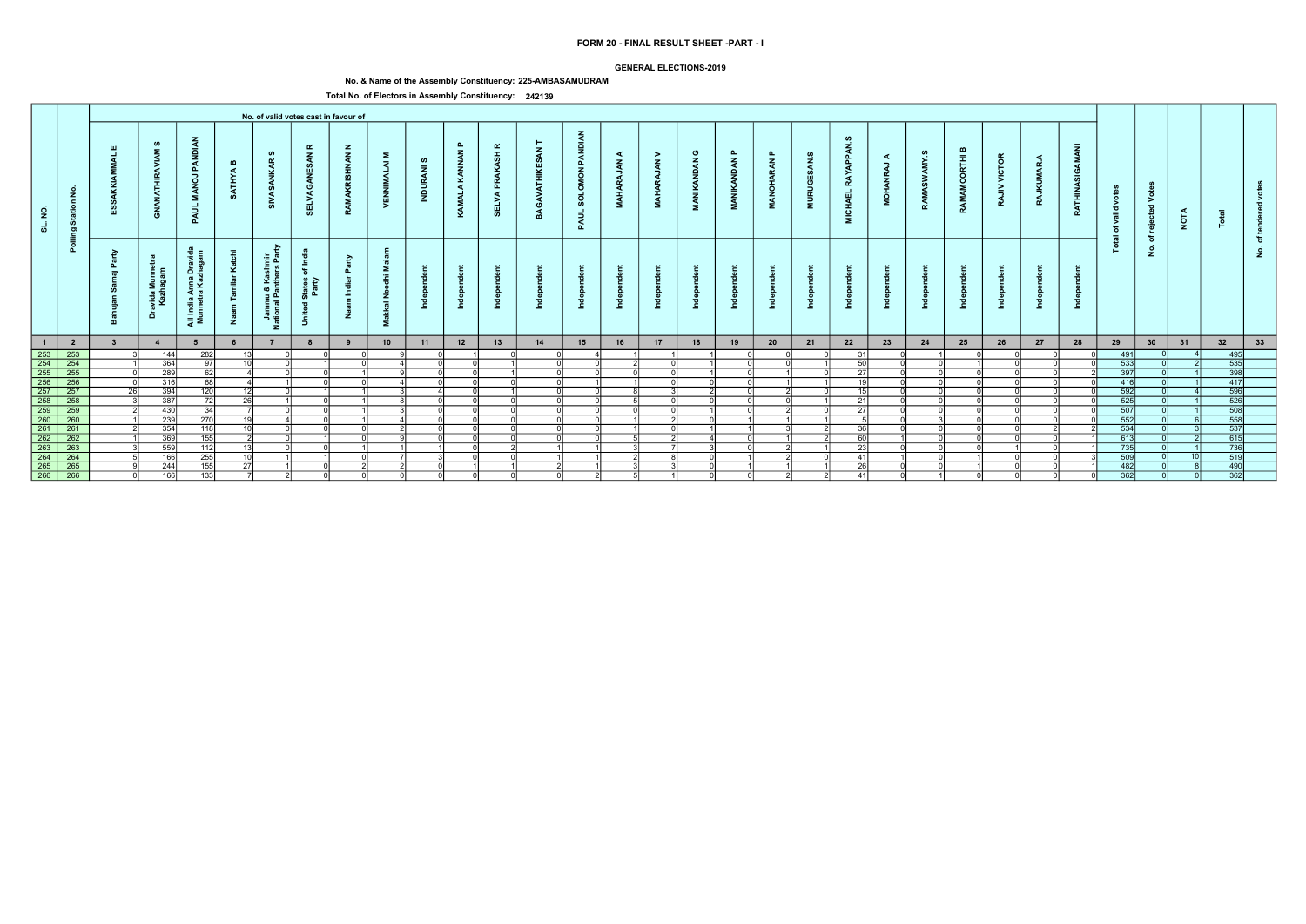### GENERAL ELECTIONS-2019

# No. & Name of the Assembly Constituency: 225-AMBASAMUDRAM

|                     |                         |                         |                                |                                          |                              |                                                             |                                                        | No. of valid votes cast in favour of |                                   |                               |                               |                                     |              |                                               |                        |                                 |                          |                                                            |                                 |                                        |                                           |                          |            |                                  |                          |                     |                                 |                    |                                                     |             |                                                                                            |        |  |
|---------------------|-------------------------|-------------------------|--------------------------------|------------------------------------------|------------------------------|-------------------------------------------------------------|--------------------------------------------------------|--------------------------------------|-----------------------------------|-------------------------------|-------------------------------|-------------------------------------|--------------|-----------------------------------------------|------------------------|---------------------------------|--------------------------|------------------------------------------------------------|---------------------------------|----------------------------------------|-------------------------------------------|--------------------------|------------|----------------------------------|--------------------------|---------------------|---------------------------------|--------------------|-----------------------------------------------------|-------------|--------------------------------------------------------------------------------------------|--------|--|
| $\overline{2}$<br>ಕ | Station No.             | Ш                       | ဖာ<br>Ę<br>ट्टे<br>ු           | PANDI<br>$\overline{a}$<br>- 2<br>PAUL   | $\mathbf{m}$<br><b>ATHYA</b> | ဖာ<br>$\alpha$<br>್ಯ                                        | $\alpha$<br>$\mathbf{z}$<br>ELVA                       | $\mathbf{z}$<br><b>NAN</b>           | Σ<br>$\overline{z}$<br>. F<br>VEN | ဖ<br>$\overline{a}$<br>INDUR, | $\mathbf{a}$<br>KAMALA KANNAN | $\alpha$<br>PRAKASH<br><b>SELVA</b> | $\mathbf{z}$ | PANDIAN<br><b>MON</b><br><b>SOLOI</b><br>PAUL | ◀<br>$\vec{z}$<br>MAHA | ><br>$\tilde{\mathbf{A}}$<br>PA | ပ<br><b>NDAN</b><br>MANI | $\mathbf{a}$<br>$\tilde{\mathbf{z}}$<br>₽<br>$\frac{2}{4}$ | $\mathbf{a}$<br><b>RAN</b><br>à | ဖာ<br>$\tilde{a}$<br><b>URUGI</b><br>Ξ | APPAN<br><b>RAY</b><br><b>CHAEL</b><br>ē. | ◀<br>-<br>$\overline{Q}$ | ဖာ<br>AMY. | മ<br>$\bar{t}$<br>ō<br>Š<br>RAMA | <b>VICTOR</b><br>><br>RA | ◀<br>MAR<br>Ę<br>RA | AMANI<br>O<br>z<br><b>RATHI</b> | š<br>ಾ<br>ঁত<br>ੁਛ | $\circ$<br>$\geq$<br>$\overline{\phantom{a}}$<br>ႜၑ | <b>NOTA</b> |                                                                                            |        |  |
|                     | Polling                 | - 2<br>௳<br>- 10        | ravida Munnet<br>Kazhagam<br>ă | All India Anna Dravi<br>Munnetra Kazhaga | ⊻<br>ž                       | ਣ<br>shmir<br>ars Par<br>Jammu & Kas<br>ational Panthe<br>z | States of Inc<br>Party<br>$\overline{\sigma}$<br>Unite | ়≥<br>드                              | - 12<br>$rac{z}{a}$<br>送<br>Σ.    |                               |                               |                                     |              |                                               |                        |                                 |                          |                                                            |                                 |                                        |                                           |                          |            |                                  |                          |                     |                                 | <u>is</u>          | ঁচ<br>$\dot{\mathbf{2}}$                            |             |                                                                                            | ৳<br>٤ |  |
| $\overline{1}$      | $\overline{\mathbf{2}}$ | $\overline{\mathbf{3}}$ | $\overline{4}$                 | 5                                        |                              |                                                             | 8                                                      | 9                                    | 10                                | 11                            | 12                            | 13                                  | 14           | 15                                            | 16                     | 17                              | 18                       | 19                                                         | 20                              | 21                                     | 22                                        | 23                       | 24         | 25                               | 26                       | 27                  | 28                              | 29                 | 30                                                  | 31          | 32                                                                                         | 33     |  |
|                     | $\frac{253}{254}$       |                         | 144                            | 282                                      | 13 <sup>1</sup>              |                                                             |                                                        |                                      |                                   |                               |                               |                                     |              |                                               |                        |                                 |                          |                                                            |                                 |                                        | 31                                        |                          |            |                                  |                          |                     |                                 | 491                |                                                     |             | 495                                                                                        |        |  |
|                     |                         |                         | 364                            | 97                                       | 10 <sup>1</sup>              |                                                             |                                                        |                                      |                                   |                               |                               |                                     | ി            | ΩI                                            |                        |                                 |                          |                                                            |                                 |                                        | 50                                        |                          |            |                                  |                          |                     |                                 | 533                |                                                     |             | $\begin{array}{r} \hline 535 \\ 535 \\ \hline 398 \\ 417 \end{array}$                      |        |  |
|                     | $\overline{255}$        |                         | 289                            | 62                                       |                              |                                                             |                                                        |                                      |                                   |                               |                               |                                     |              | ΩI                                            |                        |                                 |                          |                                                            |                                 |                                        | 27                                        |                          |            |                                  |                          |                     |                                 | 397                |                                                     |             |                                                                                            |        |  |
|                     | $\frac{256}{257}$       |                         | 316                            | 68                                       | $\Delta$                     |                                                             |                                                        |                                      |                                   |                               |                               |                                     | ΩI           |                                               |                        |                                 |                          |                                                            |                                 |                                        | 10                                        |                          |            |                                  |                          |                     |                                 | 416                |                                                     |             |                                                                                            |        |  |
|                     |                         |                         | 394                            | 120                                      | 12                           |                                                             |                                                        |                                      |                                   |                               |                               |                                     | ΩI           | ΩI                                            |                        |                                 |                          |                                                            |                                 |                                        | <b>45</b>                                 |                          |            |                                  |                          |                     |                                 | 592                |                                                     |             |                                                                                            |        |  |
|                     |                         |                         | 387                            | 72                                       | -261                         |                                                             |                                                        |                                      |                                   |                               |                               |                                     | വ            | ΩI                                            |                        |                                 |                          |                                                            |                                 |                                        | 21                                        |                          |            |                                  |                          |                     |                                 | 525                |                                                     |             | $\begin{array}{r} 111 \\  \overline{596} \\  526 \\  \overline{508} \\  558\n \end{array}$ |        |  |
|                     | $\overline{259}$        |                         | 430                            | 34                                       |                              |                                                             |                                                        |                                      |                                   |                               |                               |                                     | $\cap$       | ΩI                                            |                        |                                 |                          |                                                            |                                 |                                        | $\overline{27}$                           |                          |            |                                  |                          |                     |                                 | 507                |                                                     |             |                                                                                            |        |  |
|                     | 260                     |                         | 239                            | 270                                      | 19                           |                                                             |                                                        |                                      |                                   |                               |                               |                                     | nl           | nl                                            |                        |                                 |                          |                                                            |                                 |                                        |                                           |                          |            |                                  |                          |                     |                                 | 552                |                                                     |             |                                                                                            |        |  |
|                     | $\overline{261}$        |                         | 354                            | 118                                      | 10                           |                                                             |                                                        |                                      |                                   |                               |                               |                                     | ി            | $\cap$                                        |                        | $\cap$                          |                          |                                                            |                                 |                                        | าล                                        |                          |            |                                  |                          |                     |                                 | 534                |                                                     |             | 537                                                                                        |        |  |
|                     | $\overline{262}$        |                         | 369                            | 155                                      |                              |                                                             |                                                        |                                      |                                   |                               |                               |                                     | nl           | ΩI                                            |                        |                                 |                          |                                                            |                                 |                                        | <b>ROL</b>                                |                          |            |                                  |                          |                     |                                 | 613                |                                                     |             | $\begin{array}{r}\n 615 \\  \hline\n 736 \\  \hline\n 519\n \end{array}$                   |        |  |
|                     | $\overline{263}$        |                         | 559                            | 112                                      | 13                           |                                                             |                                                        |                                      |                                   |                               |                               |                                     |              |                                               |                        |                                 |                          |                                                            |                                 |                                        | 23                                        |                          |            |                                  |                          |                     |                                 | $735$              |                                                     |             |                                                                                            |        |  |
|                     | $\frac{264}{265}$       |                         | 166                            | 255                                      | 10 <sup>1</sup>              |                                                             |                                                        |                                      |                                   |                               |                               |                                     |              |                                               |                        |                                 |                          |                                                            |                                 |                                        | 41                                        |                          |            |                                  |                          |                     |                                 | 509                |                                                     |             |                                                                                            |        |  |
|                     |                         |                         | 244                            | 155                                      | 27                           |                                                             |                                                        |                                      |                                   |                               |                               |                                     |              |                                               |                        |                                 |                          |                                                            |                                 |                                        | $\overline{26}$                           |                          |            |                                  |                          |                     |                                 | 482                |                                                     |             | 490                                                                                        |        |  |
|                     | $\overline{266}$        |                         | 166                            | 133                                      |                              |                                                             |                                                        |                                      |                                   |                               |                               |                                     | - ol         | 21                                            | 5                      |                                 |                          |                                                            |                                 |                                        | 41                                        |                          |            |                                  |                          |                     |                                 | 362                |                                                     |             | 362                                                                                        |        |  |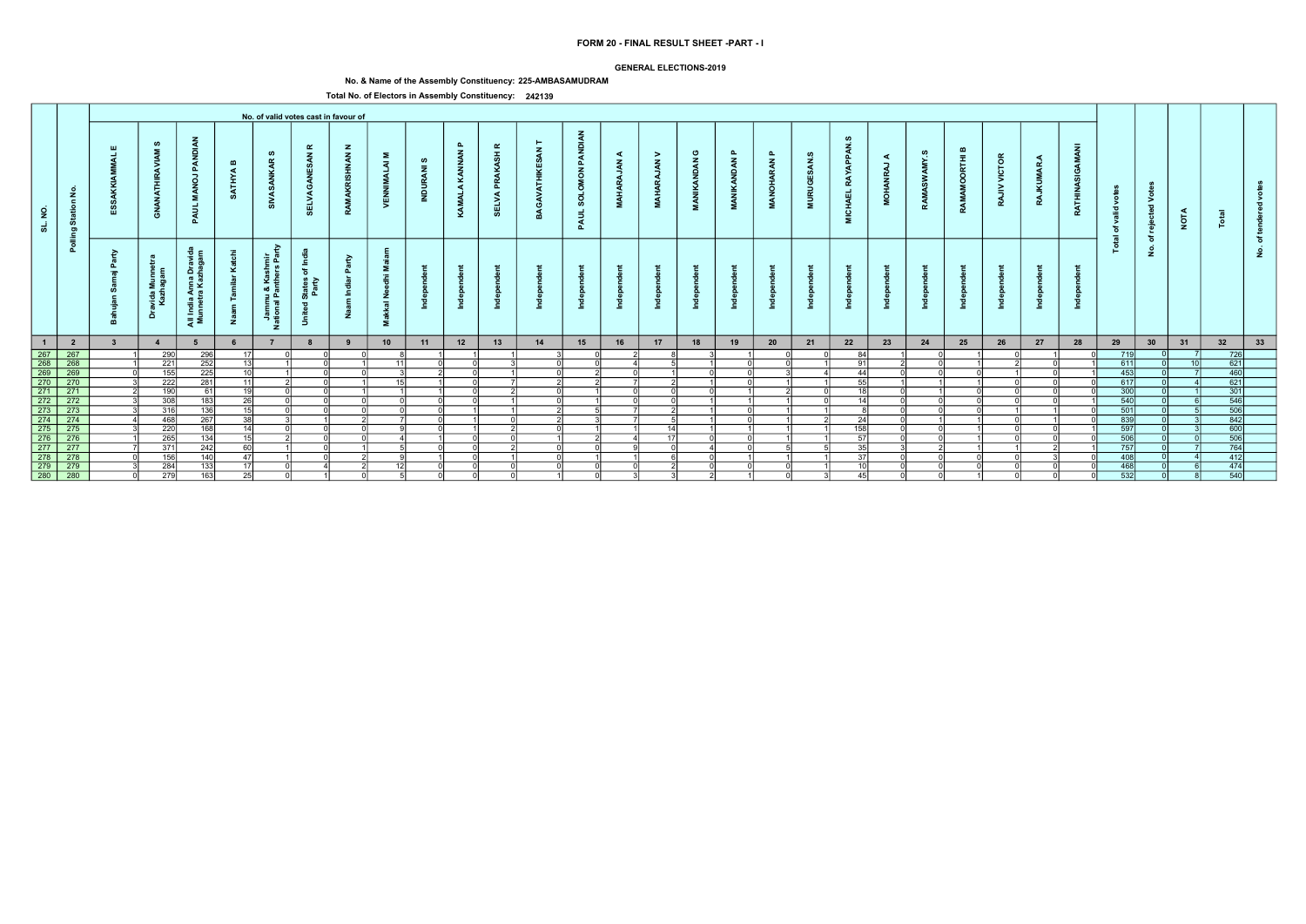### GENERAL ELECTIONS-2019

# No. & Name of the Assembly Constituency: 225-AMBASAMUDRAM

|                                                                       |                                                                                                                                 |                         |                             |                                                         |                              |                                                       |                                                                                         | No. of valid votes cast in favour of |                                                                                |                      |                    |                                   |     |                                                  |                                         |                                          |                                                   |                        |                                  |                                        |                                        |             |                                |                            |                        |                 |                         |                  |                                               |             |                                   |          |  |
|-----------------------------------------------------------------------|---------------------------------------------------------------------------------------------------------------------------------|-------------------------|-----------------------------|---------------------------------------------------------|------------------------------|-------------------------------------------------------|-----------------------------------------------------------------------------------------|--------------------------------------|--------------------------------------------------------------------------------|----------------------|--------------------|-----------------------------------|-----|--------------------------------------------------|-----------------------------------------|------------------------------------------|---------------------------------------------------|------------------------|----------------------------------|----------------------------------------|----------------------------------------|-------------|--------------------------------|----------------------------|------------------------|-----------------|-------------------------|------------------|-----------------------------------------------|-------------|-----------------------------------|----------|--|
| SL. NO.                                                               | $\tilde{z}$<br>$\epsilon$<br>Statio<br>ರಾ                                                                                       |                         | ဖာ<br><b>ANATHIR</b><br>ී   | PAN<br>$\vec{e}$<br>Σ.<br>इ<br>മ                        | $\mathbf{m}$<br><b>ATHYA</b> | ဖာ<br>$\alpha$<br>ž                                   | $\alpha$<br>$\mathbf{z}$<br>3<br>己                                                      | $\mathbf{z}$<br><b>HAN</b>           | Σ<br>$\overline{z}$<br>್ನ<br>>                                                 | ဖာ<br>$\bar{z}$<br>ಸ | ௳<br>KAMALA KANNAN | $\alpha$<br>ASH<br>௳<br>ELVA<br>ທ | GAV | <b>DIAN</b><br>PAN<br>NOW<br><b>SOLO</b><br>PAUL | ⋖<br>$\tilde{\mathbf{z}}$<br><b>MAH</b> | ><br>$\tilde{\mathbf{z}}$<br><b>MAHA</b> | ပ<br>$\tilde{\mathbf{z}}$<br><b>IKAND</b><br>MANI | മ<br><b>MANIKANDAN</b> | മ<br><b>ARAN</b><br><b>MANOH</b> | ဖ<br>ESAN.<br><b>RUGI</b><br>$\vec{z}$ | ഗ<br>APPAN<br>RAY<br><b>CHAEL</b><br>Σ | ⋖<br>,<br>ġ | ဖာ<br>≻<br>$\tilde{s}$<br>RAMA | മ<br>Ē<br>$\circ$<br>RAMAI | VICTOR<br>$\geq$<br>RA | <b>RAJKUMAR</b> | c<br>g<br><b>RATHIN</b> | ğ<br>valid<br>ិច | $\circ$<br>⋗<br>$\overline{\mathbf{c}}$<br>ႜၑ | <b>NOTA</b> |                                   |          |  |
|                                                                       | Pollin                                                                                                                          | B<br>௨<br>$=$           | avida Munr<br>Kazhagan<br>å | Anna Drav<br>ra Kazhaga<br>$\frac{a}{b}$<br>- 1<br>ੁੜ ≅ | ž                            | Ğ.<br>들 호<br>Jammu & Kashm<br>ational Panthers F<br>z | <b>£</b><br>$\overline{\mathbf{c}}$<br>States<br>Party<br>$\overline{\mathbf{c}}$<br>-5 | $\tilde{\mathbf{e}}$                 | Σ.<br>$\ddot{\epsilon}$<br>Ō<br>ے<br>ح<br>$\overline{\overline{6}}$<br>式<br>Σ. |                      |                    |                                   |     |                                                  |                                         |                                          |                                                   |                        |                                  |                                        |                                        |             |                                |                            |                        |                 |                         | ੁਛ<br>은          | ঁচ<br>$\dot{z}$                               |             |                                   | <u>و</u> |  |
| $\blacksquare$                                                        | $\overline{\mathbf{2}}$                                                                                                         | $\overline{\mathbf{3}}$ | $\overline{4}$              |                                                         |                              |                                                       | 8                                                                                       | 9                                    | 10                                                                             | 11                   | 12                 | 13                                | 14  | 15                                               | 16                                      | 17                                       | 18                                                | 19                     | 20                               | 21                                     | 22                                     | 23          | 24                             | 25                         | 26                     | 27              | 28                      | 29               | 30                                            | 31          | 32                                | 33       |  |
|                                                                       | 267 267 268<br>268 268 269 269<br>270 270 271 271 272 272 273 273 274 275 276 276<br>276 276 276 277 277<br>277 277 277 277 277 |                         | 290                         | 296                                                     | 17 <sup>1</sup>              |                                                       |                                                                                         |                                      |                                                                                |                      |                    |                                   |     | ΩI                                               |                                         |                                          |                                                   |                        |                                  |                                        | 84                                     |             |                                |                            |                        |                 |                         | 719              |                                               |             | 726                               |          |  |
|                                                                       |                                                                                                                                 |                         | 221                         | 252                                                     | 13 I                         |                                                       |                                                                                         |                                      | 11                                                                             |                      |                    |                                   |     | ΩI                                               |                                         |                                          |                                                   |                        |                                  |                                        | -91 l                                  |             |                                |                            |                        |                 |                         | 611              |                                               | 10          | 621                               |          |  |
|                                                                       |                                                                                                                                 |                         | 155                         | 225                                                     | 10 <sup>1</sup>              |                                                       |                                                                                         |                                      | 15                                                                             |                      |                    |                                   |     |                                                  |                                         |                                          |                                                   |                        |                                  |                                        | 44                                     |             |                                |                            |                        |                 |                         | 453              |                                               |             | $\frac{460}{621}$                 |          |  |
|                                                                       |                                                                                                                                 |                         | 222                         | 281                                                     | 11<br>19                     |                                                       |                                                                                         |                                      |                                                                                |                      |                    |                                   |     |                                                  |                                         |                                          |                                                   |                        |                                  |                                        | 55<br><b>40</b>                        |             |                                |                            |                        |                 |                         | 617              |                                               |             |                                   |          |  |
|                                                                       |                                                                                                                                 |                         | 190                         | -61                                                     | $\overline{26}$              |                                                       |                                                                                         |                                      |                                                                                |                      |                    |                                   | ി   |                                                  | ΩI                                      | n.                                       |                                                   |                        |                                  |                                        | 14                                     |             |                                |                            |                        |                 |                         | 300              |                                               |             | 301                               |          |  |
|                                                                       |                                                                                                                                 |                         | 308<br>316                  | 183                                                     | 15                           |                                                       |                                                                                         |                                      |                                                                                |                      |                    |                                   | ΩI  |                                                  |                                         |                                          |                                                   |                        |                                  |                                        |                                        |             |                                |                            |                        |                 |                         | 540<br>501       |                                               |             |                                   |          |  |
|                                                                       | 274                                                                                                                             |                         | 468                         | 136                                                     | 38                           |                                                       |                                                                                         |                                      |                                                                                |                      |                    |                                   |     |                                                  |                                         |                                          |                                                   |                        |                                  |                                        | 24                                     |             |                                |                            |                        |                 |                         | 839              |                                               |             | $\frac{546}{506}$                 |          |  |
|                                                                       |                                                                                                                                 |                         |                             | 267<br>168                                              | $\overline{14}$              |                                                       |                                                                                         |                                      |                                                                                |                      |                    |                                   | ∩l  |                                                  |                                         | 14                                       |                                                   |                        |                                  |                                        | 158                                    |             |                                |                            |                        |                 |                         | 597              |                                               |             | 600                               |          |  |
|                                                                       |                                                                                                                                 |                         | 220<br>265                  |                                                         | 15 <sup>1</sup>              |                                                       |                                                                                         |                                      |                                                                                |                      |                    |                                   |     |                                                  |                                         | 17I                                      |                                                   |                        |                                  |                                        | 57                                     |             |                                |                            |                        |                 |                         |                  |                                               |             |                                   |          |  |
|                                                                       | $\overline{277}$                                                                                                                |                         | 371                         | 134<br>242                                              | 60                           |                                                       |                                                                                         |                                      |                                                                                |                      |                    |                                   | വ   | ΩI                                               |                                         | ΩI                                       |                                                   |                        |                                  |                                        | 35                                     |             |                                |                            |                        |                 |                         | 506<br>757       |                                               |             |                                   |          |  |
|                                                                       | $\overline{278}$                                                                                                                |                         | 156                         | 140                                                     | 47                           |                                                       |                                                                                         |                                      |                                                                                |                      |                    |                                   |     |                                                  |                                         |                                          |                                                   |                        |                                  |                                        | 37                                     |             |                                |                            |                        |                 |                         | 408              |                                               |             | $\frac{506}{764}$ $\frac{412}{ }$ |          |  |
| $\begin{array}{r} 278 \\ 278 \\ \hline 279 \\ \hline 280 \end{array}$ | $\frac{1}{279}$                                                                                                                 |                         |                             |                                                         | 17I                          |                                                       |                                                                                         |                                      |                                                                                |                      |                    |                                   |     |                                                  |                                         |                                          |                                                   |                        |                                  |                                        |                                        |             |                                |                            |                        |                 |                         | 468              |                                               |             | 474                               |          |  |
|                                                                       | $\overline{280}$                                                                                                                |                         | 284<br>$\overline{279}$     | 133<br>163                                              | 25                           |                                                       |                                                                                         |                                      |                                                                                |                      |                    |                                   |     | - N                                              |                                         |                                          |                                                   |                        |                                  |                                        | 45                                     |             |                                |                            |                        |                 |                         | 532              |                                               |             | $\overline{540}$                  |          |  |
|                                                                       |                                                                                                                                 |                         |                             |                                                         |                              |                                                       |                                                                                         |                                      |                                                                                |                      |                    |                                   |     |                                                  |                                         |                                          |                                                   |                        |                                  |                                        |                                        |             |                                |                            |                        |                 |                         |                  |                                               |             |                                   |          |  |